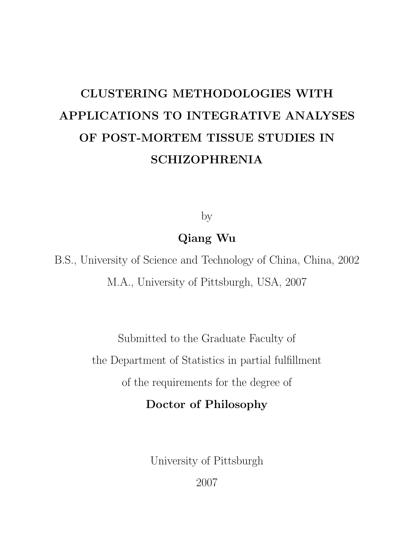# CLUSTERING METHODOLOGIES WITH APPLICATIONS TO INTEGRATIVE ANALYSES OF POST-MORTEM TISSUE STUDIES IN SCHIZOPHRENIA

by

Qiang Wu

B.S., University of Science and Technology of China, China, 2002 M.A., University of Pittsburgh, USA, 2007

> Submitted to the Graduate Faculty of the Department of Statistics in partial fulfillment of the requirements for the degree of

Doctor of Philosophy

University of Pittsburgh

2007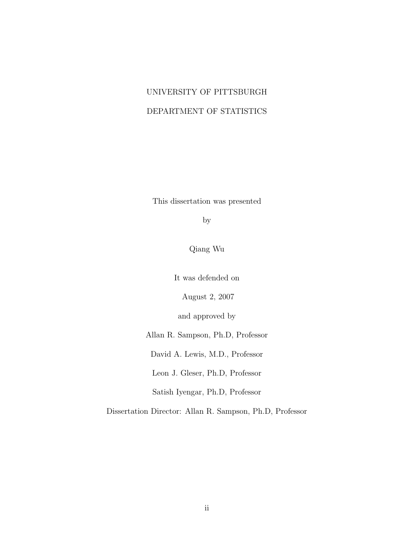# UNIVERSITY OF PITTSBURGH DEPARTMENT OF STATISTICS

This dissertation was presented

by

Qiang Wu

It was defended on

August 2, 2007

and approved by

Allan R. Sampson, Ph.D, Professor

David A. Lewis, M.D., Professor

Leon J. Gleser, Ph.D, Professor

Satish Iyengar, Ph.D, Professor

Dissertation Director: Allan R. Sampson, Ph.D, Professor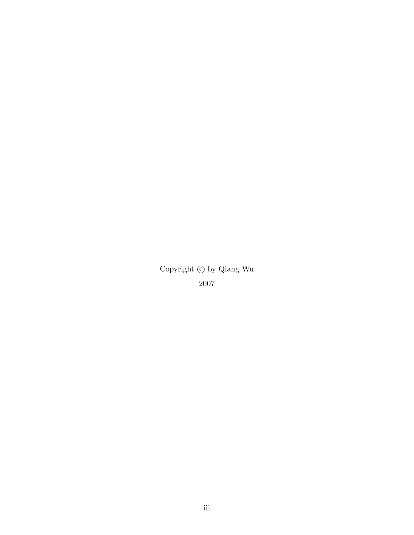Copyright  $\copyright$  by Qiang Wu 2007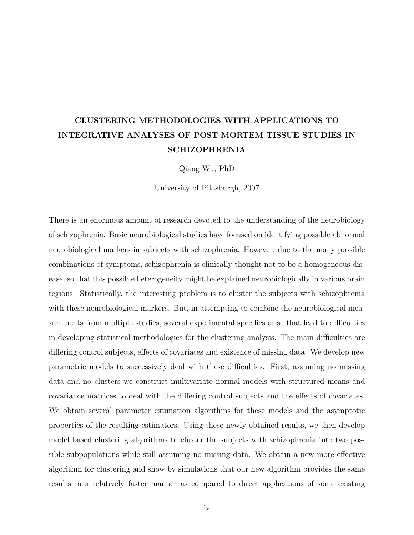# CLUSTERING METHODOLOGIES WITH APPLICATIONS TO INTEGRATIVE ANALYSES OF POST-MORTEM TISSUE STUDIES IN SCHIZOPHRENIA

Qiang Wu, PhD

University of Pittsburgh, 2007

There is an enormous amount of research devoted to the understanding of the neurobiology of schizophrenia. Basic neurobiological studies have focused on identifying possible abnormal neurobiological markers in subjects with schizophrenia. However, due to the many possible combinations of symptoms, schizophrenia is clinically thought not to be a homogeneous disease, so that this possible heterogeneity might be explained neurobiologically in various brain regions. Statistically, the interesting problem is to cluster the subjects with schizophrenia with these neurobiological markers. But, in attempting to combine the neurobiological measurements from multiple studies, several experimental specifics arise that lead to difficulties in developing statistical methodologies for the clustering analysis. The main difficulties are differing control subjects, effects of covariates and existence of missing data. We develop new parametric models to successively deal with these difficulties. First, assuming no missing data and no clusters we construct multivariate normal models with structured means and covariance matrices to deal with the differing control subjects and the effects of covariates. We obtain several parameter estimation algorithms for these models and the asymptotic properties of the resulting estimators. Using these newly obtained results, we then develop model based clustering algorithms to cluster the subjects with schizophrenia into two possible subpopulations while still assuming no missing data. We obtain a new more effective algorithm for clustering and show by simulations that our new algorithm provides the same results in a relatively faster manner as compared to direct applications of some existing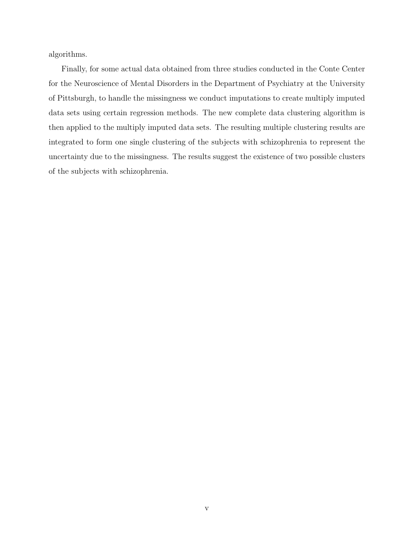algorithms.

Finally, for some actual data obtained from three studies conducted in the Conte Center for the Neuroscience of Mental Disorders in the Department of Psychiatry at the University of Pittsburgh, to handle the missingness we conduct imputations to create multiply imputed data sets using certain regression methods. The new complete data clustering algorithm is then applied to the multiply imputed data sets. The resulting multiple clustering results are integrated to form one single clustering of the subjects with schizophrenia to represent the uncertainty due to the missingness. The results suggest the existence of two possible clusters of the subjects with schizophrenia.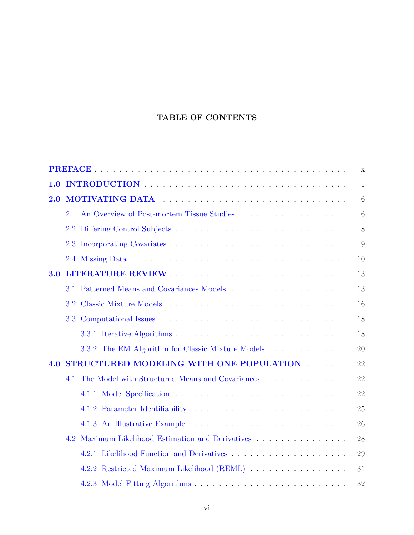## TABLE OF CONTENTS

|     | $\mathbf X$                                                                                                                                                                                                                    |              |  |  |  |
|-----|--------------------------------------------------------------------------------------------------------------------------------------------------------------------------------------------------------------------------------|--------------|--|--|--|
| 1.0 |                                                                                                                                                                                                                                | $\mathbf{1}$ |  |  |  |
| 2.0 | MOTIVATING DATA And a series and a series of the series of the series of the series of the series of the series of the series of the series of the series of the series of the series of the series of the series of the serie |              |  |  |  |
|     |                                                                                                                                                                                                                                | 6            |  |  |  |
|     |                                                                                                                                                                                                                                | 8            |  |  |  |
|     |                                                                                                                                                                                                                                | 9            |  |  |  |
|     |                                                                                                                                                                                                                                | 10           |  |  |  |
| 3.0 | LITERATURE REVIEW                                                                                                                                                                                                              | 13           |  |  |  |
|     |                                                                                                                                                                                                                                | 13           |  |  |  |
|     |                                                                                                                                                                                                                                | 16           |  |  |  |
|     |                                                                                                                                                                                                                                | 18           |  |  |  |
|     |                                                                                                                                                                                                                                | 18           |  |  |  |
|     |                                                                                                                                                                                                                                | 20           |  |  |  |
| 4.O | STRUCTURED MODELING WITH ONE POPULATION FINITION<br>22                                                                                                                                                                         |              |  |  |  |
|     | The Model with Structured Means and Covariances<br>4.1                                                                                                                                                                         | 22           |  |  |  |
|     |                                                                                                                                                                                                                                | 22           |  |  |  |
|     |                                                                                                                                                                                                                                | 25           |  |  |  |
|     |                                                                                                                                                                                                                                | 26           |  |  |  |
|     | Maximum Likelihood Estimation and Derivatives<br>4.2                                                                                                                                                                           | 28           |  |  |  |
|     |                                                                                                                                                                                                                                | 29           |  |  |  |
|     | 4.2.2 Restricted Maximum Likelihood (REML)                                                                                                                                                                                     | 31           |  |  |  |
|     |                                                                                                                                                                                                                                | 32           |  |  |  |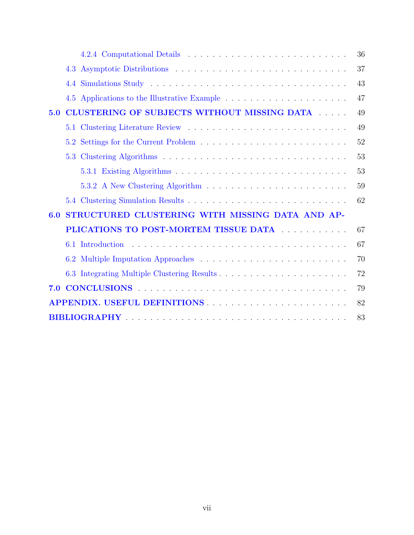|                                                                                                          | 36 |
|----------------------------------------------------------------------------------------------------------|----|
| 4.3                                                                                                      | 37 |
|                                                                                                          | 43 |
|                                                                                                          | 47 |
| CLUSTERING OF SUBJECTS WITHOUT MISSING DATA<br>5.0                                                       | 49 |
|                                                                                                          | 49 |
|                                                                                                          | 52 |
|                                                                                                          | 53 |
|                                                                                                          | 53 |
|                                                                                                          | 59 |
|                                                                                                          | 62 |
| STRUCTURED CLUSTERING WITH MISSING DATA AND AP-<br>6.0                                                   |    |
| PLICATIONS TO POST-MORTEM TISSUE DATA ELECTRICIAL CONTRACT AND THE PLICATIONS TO POST-MORTEM TISSUE DATA | 67 |
|                                                                                                          | 67 |
|                                                                                                          | 70 |
|                                                                                                          | 72 |
| CONCLUSIONS (CONCLUSIONS)<br>7.0                                                                         | 79 |
|                                                                                                          | 82 |
|                                                                                                          | 83 |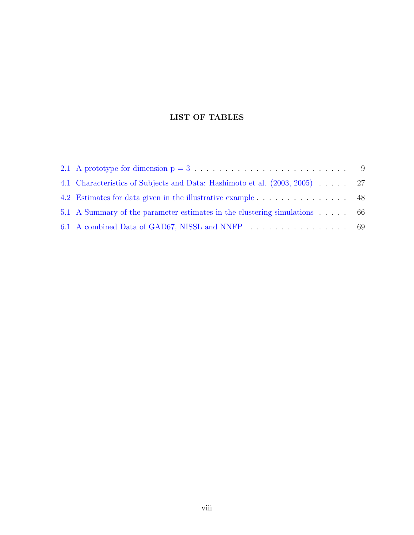### LIST OF TABLES

| 4.1 Characteristics of Subjects and Data: Hashimoto et al. (2003, 2005) 27 |  |
|----------------------------------------------------------------------------|--|
|                                                                            |  |
| 5.1 A Summary of the parameter estimates in the clustering simulations 66  |  |
|                                                                            |  |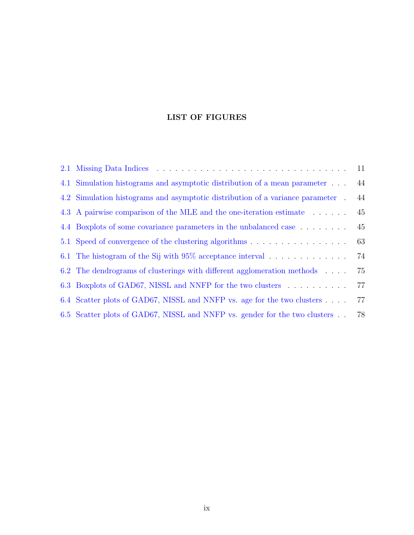### LIST OF FIGURES

|                                                                                | 11 |
|--------------------------------------------------------------------------------|----|
| 4.1 Simulation histograms and asymptotic distribution of a mean parameter      | 44 |
| 4.2 Simulation histograms and asymptotic distribution of a variance parameter. | 44 |
| 4.3 A pairwise comparison of the MLE and the one-iteration estimate            | 45 |
| 4.4 Boxplots of some covariance parameters in the unbalanced case              | 45 |
|                                                                                | 63 |
|                                                                                | 74 |
| 6.2 The dendrograms of clusterings with different agglomeration methods        | 75 |
| 6.3 Boxplots of GAD67, NISSL and NNFP for the two clusters                     | 77 |
| 6.4 Scatter plots of GAD67, NISSL and NNFP vs. age for the two clusters        | 77 |
| 6.5 Scatter plots of GAD67, NISSL and NNFP vs. gender for the two clusters.    | 78 |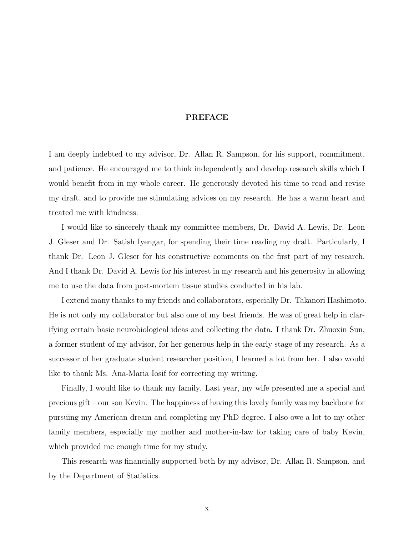#### PREFACE

<span id="page-9-0"></span>I am deeply indebted to my advisor, Dr. Allan R. Sampson, for his support, commitment, and patience. He encouraged me to think independently and develop research skills which I would benefit from in my whole career. He generously devoted his time to read and revise my draft, and to provide me stimulating advices on my research. He has a warm heart and treated me with kindness.

I would like to sincerely thank my committee members, Dr. David A. Lewis, Dr. Leon J. Gleser and Dr. Satish Iyengar, for spending their time reading my draft. Particularly, I thank Dr. Leon J. Gleser for his constructive comments on the first part of my research. And I thank Dr. David A. Lewis for his interest in my research and his generosity in allowing me to use the data from post-mortem tissue studies conducted in his lab.

I extend many thanks to my friends and collaborators, especially Dr. Takanori Hashimoto. He is not only my collaborator but also one of my best friends. He was of great help in clarifying certain basic neurobiological ideas and collecting the data. I thank Dr. Zhuoxin Sun, a former student of my advisor, for her generous help in the early stage of my research. As a successor of her graduate student researcher position, I learned a lot from her. I also would like to thank Ms. Ana-Maria Iosif for correcting my writing.

Finally, I would like to thank my family. Last year, my wife presented me a special and precious gift – our son Kevin. The happiness of having this lovely family was my backbone for pursuing my American dream and completing my PhD degree. I also owe a lot to my other family members, especially my mother and mother-in-law for taking care of baby Kevin, which provided me enough time for my study.

This research was financially supported both by my advisor, Dr. Allan R. Sampson, and by the Department of Statistics.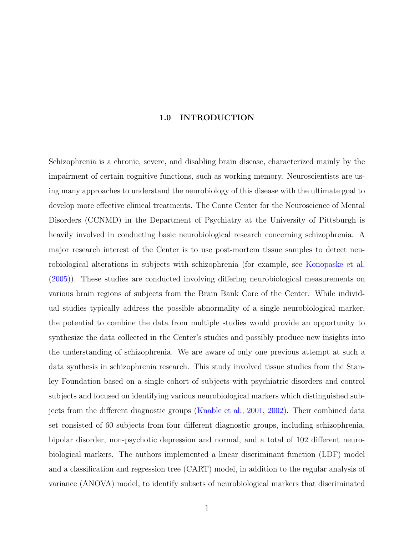#### 1.0 INTRODUCTION

<span id="page-10-0"></span>Schizophrenia is a chronic, severe, and disabling brain disease, characterized mainly by the impairment of certain cognitive functions, such as working memory. Neuroscientists are using many approaches to understand the neurobiology of this disease with the ultimate goal to develop more effective clinical treatments. The Conte Center for the Neuroscience of Mental Disorders (CCNMD) in the Department of Psychiatry at the University of Pittsburgh is heavily involved in conducting basic neurobiological research concerning schizophrenia. A major research interest of the Center is to use post-mortem tissue samples to detect neurobiological alterations in subjects with schizophrenia (for example, see [Konopaske et al.](#page-93-0) [\(2005\)](#page-93-0)). These studies are conducted involving differing neurobiological measurements on various brain regions of subjects from the Brain Bank Core of the Center. While individual studies typically address the possible abnormality of a single neurobiological marker, the potential to combine the data from multiple studies would provide an opportunity to synthesize the data collected in the Center's studies and possibly produce new insights into the understanding of schizophrenia. We are aware of only one previous attempt at such a data synthesis in schizophrenia research. This study involved tissue studies from the Stanley Foundation based on a single cohort of subjects with psychiatric disorders and control subjects and focused on identifying various neurobiological markers which distinguished subjects from the different diagnostic groups [\(Knable et al.,](#page-93-0) [2001,](#page-93-0) [2002\)](#page-93-0). Their combined data set consisted of 60 subjects from four different diagnostic groups, including schizophrenia, bipolar disorder, non-psychotic depression and normal, and a total of 102 different neurobiological markers. The authors implemented a linear discriminant function (LDF) model and a classification and regression tree (CART) model, in addition to the regular analysis of variance (ANOVA) model, to identify subsets of neurobiological markers that discriminated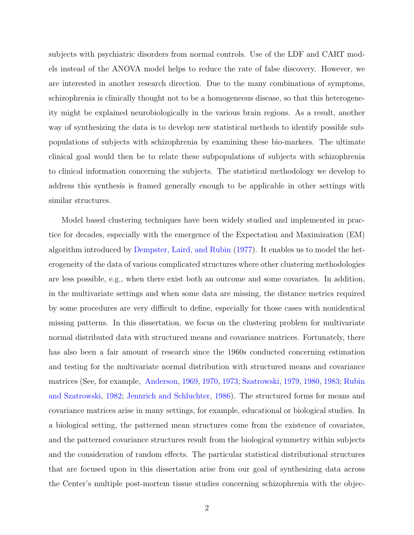subjects with psychiatric disorders from normal controls. Use of the LDF and CART models instead of the ANOVA model helps to reduce the rate of false discovery. However, we are interested in another research direction. Due to the many combinations of symptoms, schizophrenia is clinically thought not to be a homogeneous disease, so that this heterogeneity might be explained neurobiologically in the various brain regions. As a result, another way of synthesizing the data is to develop new statistical methods to identify possible subpopulations of subjects with schizophrenia by examining these bio-markers. The ultimate clinical goal would then be to relate these subpopulations of subjects with schizophrenia to clinical information concerning the subjects. The statistical methodology we develop to address this synthesis is framed generally enough to be applicable in other settings with similar structures.

Model based clustering techniques have been widely studied and implemented in practice for decades, especially with the emergence of the Expectation and Maximization (EM) algorithm introduced by [Dempster, Laird, and Rubin](#page-92-0) [\(1977\)](#page-92-0). It enables us to model the heterogeneity of the data of various complicated structures where other clustering methodologies are less possible, e.g., when there exist both an outcome and some covariates. In addition, in the multivariate settings and when some data are missing, the distance metrics required by some procedures are very difficult to define, especially for those cases with nonidentical missing patterns. In this dissertation, we focus on the clustering problem for multivariate normal distributed data with structured means and covariance matrices. Fortunately, there has also been a fair amount of research since the 1960s conducted concerning estimation and testing for the multivariate normal distribution with structured means and covariance matrices (See, for example, [Anderson,](#page-92-0) [1969,](#page-92-0) [1970,](#page-92-0) [1973;](#page-92-0) [Szatrowski,](#page-94-0) [1979,](#page-94-0) [1980,](#page-94-0) [1983;](#page-94-0) [Rubin](#page-94-0) [and Szatrowski,](#page-94-0) [1982;](#page-94-0) [Jennrich and Schluchter,](#page-93-0) [1986\)](#page-93-0). The structured forms for means and covariance matrices arise in many settings, for example, educational or biological studies. In a biological setting, the patterned mean structures come from the existence of covariates, and the patterned covariance structures result from the biological symmetry within subjects and the consideration of random effects. The particular statistical distributional structures that are focused upon in this dissertation arise from our goal of synthesizing data across the Center's multiple post-mortem tissue studies concerning schizophrenia with the objec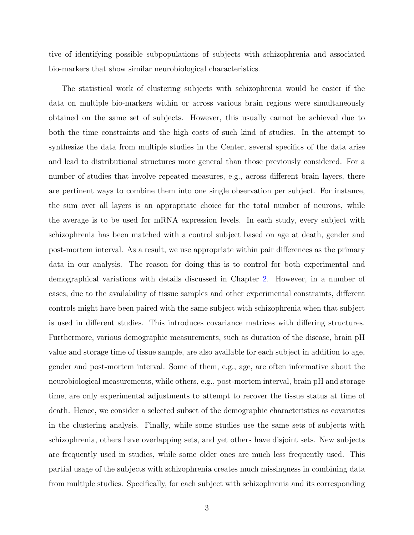tive of identifying possible subpopulations of subjects with schizophrenia and associated bio-markers that show similar neurobiological characteristics.

The statistical work of clustering subjects with schizophrenia would be easier if the data on multiple bio-markers within or across various brain regions were simultaneously obtained on the same set of subjects. However, this usually cannot be achieved due to both the time constraints and the high costs of such kind of studies. In the attempt to synthesize the data from multiple studies in the Center, several specifics of the data arise and lead to distributional structures more general than those previously considered. For a number of studies that involve repeated measures, e.g., across different brain layers, there are pertinent ways to combine them into one single observation per subject. For instance, the sum over all layers is an appropriate choice for the total number of neurons, while the average is to be used for mRNA expression levels. In each study, every subject with schizophrenia has been matched with a control subject based on age at death, gender and post-mortem interval. As a result, we use appropriate within pair differences as the primary data in our analysis. The reason for doing this is to control for both experimental and demographical variations with details discussed in Chapter [2.](#page-15-0) However, in a number of cases, due to the availability of tissue samples and other experimental constraints, different controls might have been paired with the same subject with schizophrenia when that subject is used in different studies. This introduces covariance matrices with differing structures. Furthermore, various demographic measurements, such as duration of the disease, brain pH value and storage time of tissue sample, are also available for each subject in addition to age, gender and post-mortem interval. Some of them, e.g., age, are often informative about the neurobiological measurements, while others, e.g., post-mortem interval, brain pH and storage time, are only experimental adjustments to attempt to recover the tissue status at time of death. Hence, we consider a selected subset of the demographic characteristics as covariates in the clustering analysis. Finally, while some studies use the same sets of subjects with schizophrenia, others have overlapping sets, and yet others have disjoint sets. New subjects are frequently used in studies, while some older ones are much less frequently used. This partial usage of the subjects with schizophrenia creates much missingness in combining data from multiple studies. Specifically, for each subject with schizophrenia and its corresponding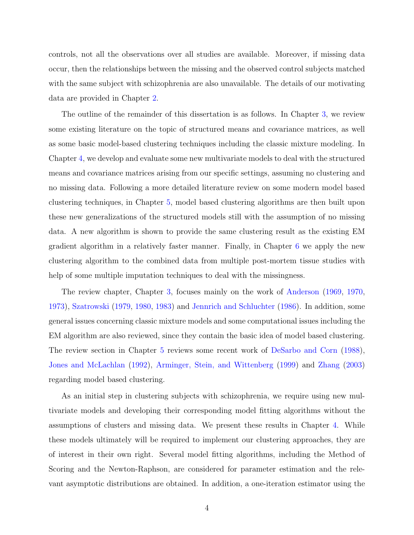controls, not all the observations over all studies are available. Moreover, if missing data occur, then the relationships between the missing and the observed control subjects matched with the same subject with schizophrenia are also unavailable. The details of our motivating data are provided in Chapter [2.](#page-15-0)

The outline of the remainder of this dissertation is as follows. In Chapter [3,](#page-22-0) we review some existing literature on the topic of structured means and covariance matrices, as well as some basic model-based clustering techniques including the classic mixture modeling. In Chapter [4,](#page-31-0) we develop and evaluate some new multivariate models to deal with the structured means and covariance matrices arising from our specific settings, assuming no clustering and no missing data. Following a more detailed literature review on some modern model based clustering techniques, in Chapter [5,](#page-58-0) model based clustering algorithms are then built upon these new generalizations of the structured models still with the assumption of no missing data. A new algorithm is shown to provide the same clustering result as the existing EM gradient algorithm in a relatively faster manner. Finally, in Chapter [6](#page-76-0) we apply the new clustering algorithm to the combined data from multiple post-mortem tissue studies with help of some multiple imputation techniques to deal with the missingness.

The review chapter, Chapter [3,](#page-22-0) focuses mainly on the work of [Anderson](#page-92-0) [\(1969,](#page-92-0) [1970,](#page-92-0) [1973\)](#page-92-0), [Szatrowski](#page-94-0) [\(1979,](#page-94-0) [1980,](#page-94-0) [1983\)](#page-94-0) and [Jennrich and Schluchter](#page-93-0) [\(1986\)](#page-93-0). In addition, some general issues concerning classic mixture models and some computational issues including the EM algorithm are also reviewed, since they contain the basic idea of model based clustering. The review section in Chapter [5](#page-58-0) reviews some recent work of [DeSarbo and Corn](#page-92-0) [\(1988\)](#page-92-0), [Jones and McLachlan](#page-93-0) [\(1992\)](#page-93-0), [Arminger, Stein, and Wittenberg](#page-92-0) [\(1999\)](#page-92-0) and [Zhang](#page-95-0) [\(2003\)](#page-95-0) regarding model based clustering.

As an initial step in clustering subjects with schizophrenia, we require using new multivariate models and developing their corresponding model fitting algorithms without the assumptions of clusters and missing data. We present these results in Chapter [4.](#page-31-0) While these models ultimately will be required to implement our clustering approaches, they are of interest in their own right. Several model fitting algorithms, including the Method of Scoring and the Newton-Raphson, are considered for parameter estimation and the relevant asymptotic distributions are obtained. In addition, a one-iteration estimator using the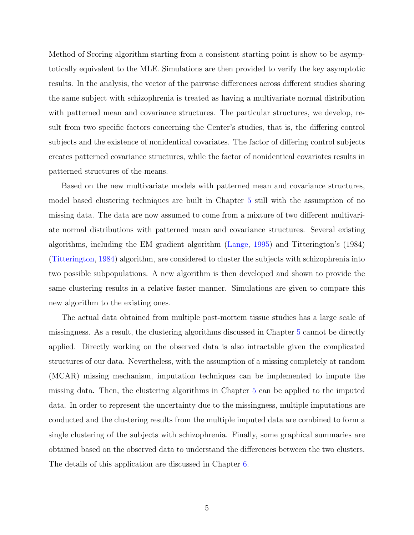Method of Scoring algorithm starting from a consistent starting point is show to be asymptotically equivalent to the MLE. Simulations are then provided to verify the key asymptotic results. In the analysis, the vector of the pairwise differences across different studies sharing the same subject with schizophrenia is treated as having a multivariate normal distribution with patterned mean and covariance structures. The particular structures, we develop, result from two specific factors concerning the Center's studies, that is, the differing control subjects and the existence of nonidentical covariates. The factor of differing control subjects creates patterned covariance structures, while the factor of nonidentical covariates results in patterned structures of the means.

Based on the new multivariate models with patterned mean and covariance structures, model based clustering techniques are built in Chapter [5](#page-58-0) still with the assumption of no missing data. The data are now assumed to come from a mixture of two different multivariate normal distributions with patterned mean and covariance structures. Several existing algorithms, including the EM gradient algorithm [\(Lange,](#page-93-0) [1995\)](#page-93-0) and Titterington's (1984) [\(Titterington,](#page-94-0) [1984\)](#page-94-0) algorithm, are considered to cluster the subjects with schizophrenia into two possible subpopulations. A new algorithm is then developed and shown to provide the same clustering results in a relative faster manner. Simulations are given to compare this new algorithm to the existing ones.

The actual data obtained from multiple post-mortem tissue studies has a large scale of missingness. As a result, the clustering algorithms discussed in Chapter [5](#page-58-0) cannot be directly applied. Directly working on the observed data is also intractable given the complicated structures of our data. Nevertheless, with the assumption of a missing completely at random (MCAR) missing mechanism, imputation techniques can be implemented to impute the missing data. Then, the clustering algorithms in Chapter [5](#page-58-0) can be applied to the imputed data. In order to represent the uncertainty due to the missingness, multiple imputations are conducted and the clustering results from the multiple imputed data are combined to form a single clustering of the subjects with schizophrenia. Finally, some graphical summaries are obtained based on the observed data to understand the differences between the two clusters. The details of this application are discussed in Chapter [6.](#page-76-0)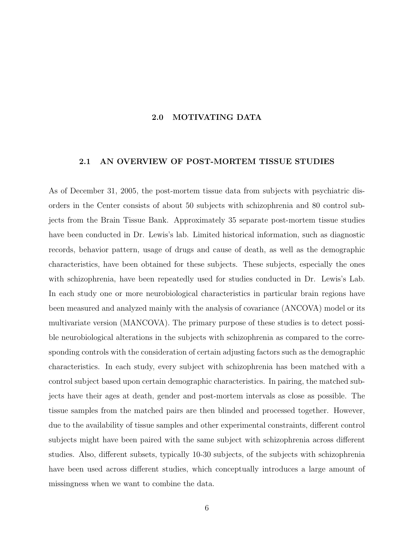#### 2.0 MOTIVATING DATA

#### <span id="page-15-0"></span>2.1 AN OVERVIEW OF POST-MORTEM TISSUE STUDIES

As of December 31, 2005, the post-mortem tissue data from subjects with psychiatric disorders in the Center consists of about 50 subjects with schizophrenia and 80 control subjects from the Brain Tissue Bank. Approximately 35 separate post-mortem tissue studies have been conducted in Dr. Lewis's lab. Limited historical information, such as diagnostic records, behavior pattern, usage of drugs and cause of death, as well as the demographic characteristics, have been obtained for these subjects. These subjects, especially the ones with schizophrenia, have been repeatedly used for studies conducted in Dr. Lewis's Lab. In each study one or more neurobiological characteristics in particular brain regions have been measured and analyzed mainly with the analysis of covariance (ANCOVA) model or its multivariate version (MANCOVA). The primary purpose of these studies is to detect possible neurobiological alterations in the subjects with schizophrenia as compared to the corresponding controls with the consideration of certain adjusting factors such as the demographic characteristics. In each study, every subject with schizophrenia has been matched with a control subject based upon certain demographic characteristics. In pairing, the matched subjects have their ages at death, gender and post-mortem intervals as close as possible. The tissue samples from the matched pairs are then blinded and processed together. However, due to the availability of tissue samples and other experimental constraints, different control subjects might have been paired with the same subject with schizophrenia across different studies. Also, different subsets, typically 10-30 subjects, of the subjects with schizophrenia have been used across different studies, which conceptually introduces a large amount of missingness when we want to combine the data.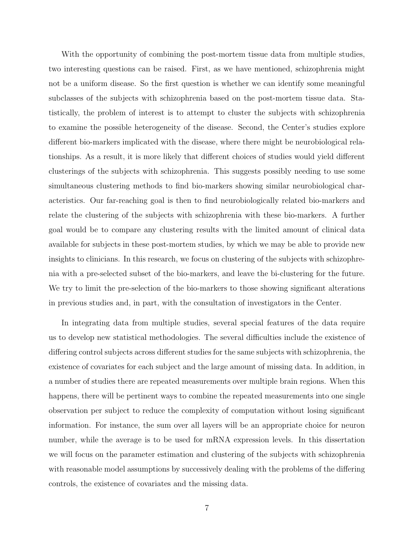With the opportunity of combining the post-mortem tissue data from multiple studies, two interesting questions can be raised. First, as we have mentioned, schizophrenia might not be a uniform disease. So the first question is whether we can identify some meaningful subclasses of the subjects with schizophrenia based on the post-mortem tissue data. Statistically, the problem of interest is to attempt to cluster the subjects with schizophrenia to examine the possible heterogeneity of the disease. Second, the Center's studies explore different bio-markers implicated with the disease, where there might be neurobiological relationships. As a result, it is more likely that different choices of studies would yield different clusterings of the subjects with schizophrenia. This suggests possibly needing to use some simultaneous clustering methods to find bio-markers showing similar neurobiological characteristics. Our far-reaching goal is then to find neurobiologically related bio-markers and relate the clustering of the subjects with schizophrenia with these bio-markers. A further goal would be to compare any clustering results with the limited amount of clinical data available for subjects in these post-mortem studies, by which we may be able to provide new insights to clinicians. In this research, we focus on clustering of the subjects with schizophrenia with a pre-selected subset of the bio-markers, and leave the bi-clustering for the future. We try to limit the pre-selection of the bio-markers to those showing significant alterations in previous studies and, in part, with the consultation of investigators in the Center.

In integrating data from multiple studies, several special features of the data require us to develop new statistical methodologies. The several difficulties include the existence of differing control subjects across different studies for the same subjects with schizophrenia, the existence of covariates for each subject and the large amount of missing data. In addition, in a number of studies there are repeated measurements over multiple brain regions. When this happens, there will be pertinent ways to combine the repeated measurements into one single observation per subject to reduce the complexity of computation without losing significant information. For instance, the sum over all layers will be an appropriate choice for neuron number, while the average is to be used for mRNA expression levels. In this dissertation we will focus on the parameter estimation and clustering of the subjects with schizophrenia with reasonable model assumptions by successively dealing with the problems of the differing controls, the existence of covariates and the missing data.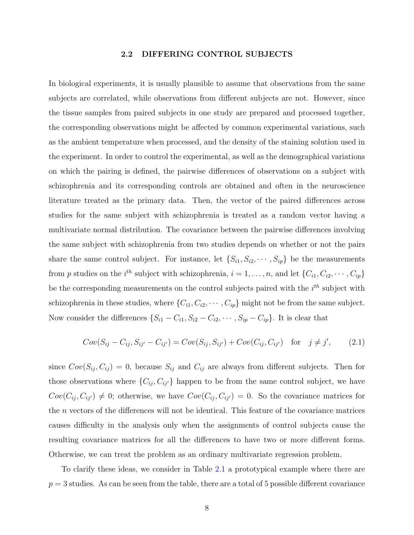#### 2.2 DIFFERING CONTROL SUBJECTS

<span id="page-17-0"></span>In biological experiments, it is usually plausible to assume that observations from the same subjects are correlated, while observations from different subjects are not. However, since the tissue samples from paired subjects in one study are prepared and processed together, the corresponding observations might be affected by common experimental variations, such as the ambient temperature when processed, and the density of the staining solution used in the experiment. In order to control the experimental, as well as the demographical variations on which the pairing is defined, the pairwise differences of observations on a subject with schizophrenia and its corresponding controls are obtained and often in the neuroscience literature treated as the primary data. Then, the vector of the paired differences across studies for the same subject with schizophrenia is treated as a random vector having a multivariate normal distribution. The covariance between the pairwise differences involving the same subject with schizophrenia from two studies depends on whether or not the pairs share the same control subject. For instance, let  $\{S_{i1}, S_{i2}, \cdots, S_{ip}\}$  be the measurements from p studies on the i<sup>th</sup> subject with schizophrenia,  $i = 1, \ldots, n$ , and let  $\{C_{i1}, C_{i2}, \cdots, C_{ip}\}$ be the corresponding measurements on the control subjects paired with the  $i^{th}$  subject with schizophrenia in these studies, where  $\{C_{i1}, C_{i2}, \cdots, C_{ip}\}$  might not be from the same subject. Now consider the differences  $\{S_{i1} - C_{i1}, S_{i2} - C_{i2}, \cdots, S_{ip} - C_{ip}\}$ . It is clear that

$$
Cov(S_{ij} - C_{ij}, S_{ij'} - C_{ij'}) = Cov(S_{ij}, S_{ij'}) + Cov(C_{ij}, C_{ij'}) \text{ for } j \neq j', \qquad (2.1)
$$

since  $Cov(S_{ij}, C_{ij}) = 0$ , because  $S_{ij}$  and  $C_{ij}$  are always from different subjects. Then for those observations where  $\{C_{ij}, C_{ij'}\}$  happen to be from the same control subject, we have  $Cov(C_{ij}, C_{ij'}) \neq 0$ ; otherwise, we have  $Cov(C_{ij}, C_{ij'}) = 0$ . So the covariance matrices for the  $n$  vectors of the differences will not be identical. This feature of the covariance matrices causes difficulty in the analysis only when the assignments of control subjects cause the resulting covariance matrices for all the differences to have two or more different forms. Otherwise, we can treat the problem as an ordinary multivariate regression problem.

To clarify these ideas, we consider in Table [2.1](#page-18-0) a prototypical example where there are  $p = 3$  studies. As can be seen from the table, there are a total of 5 possible different covariance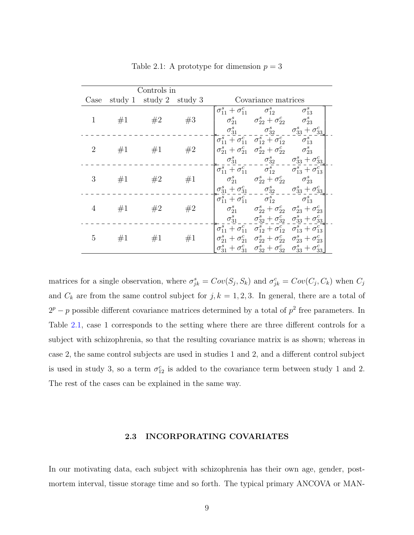<span id="page-18-0"></span>

| Controls in    |  |                         |    |                                                                 |                                                                                                                                    |  |
|----------------|--|-------------------------|----|-----------------------------------------------------------------|------------------------------------------------------------------------------------------------------------------------------------|--|
| Case           |  | study 1 study 2 study 3 |    | Covariance matrices                                             |                                                                                                                                    |  |
|                |  | 1 #1 #2 #3              |    |                                                                 | $\sigma_{11}^s + \sigma_{11}^c$ $\sigma_{12}^s$ $\sigma_{13}^s$<br>$\sigma_{21}^s$ $\sigma_{22}^s + \sigma_{22}^c$ $\sigma_{23}^s$ |  |
|                |  |                         |    |                                                                 | $\sigma_{31}^s$ $\sigma_{32}^s$ $\sigma_{33}^s + \sigma_{33}^c$                                                                    |  |
|                |  |                         |    |                                                                 | $\sigma_{11}^s + \sigma_{11}^c \quad \sigma_{12}^s + \sigma_{12}^c \qquad \sigma_{13}^s$                                           |  |
| $2^{\circ}$    |  | $#1$ $#1$               | #2 |                                                                 | $\begin{vmatrix} \sigma_{21}^s + \sigma_{21}^c & \sigma_{22}^s + \sigma_{22}^c & \sigma_{23}^s \end{vmatrix}$                      |  |
|                |  |                         |    |                                                                 | $\sigma_{31}^s \qquad \quad \  \sigma_{32}^s \qquad \sigma_{33}^s + \sigma_{33}^c$                                                 |  |
|                |  |                         |    |                                                                 | $\begin{bmatrix} \sigma_{11}^s + \sigma_{11}^c & \sigma_{12}^s & \sigma_{13}^s + \sigma_{13}^c \end{bmatrix}$                      |  |
| 3 <sup>1</sup> |  | $\#1$ $\#2$ $\#1$       |    | $\sigma_{21}^s$ $\sigma_{22}^s + \sigma_{22}^c$ $\sigma_{23}^s$ |                                                                                                                                    |  |
|                |  |                         |    |                                                                 | $\sigma_{31}^s + \sigma_{31}^c$ $\sigma_{32}^s$ $\sigma_{33}^s + \sigma_{33}^c$                                                    |  |
|                |  |                         |    |                                                                 | $\begin{bmatrix} \sigma_{11}^s + \sigma_{11}^c & \sigma_{12}^s & \sigma_{13}^s \end{bmatrix}$                                      |  |
| $\overline{4}$ |  | $\#1$ $\#2$ $\#2$       |    |                                                                 | $\sigma_{21}^s$ $\sigma_{22}^s + \sigma_{22}^c$ $\sigma_{23}^s + \sigma_{23}^c$                                                    |  |
|                |  |                         |    |                                                                 | $\sigma_{31}^s$ $\sigma_{32}^s + \sigma_{32}^c$ $\sigma_{33}^s + \sigma_{33}^c$                                                    |  |
|                |  |                         |    |                                                                 | $\sigma_{11}^s + \sigma_{11}^c \quad \sigma_{12}^s + \sigma_{12}^c \quad \sigma_{13}^s + \sigma_{13}^c$                            |  |
| 5              |  | $#1$ $#1$               | #1 |                                                                 | $\sigma_{21}^s + \sigma_{21}^c \quad \sigma_{22}^s + \sigma_{22}^c \quad \sigma_{23}^s + \sigma_{23}^c$                            |  |
|                |  |                         |    |                                                                 | $\sigma_{31}^s + \sigma_{31}^c$ $\sigma_{32}^s + \sigma_{32}^c$ $\sigma_{33}^s + \sigma_{33}^c$                                    |  |

Table 2.1: A prototype for dimension  $p = 3$ 

matrices for a single observation, where  $\sigma_{jk}^s = Cov(S_j, S_k)$  and  $\sigma_{jk}^c = Cov(C_j, C_k)$  when  $C_j$ and  $C_k$  are from the same control subject for  $j, k = 1, 2, 3$ . In general, there are a total of  $2^p - p$  possible different covariance matrices determined by a total of  $p^2$  free parameters. In Table 2.1, case 1 corresponds to the setting where there are three different controls for a subject with schizophrenia, so that the resulting covariance matrix is as shown; whereas in case 2, the same control subjects are used in studies 1 and 2, and a different control subject is used in study 3, so a term  $\sigma_{12}^c$  is added to the covariance term between study 1 and 2. The rest of the cases can be explained in the same way.

#### 2.3 INCORPORATING COVARIATES

In our motivating data, each subject with schizophrenia has their own age, gender, postmortem interval, tissue storage time and so forth. The typical primary ANCOVA or MAN-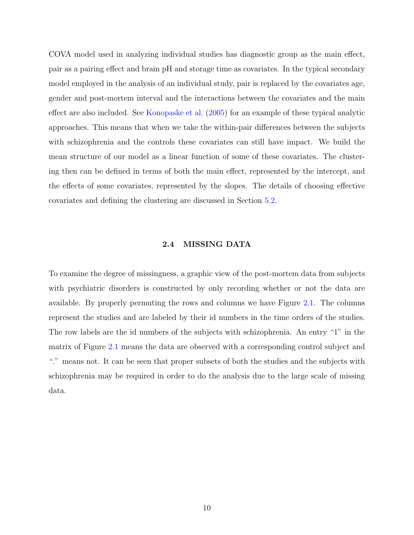<span id="page-19-0"></span>COVA model used in analyzing individual studies has diagnostic group as the main effect, pair as a pairing effect and brain pH and storage time as covariates. In the typical secondary model employed in the analysis of an individual study, pair is replaced by the covariates age, gender and post-mortem interval and the interactions between the covariates and the main effect are also included. See [Konopaske et al.](#page-93-0) [\(2005\)](#page-93-0) for an example of these typical analytic approaches. This means that when we take the within-pair differences between the subjects with schizophrenia and the controls these covariates can still have impact. We build the mean structure of our model as a linear function of some of these covariates. The clustering then can be defined in terms of both the main effect, represented by the intercept, and the effects of some covariates, represented by the slopes. The details of choosing effective covariates and defining the clustering are discussed in Section [5.2.](#page-61-0)

#### 2.4 MISSING DATA

To examine the degree of missingness, a graphic view of the post-mortem data from subjects with psychiatric disorders is constructed by only recording whether or not the data are available. By properly permuting the rows and columns we have Figure [2.1.](#page-20-0) The columns represent the studies and are labeled by their id numbers in the time orders of the studies. The row labels are the id numbers of the subjects with schizophrenia. An entry "1" in the matrix of Figure [2.1](#page-20-0) means the data are observed with a corresponding control subject and "." means not. It can be seen that proper subsets of both the studies and the subjects with schizophrenia may be required in order to do the analysis due to the large scale of missing data.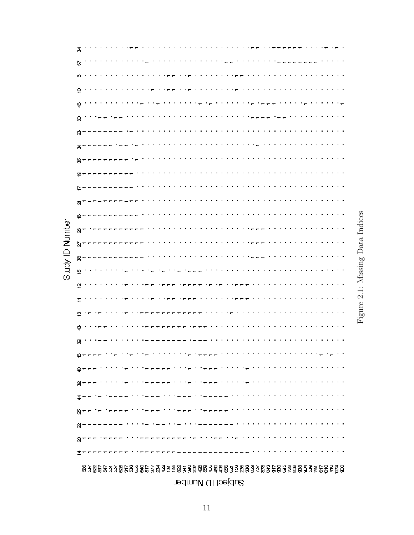<span id="page-20-0"></span>

|          | त्र                                                                                                                               |
|----------|-----------------------------------------------------------------------------------------------------------------------------------|
|          | $\sim 1000$ and $\sim 100$                                                                                                        |
|          | D                                                                                                                                 |
|          | ю                                                                                                                                 |
|          | 9<br>$\sim$ $\sim$<br><b>Service</b> State<br>.                                                                                   |
|          | エエエエエエエエ<br>4<br>$\mathcal{O}(\mathcal{O}_\mathcal{O})$ .<br>$\sim 100$<br>$\overline{\phantom{a}}$                               |
|          | <b>Contract</b><br>8                                                                                                              |
|          | Ñ<br>the company of the                                                                                                           |
|          | .<br>ē,<br><u>— —</u>                                                                                                             |
|          | ₩-<br><b>Pro 19</b>                                                                                                               |
|          | 혼도                                                                                                                                |
|          | .<br>₽                                                                                                                            |
|          | N                                                                                                                                 |
|          | .<br>은 -                                                                                                                          |
| Number   | R -                                                                                                                               |
|          | <b>State State</b><br>p –                                                                                                         |
|          | .<br>.<br>8 −                                                                                                                     |
| Gludy ID | 9<br>the control of the con-                                                                                                      |
|          | o.<br>the contract of the contract<br>----                                                                                        |
|          | .                                                                                                                                 |
|          | P                                                                                                                                 |
|          |                                                                                                                                   |
|          | q                                                                                                                                 |
|          | 8                                                                                                                                 |
|          | , where the state is the state of the state of the state of $\mathcal{A}$<br>de presidente provincia de celebre<br>p - - - -      |
|          | والمتمام والمتمام والمتمام والمتمام والمتهاد والمتهاجية والمتمالية والمستشفية والمتمالية والمتمار<br>유누누드                         |
|          | in die beskryf die <del>beskryf i</del> n die heel beskryf die beskryf die het die beskryf die het het die hele het die h<br>영도도도 |
|          | 薄的的过去式和过去分词使用的的过去式和过去分词的的形式 医无力性性白血性白血性白血性白血性白血性白血                                                                                |
|          | teene titlene titlene aan die eerste van die het van die het van die het van die he<br>8 - -<br>- 7                               |
|          | .<br>$\sim$ mm $\sim$ mm $\sim$ . The mean means $\sim$ 1.1                                                                       |
|          |                                                                                                                                   |
|          | 프트<br><br>--------                                                                                                                |
|          |                                                                                                                                   |

Figure 2.1: Missing Data Indices Figure 2.1: Missing Data Indices

Subject ID Number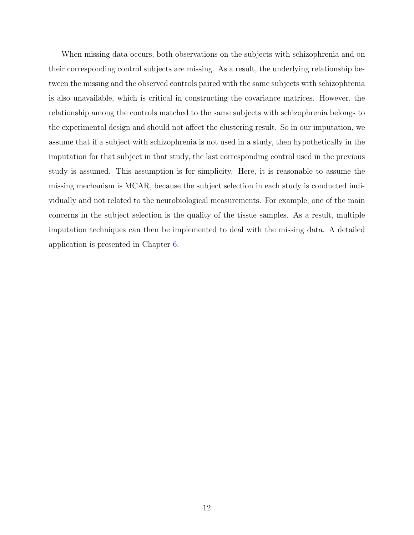When missing data occurs, both observations on the subjects with schizophrenia and on their corresponding control subjects are missing. As a result, the underlying relationship between the missing and the observed controls paired with the same subjects with schizophrenia is also unavailable, which is critical in constructing the covariance matrices. However, the relationship among the controls matched to the same subjects with schizophrenia belongs to the experimental design and should not affect the clustering result. So in our imputation, we assume that if a subject with schizophrenia is not used in a study, then hypothetically in the imputation for that subject in that study, the last corresponding control used in the previous study is assumed. This assumption is for simplicity. Here, it is reasonable to assume the missing mechanism is MCAR, because the subject selection in each study is conducted individually and not related to the neurobiological measurements. For example, one of the main concerns in the subject selection is the quality of the tissue samples. As a result, multiple imputation techniques can then be implemented to deal with the missing data. A detailed application is presented in Chapter [6.](#page-76-0)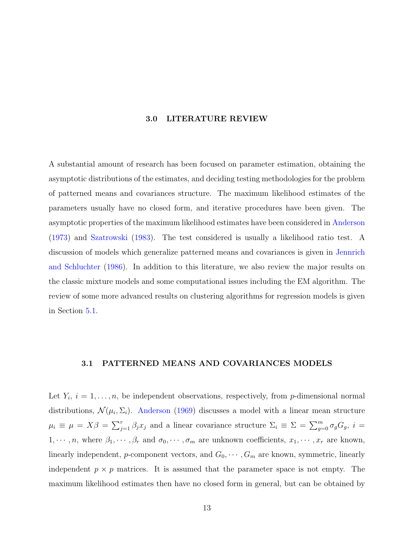#### 3.0 LITERATURE REVIEW

<span id="page-22-0"></span>A substantial amount of research has been focused on parameter estimation, obtaining the asymptotic distributions of the estimates, and deciding testing methodologies for the problem of patterned means and covariances structure. The maximum likelihood estimates of the parameters usually have no closed form, and iterative procedures have been given. The asymptotic properties of the maximum likelihood estimates have been considered in [Anderson](#page-92-0) [\(1973\)](#page-92-0) and [Szatrowski](#page-94-0) [\(1983\)](#page-94-0). The test considered is usually a likelihood ratio test. A discussion of models which generalize patterned means and covariances is given in [Jennrich](#page-93-0) [and Schluchter](#page-93-0) [\(1986\)](#page-93-0). In addition to this literature, we also review the major results on the classic mixture models and some computational issues including the EM algorithm. The review of some more advanced results on clustering algorithms for regression models is given in Section [5.1.](#page-58-0)

#### 3.1 PATTERNED MEANS AND COVARIANCES MODELS

Let  $Y_i$ ,  $i = 1, \ldots, n$ , be independent observations, respectively, from p-dimensional normal distributions,  $\mathcal{N}(\mu_i, \Sigma_i)$ . [Anderson](#page-92-0) [\(1969\)](#page-92-0) discusses a model with a linear mean structure  $\mu_i \equiv \mu = X\beta = \sum_{j=1}^r \beta_j x_j$  and a linear covariance structure  $\Sigma_i \equiv \Sigma = \sum_{g=0}^m \sigma_g G_g$ ,  $i =$  $1, \dots, n$ , where  $\beta_1, \dots, \beta_r$  and  $\sigma_0, \dots, \sigma_m$  are unknown coefficients,  $x_1, \dots, x_r$  are known, linearly independent, p-component vectors, and  $G_0, \dots, G_m$  are known, symmetric, linearly independent  $p \times p$  matrices. It is assumed that the parameter space is not empty. The maximum likelihood estimates then have no closed form in general, but can be obtained by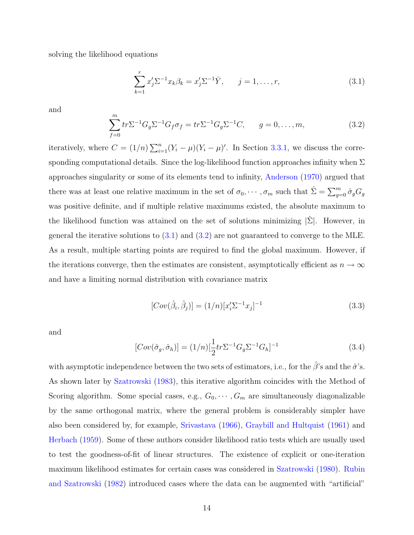solving the likelihood equations

 $\sim$ 

$$
\sum_{k=1}^{r} x'_j \Sigma^{-1} x_k \beta_k = x'_j \Sigma^{-1} \bar{Y}, \qquad j = 1, \dots, r,
$$
\n(3.1)

and

$$
\sum_{f=0}^{m} tr \Sigma^{-1} G_g \Sigma^{-1} G_f \sigma_f = tr \Sigma^{-1} G_g \Sigma^{-1} C, \qquad g = 0, \dots, m,
$$
 (3.2)

iteratively, where  $C = (1/n) \sum_{i=1}^{n}$  $\sum_{i=1}^{n} (Y_i - \mu)(Y_i - \mu)'$ . In Section [3.3.1,](#page-27-0) we discuss the corresponding computational details. Since the log-likelihood function approaches infinity when  $\Sigma$ approaches singularity or some of its elements tend to infinity, [Anderson](#page-92-0) [\(1970\)](#page-92-0) argued that there was at least one relative maximum in the set of  $\sigma_0, \cdots, \sigma_m$  such that  $\hat{\Sigma} = \sum_{g=0}^m \hat{\sigma}_g G_g$ was positive definite, and if multiple relative maximums existed, the absolute maximum to the likelihood function was attained on the set of solutions minimizing  $|\hat{\Sigma}|$ . However, in general the iterative solutions to  $(3.1)$  and  $(3.2)$  are not guaranteed to converge to the MLE. As a result, multiple starting points are required to find the global maximum. However, if the iterations converge, then the estimates are consistent, asymptotically efficient as  $n \to \infty$ and have a limiting normal distribution with covariance matrix

$$
[Cov(\hat{\beta}_i, \hat{\beta}_j)] = (1/n)[x_i' \Sigma^{-1} x_j]^{-1}
$$
\n(3.3)

and

$$
[Cov(\hat{\sigma}_g, \hat{\sigma}_h)] = (1/n)[\frac{1}{2}tr\Sigma^{-1}G_g\Sigma^{-1}G_h]^{-1}
$$
\n(3.4)

with asymptotic independence between the two sets of estimators, i.e., for the  $\hat{\beta}$ 's and the  $\hat{\sigma}$ 's. As shown later by [Szatrowski](#page-94-0) [\(1983\)](#page-94-0), this iterative algorithm coincides with the Method of Scoring algorithm. Some special cases, e.g.,  $G_0, \dots, G_m$  are simultaneously diagonalizable by the same orthogonal matrix, where the general problem is considerably simpler have also been considered by, for example, [Srivastava](#page-94-0) [\(1966\)](#page-94-0), [Graybill and Hultquist](#page-92-0) [\(1961\)](#page-92-0) and [Herbach](#page-93-0) [\(1959\)](#page-93-0). Some of these authors consider likelihood ratio tests which are usually used to test the goodness-of-fit of linear structures. The existence of explicit or one-iteration maximum likelihood estimates for certain cases was considered in [Szatrowski](#page-94-0) [\(1980\)](#page-94-0). [Rubin](#page-94-0) [and Szatrowski](#page-94-0) [\(1982\)](#page-94-0) introduced cases where the data can be augmented with "artificial"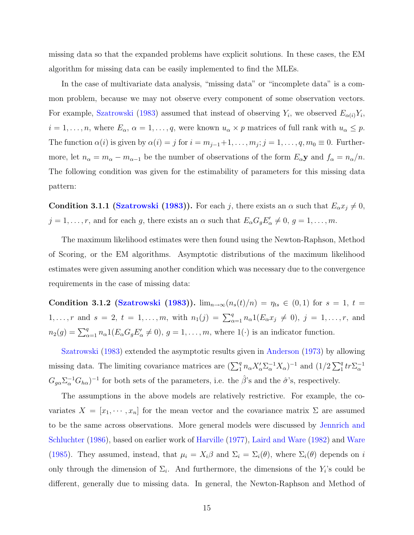missing data so that the expanded problems have explicit solutions. In these cases, the EM algorithm for missing data can be easily implemented to find the MLEs.

In the case of multivariate data analysis, "missing data" or "incomplete data" is a common problem, because we may not observe every component of some observation vectors. For example, [Szatrowski](#page-94-0) [\(1983\)](#page-94-0) assumed that instead of observing  $Y_i$ , we observed  $E_{\alpha(i)}Y_i$ ,  $i = 1, \ldots, n$ , where  $E_{\alpha}$ ,  $\alpha = 1, \ldots, q$ , were known  $u_{\alpha} \times p$  matrices of full rank with  $u_{\alpha} \leq p$ . The function  $\alpha(i)$  is given by  $\alpha(i) = j$  for  $i = m_{j-1}+1, \ldots, m_j; j = 1, \ldots, q, m_0 \equiv 0$ . Furthermore, let  $n_{\alpha} = m_{\alpha} - m_{\alpha-1}$  be the number of observations of the form  $E_{\alpha}$ **y** and  $f_{\alpha} = n_{\alpha}/n$ . The following condition was given for the estimability of parameters for this missing data pattern:

**Condition 3.1.1 [\(Szatrowski](#page-94-0) [\(1983\)](#page-94-0)).** For each j, there exists an  $\alpha$  such that  $E_{\alpha}x_j \neq 0$ ,  $j = 1, \ldots, r$ , and for each g, there exists an  $\alpha$  such that  $E_{\alpha}G_{g}E'_{\alpha} \neq 0, g = 1, \ldots, m$ .

The maximum likelihood estimates were then found using the Newton-Raphson, Method of Scoring, or the EM algorithms. Asymptotic distributions of the maximum likelihood estimates were given assuming another condition which was necessary due to the convergence requirements in the case of missing data:

Condition 3.1.2 [\(Szatrowski](#page-94-0) [\(1983\)](#page-94-0)).  $\lim_{n\to\infty} (n_s(t)/n) = \eta_{ts} \in (0,1)$  for  $s = 1, t =$ 1,..., r and  $s = 2$ ,  $t = 1, \ldots, m$ , with  $n_1(j) = \sum_{\alpha=1}^q n_\alpha 1(E_\alpha x_j \neq 0)$ ,  $j = 1, \ldots, r$ , and  $n_2(g) = \sum_{\alpha=1}^q n_\alpha 1(E_\alpha G_g E'_\alpha \neq 0), g = 1, \ldots, m$ , where  $1(\cdot)$  is an indicator function.

[Szatrowski](#page-94-0) [\(1983\)](#page-94-0) extended the asymptotic results given in [Anderson](#page-92-0) [\(1973\)](#page-92-0) by allowing missing data. The limiting covariance matrices are  $(\sum_1^q n_\alpha X_\alpha' \sum_\alpha^{-1} X_\alpha)^{-1}$  and  $(1/2 \sum_1^q$  $\frac{q}{1}$ tr $\Sigma_{\alpha}^{-1}$  $G_{g\alpha}\Sigma_{\alpha}^{-1}G_{h\alpha}$ <sup>-1</sup> for both sets of the parameters, i.e. the  $\hat{\beta}$ 's and the  $\hat{\sigma}$ 's, respectively.

The assumptions in the above models are relatively restrictive. For example, the covariates  $X = [x_1, \dots, x_n]$  for the mean vector and the covariance matrix  $\Sigma$  are assumed to be the same across observations. More general models were discussed by [Jennrich and](#page-93-0) [Schluchter](#page-93-0) [\(1986\)](#page-93-0), based on earlier work of [Harville](#page-93-0) [\(1977\)](#page-93-0), [Laird and Ware](#page-93-0) [\(1982\)](#page-93-0) and [Ware](#page-94-0) [\(1985\)](#page-94-0). They assumed, instead, that  $\mu_i = X_i \beta$  and  $\Sigma_i = \Sigma_i(\theta)$ , where  $\Sigma_i(\theta)$  depends on i only through the dimension of  $\Sigma_i$ . And furthermore, the dimensions of the  $Y_i$ 's could be different, generally due to missing data. In general, the Newton-Raphson and Method of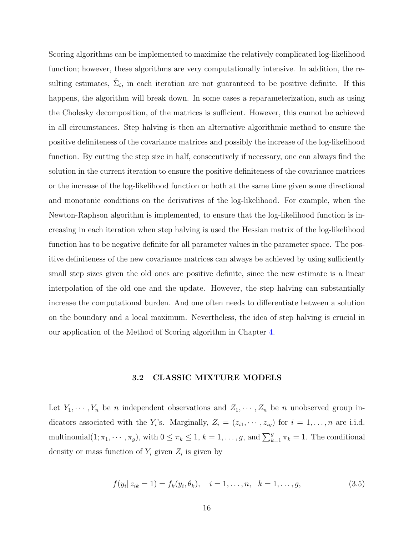<span id="page-25-0"></span>Scoring algorithms can be implemented to maximize the relatively complicated log-likelihood function; however, these algorithms are very computationally intensive. In addition, the resulting estimates,  $\hat{\Sigma}_i$ , in each iteration are not guaranteed to be positive definite. If this happens, the algorithm will break down. In some cases a reparameterization, such as using the Cholesky decomposition, of the matrices is sufficient. However, this cannot be achieved in all circumstances. Step halving is then an alternative algorithmic method to ensure the positive definiteness of the covariance matrices and possibly the increase of the log-likelihood function. By cutting the step size in half, consecutively if necessary, one can always find the solution in the current iteration to ensure the positive definiteness of the covariance matrices or the increase of the log-likelihood function or both at the same time given some directional and monotonic conditions on the derivatives of the log-likelihood. For example, when the Newton-Raphson algorithm is implemented, to ensure that the log-likelihood function is increasing in each iteration when step halving is used the Hessian matrix of the log-likelihood function has to be negative definite for all parameter values in the parameter space. The positive definiteness of the new covariance matrices can always be achieved by using sufficiently small step sizes given the old ones are positive definite, since the new estimate is a linear interpolation of the old one and the update. However, the step halving can substantially increase the computational burden. And one often needs to differentiate between a solution on the boundary and a local maximum. Nevertheless, the idea of step halving is crucial in our application of the Method of Scoring algorithm in Chapter [4.](#page-31-0)

#### 3.2 CLASSIC MIXTURE MODELS

Let  $Y_1, \dots, Y_n$  be *n* independent observations and  $Z_1, \dots, Z_n$  be *n* unobserved group indicators associated with the  $Y_i$ 's. Marginally,  $Z_i = (z_{i1}, \dots, z_{iq})$  for  $i = 1, \dots, n$  are i.i.d. multinomial $(1; \pi_1, \dots, \pi_g)$ , with  $0 \leq \pi_k \leq 1$ ,  $k = 1, \dots, g$ , and  $\sum_{k=1}^g \pi_k = 1$ . The conditional density or mass function of  $Y_i$  given  $Z_i$  is given by

$$
f(y_i | z_{ik} = 1) = f_k(y_i, \theta_k), \quad i = 1, \dots, n, \quad k = 1, \dots, g,
$$
\n(3.5)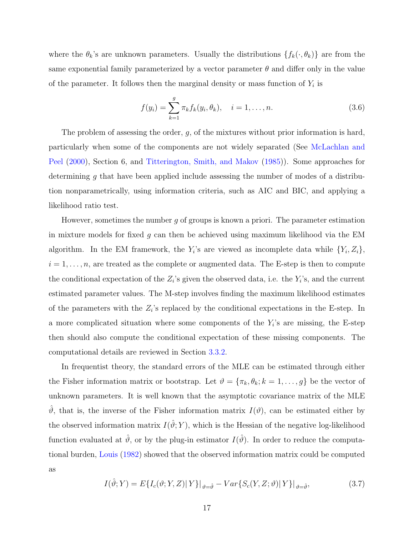where the  $\theta_k$ 's are unknown parameters. Usually the distributions  $\{f_k(\cdot, \theta_k)\}\$  are from the same exponential family parameterized by a vector parameter  $\theta$  and differ only in the value of the parameter. It follows then the marginal density or mass function of  $Y_i$  is

$$
f(y_i) = \sum_{k=1}^{g} \pi_k f_k(y_i, \theta_k), \quad i = 1, \dots, n.
$$
 (3.6)

The problem of assessing the order,  $g$ , of the mixtures without prior information is hard, particularly when some of the components are not widely separated (See [McLachlan and](#page-94-0) [Peel](#page-94-0) [\(2000\)](#page-94-0), Section 6, and [Titterington, Smith, and Makov](#page-94-0) [\(1985\)](#page-94-0)). Some approaches for determining g that have been applied include assessing the number of modes of a distribution nonparametrically, using information criteria, such as AIC and BIC, and applying a likelihood ratio test.

However, sometimes the number  $g$  of groups is known a priori. The parameter estimation in mixture models for fixed g can then be achieved using maximum likelihood via the  $EM$ algorithm. In the EM framework, the  $Y_i$ 's are viewed as incomplete data while  $\{Y_i, Z_i\}$ ,  $i = 1, \ldots, n$ , are treated as the complete or augmented data. The E-step is then to compute the conditional expectation of the  $Z_i$ 's given the observed data, i.e. the  $Y_i$ 's, and the current estimated parameter values. The M-step involves finding the maximum likelihood estimates of the parameters with the  $Z_i$ 's replaced by the conditional expectations in the E-step. In a more complicated situation where some components of the  $Y_i$ 's are missing, the E-step then should also compute the conditional expectation of these missing components. The computational details are reviewed in Section [3.3.2.](#page-29-0)

In frequentist theory, the standard errors of the MLE can be estimated through either the Fisher information matrix or bootstrap. Let  $\vartheta = {\pi_k, \theta_k; k = 1, ..., g}$  be the vector of unknown parameters. It is well known that the asymptotic covariance matrix of the MLE  $\vartheta$ , that is, the inverse of the Fisher information matrix  $I(\vartheta)$ , can be estimated either by the observed information matrix  $I(\hat{\vartheta}; Y)$ , which is the Hessian of the negative log-likelihood function evaluated at  $\hat{\vartheta}$ , or by the plug-in estimator  $I(\hat{\vartheta})$ . In order to reduce the computational burden, [Louis](#page-94-0) [\(1982\)](#page-94-0) showed that the observed information matrix could be computed as

$$
I(\hat{\vartheta};Y) = E\{I_c(\vartheta;Y,Z)|Y\}\big|_{\vartheta=\hat{\vartheta}} - Var\{S_c(Y,Z;\vartheta)|Y\}\big|_{\vartheta=\hat{\vartheta}},\tag{3.7}
$$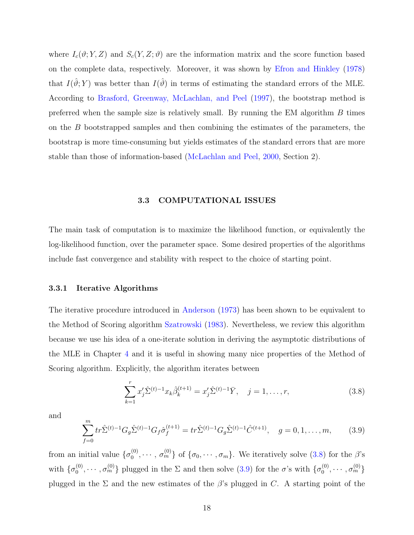<span id="page-27-0"></span>where  $I_c(\vartheta; Y, Z)$  and  $S_c(Y, Z; \vartheta)$  are the information matrix and the score function based on the complete data, respectively. Moreover, it was shown by [Efron and Hinkley](#page-92-0) [\(1978\)](#page-92-0) that  $I(\hat{\theta}; Y)$  was better than  $I(\hat{\theta})$  in terms of estimating the standard errors of the MLE. According to [Brasford, Greenway, McLachlan, and Peel](#page-92-0) [\(1997\)](#page-92-0), the bootstrap method is preferred when the sample size is relatively small. By running the EM algorithm  $B$  times on the  $B$  bootstrapped samples and then combining the estimates of the parameters, the bootstrap is more time-consuming but yields estimates of the standard errors that are more stable than those of information-based [\(McLachlan and Peel,](#page-94-0) [2000,](#page-94-0) Section 2).

#### 3.3 COMPUTATIONAL ISSUES

The main task of computation is to maximize the likelihood function, or equivalently the log-likelihood function, over the parameter space. Some desired properties of the algorithms include fast convergence and stability with respect to the choice of starting point.

#### 3.3.1 Iterative Algorithms

The iterative procedure introduced in [Anderson](#page-92-0) [\(1973\)](#page-92-0) has been shown to be equivalent to the Method of Scoring algorithm [Szatrowski](#page-94-0) [\(1983\)](#page-94-0). Nevertheless, we review this algorithm because we use his idea of a one-iterate solution in deriving the asymptotic distributions of the MLE in Chapter [4](#page-31-0) and it is useful in showing many nice properties of the Method of Scoring algorithm. Explicitly, the algorithm iterates between

$$
\sum_{k=1}^{r} x_j' \hat{\Sigma}^{(t)-1} x_k \hat{\beta}_k^{(t+1)} = x_j' \hat{\Sigma}^{(t)-1} \bar{Y}, \quad j = 1, \dots, r,
$$
\n(3.8)

and

$$
\sum_{f=0}^{m} tr \hat{\Sigma}^{(t)-1} G_g \hat{\Sigma}^{(t)-1} G_f \hat{\sigma}_f^{(t+1)} = tr \hat{\Sigma}^{(t)-1} G_g \hat{\Sigma}^{(t)-1} \hat{C}^{(t+1)}, \quad g = 0, 1, \dots, m,
$$
 (3.9)

from an initial value  $\{\sigma_0^{(0)}\}$  $\{\sigma_0^{(0)}, \cdots, \sigma_m^{(0)}\}$  of  $\{\sigma_0, \cdots, \sigma_m\}$ . We iteratively solve (3.8) for the  $\beta$ 's with  $\{\sigma_0^{(0)}\}$  $\{0,000,\cdots,\sigma_m^{(0)}\}$  plugged in the  $\Sigma$  and then solve  $(3.9)$  for the  $\sigma$ 's with  $\{\sigma_0^{(0)}\}$  $\{\boldsymbol{\sigma}_0^{(0)},\cdots,\sigma_m^{(0)}\}$ plugged in the  $\Sigma$  and the new estimates of the  $\beta$ 's plugged in C. A starting point of the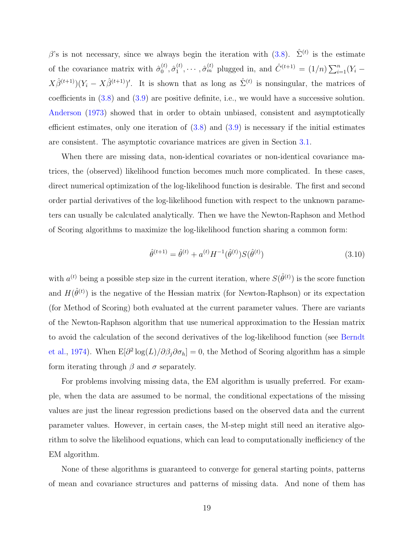β's is not necessary, since we always begin the iteration with [\(3.8\)](#page-27-0).  $\hat{\Sigma}^{(t)}$  is the estimate of the covariance matrix with  $\hat{\sigma}_0^{(t)}$  $\overset{(t)}{0}, \overset{\hat{\sigma}^{(t)}}{1}$  $\hat{C}_{1}^{(t)}, \cdots, \hat{\sigma}_{m}^{(t)}$  plugged in, and  $\hat{C}^{(t+1)} = (1/n) \sum_{i=1}^{n}$  $\binom{n}{i=1}(Y_i X\hat{\beta}^{(t+1)}(Y_i - X\hat{\beta}^{(t+1)})'$ . It is shown that as long as  $\hat{\Sigma}^{(t)}$  is nonsingular, the matrices of coefficients in [\(3.8\)](#page-27-0) and [\(3.9\)](#page-27-0) are positive definite, i.e., we would have a successive solution. [Anderson](#page-92-0) [\(1973\)](#page-92-0) showed that in order to obtain unbiased, consistent and asymptotically efficient estimates, only one iteration of  $(3.8)$  and  $(3.9)$  is necessary if the initial estimates are consistent. The asymptotic covariance matrices are given in Section [3.1.](#page-22-0)

When there are missing data, non-identical covariates or non-identical covariance matrices, the (observed) likelihood function becomes much more complicated. In these cases, direct numerical optimization of the log-likelihood function is desirable. The first and second order partial derivatives of the log-likelihood function with respect to the unknown parameters can usually be calculated analytically. Then we have the Newton-Raphson and Method of Scoring algorithms to maximize the log-likelihood function sharing a common form:

$$
\hat{\theta}^{(t+1)} = \hat{\theta}^{(t)} + a^{(t)} H^{-1}(\hat{\theta}^{(t)}) S(\hat{\theta}^{(t)})
$$
\n(3.10)

with  $a^{(t)}$  being a possible step size in the current iteration, where  $S(\hat{\theta}^{(t)})$  is the score function and  $H(\hat{\theta}^{(t)})$  is the negative of the Hessian matrix (for Newton-Raphson) or its expectation (for Method of Scoring) both evaluated at the current parameter values. There are variants of the Newton-Raphson algorithm that use numerical approximation to the Hessian matrix to avoid the calculation of the second derivatives of the log-likelihood function (see [Berndt](#page-92-0) [et al.,](#page-92-0) [1974\)](#page-92-0). When  $E[\partial^2 \log(L)/\partial \beta_j \partial \sigma_h] = 0$ , the Method of Scoring algorithm has a simple form iterating through  $\beta$  and  $\sigma$  separately.

For problems involving missing data, the EM algorithm is usually preferred. For example, when the data are assumed to be normal, the conditional expectations of the missing values are just the linear regression predictions based on the observed data and the current parameter values. However, in certain cases, the M-step might still need an iterative algorithm to solve the likelihood equations, which can lead to computationally inefficiency of the EM algorithm.

None of these algorithms is guaranteed to converge for general starting points, patterns of mean and covariance structures and patterns of missing data. And none of them has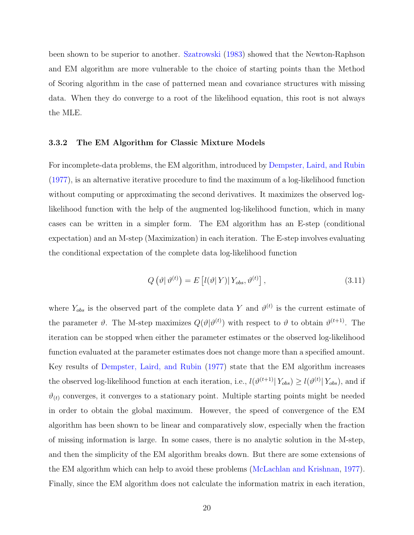<span id="page-29-0"></span>been shown to be superior to another. [Szatrowski](#page-94-0) [\(1983\)](#page-94-0) showed that the Newton-Raphson and EM algorithm are more vulnerable to the choice of starting points than the Method of Scoring algorithm in the case of patterned mean and covariance structures with missing data. When they do converge to a root of the likelihood equation, this root is not always the MLE.

#### 3.3.2 The EM Algorithm for Classic Mixture Models

For incomplete-data problems, the EM algorithm, introduced by [Dempster, Laird, and Rubin](#page-92-0) [\(1977\)](#page-92-0), is an alternative iterative procedure to find the maximum of a log-likelihood function without computing or approximating the second derivatives. It maximizes the observed loglikelihood function with the help of the augmented log-likelihood function, which in many cases can be written in a simpler form. The EM algorithm has an E-step (conditional expectation) and an M-step (Maximization) in each iteration. The E-step involves evaluating the conditional expectation of the complete data log-likelihood function

$$
Q\left(\vartheta|\,\vartheta^{(t)}\right) = E\left[l(\vartheta|Y)|\,Y_{obs},\vartheta^{(t)}\right],\tag{3.11}
$$

where  $Y_{obs}$  is the observed part of the complete data Y and  $\vartheta^{(t)}$  is the current estimate of the parameter  $\vartheta$ . The M-step maximizes  $Q(\vartheta|\vartheta^{(t)})$  with respect to  $\vartheta$  to obtain  $\vartheta^{(t+1)}$ . The iteration can be stopped when either the parameter estimates or the observed log-likelihood function evaluated at the parameter estimates does not change more than a specified amount. Key results of [Dempster, Laird, and Rubin](#page-92-0) [\(1977\)](#page-92-0) state that the EM algorithm increases the observed log-likelihood function at each iteration, i.e.,  $l(\vartheta^{(t+1)} | Y_{obs}) \ge l(\vartheta^{(t)} | Y_{obs})$ , and if  $\vartheta_{(t)}$  converges, it converges to a stationary point. Multiple starting points might be needed in order to obtain the global maximum. However, the speed of convergence of the EM algorithm has been shown to be linear and comparatively slow, especially when the fraction of missing information is large. In some cases, there is no analytic solution in the M-step, and then the simplicity of the EM algorithm breaks down. But there are some extensions of the EM algorithm which can help to avoid these problems [\(McLachlan and Krishnan,](#page-94-0) [1977\)](#page-94-0). Finally, since the EM algorithm does not calculate the information matrix in each iteration,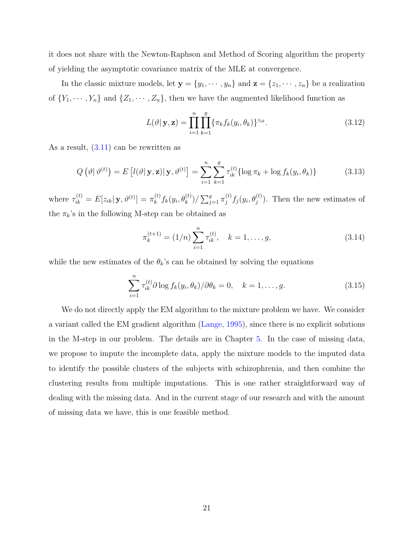it does not share with the Newton-Raphson and Method of Scoring algorithm the property of yielding the asymptotic covariance matrix of the MLE at convergence.

In the classic mixture models, let  $y = \{y_1, \dots, y_n\}$  and  $z = \{z_1, \dots, z_n\}$  be a realization of  $\{Y_1, \dots, Y_n\}$  and  $\{Z_1, \dots, Z_n\}$ , then we have the augmented likelihood function as

$$
L(\vartheta | \mathbf{y}, \mathbf{z}) = \prod_{i=1}^{n} \prod_{k=1}^{g} \{ \pi_k f_k(y_i, \theta_k) \}^{z_{ik}}.
$$
 (3.12)

As a result, [\(3.11\)](#page-29-0) can be rewritten as

$$
Q\left(\vartheta|\,\vartheta^{(t)}\right) = E\left[l(\vartheta|\,\mathbf{y},\mathbf{z})|\,\mathbf{y},\vartheta^{(t)}\right] = \sum_{i=1}^{n} \sum_{k=1}^{g} \tau_{ik}^{(t)}\{\log \pi_k + \log f_k(y_i,\theta_k)\}\tag{3.13}
$$

where  $\tau_{ik}^{(t)} = E[z_{ik} | \mathbf{y}, \vartheta^{(t)}] = \pi_k^{(t)}$  $\binom{k}{k} f_k(y_i, \theta_k^{(t)}) / \sum_j^g$  $_{j=1}^{g}\pi_{j}^{(t)}$  $j^{(t)}_j f_j(y_i, \theta_j^{(t)})$ . Then the new estimates of the  $\pi_k\text{'s}$  in the following M-step can be obtained as

$$
\pi_k^{(t+1)} = (1/n) \sum_{i=1}^n \tau_{ik}^{(t)}, \quad k = 1, \dots, g,
$$
\n(3.14)

while the new estimates of the  $\theta_k$ 's can be obtained by solving the equations

$$
\sum_{i=1}^{n} \tau_{ik}^{(t)} \partial \log f_k(y_i, \theta_k) / \partial \theta_k = 0, \quad k = 1, \dots, g.
$$
 (3.15)

We do not directly apply the EM algorithm to the mixture problem we have. We consider a variant called the EM gradient algorithm [\(Lange,](#page-93-0) [1995\)](#page-93-0), since there is no explicit solutions in the M-step in our problem. The details are in Chapter [5.](#page-58-0) In the case of missing data, we propose to impute the incomplete data, apply the mixture models to the imputed data to identify the possible clusters of the subjects with schizophrenia, and then combine the clustering results from multiple imputations. This is one rather straightforward way of dealing with the missing data. And in the current stage of our research and with the amount of missing data we have, this is one feasible method.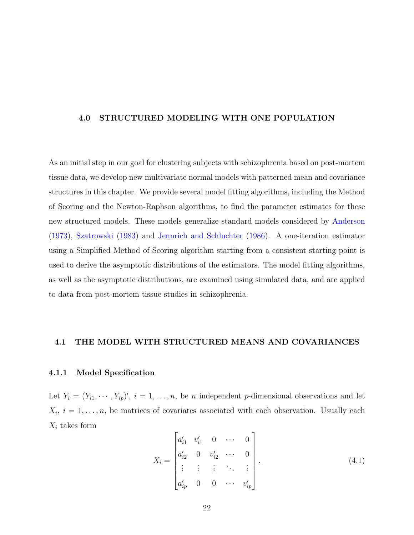#### <span id="page-31-0"></span>4.0 STRUCTURED MODELING WITH ONE POPULATION

As an initial step in our goal for clustering subjects with schizophrenia based on post-mortem tissue data, we develop new multivariate normal models with patterned mean and covariance structures in this chapter. We provide several model fitting algorithms, including the Method of Scoring and the Newton-Raphson algorithms, to find the parameter estimates for these new structured models. These models generalize standard models considered by [Anderson](#page-92-0) [\(1973\)](#page-92-0), [Szatrowski](#page-94-0) [\(1983\)](#page-94-0) and [Jennrich and Schluchter](#page-93-0) [\(1986\)](#page-93-0). A one-iteration estimator using a Simplified Method of Scoring algorithm starting from a consistent starting point is used to derive the asymptotic distributions of the estimators. The model fitting algorithms, as well as the asymptotic distributions, are examined using simulated data, and are applied to data from post-mortem tissue studies in schizophrenia.

#### 4.1 THE MODEL WITH STRUCTURED MEANS AND COVARIANCES

#### 4.1.1 Model Specification

Let  $Y_i = (Y_{i1}, \dots, Y_{ip})'$ ,  $i = 1, \dots, n$ , be *n* independent *p*-dimensional observations and let  $X_i, i = 1, \ldots, n$ , be matrices of covariates associated with each observation. Usually each  $X_i$  takes form  $\overline{a}$  $\overline{a}$ 

$$
X_{i} = \begin{bmatrix} a'_{i1} & v'_{i1} & 0 & \cdots & 0 \\ a'_{i2} & 0 & v'_{i2} & \cdots & 0 \\ \vdots & \vdots & \vdots & \ddots & \vdots \\ a'_{ip} & 0 & 0 & \cdots & v'_{ip} \end{bmatrix},
$$
(4.1)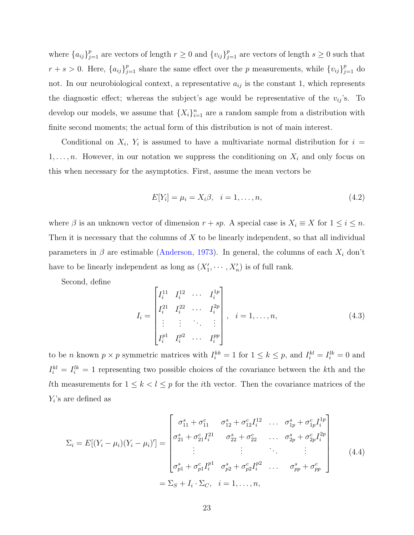<span id="page-32-0"></span>where  ${a_{ij}}_{j=1}^p$  are vectors of length  $r \geq 0$  and  ${v_{ij}}_{j=1}^p$  are vectors of length  $s \geq 0$  such that  $r + s > 0$ . Here,  ${a_{ij}}_{j=1}^p$  share the same effect over the p measurements, while  ${v_{ij}}_{j=1}^p$  do not. In our neurobiological context, a representative  $a_{ij}$  is the constant 1, which represents the diagnostic effect; whereas the subject's age would be representative of the  $v_{ij}$ 's. To develop our models, we assume that  $\{X_i\}_{i=1}^n$  are a random sample from a distribution with finite second moments; the actual form of this distribution is not of main interest.

Conditional on  $X_i$ ,  $Y_i$  is assumed to have a multivariate normal distribution for  $i =$  $1, \ldots, n$ . However, in our notation we suppress the conditioning on  $X_i$  and only focus on this when necessary for the asymptotics. First, assume the mean vectors be

$$
E[Y_i] = \mu_i = X_i \beta, \quad i = 1, \dots, n,
$$
\n(4.2)

where  $\beta$  is an unknown vector of dimension  $r + sp$ . A special case is  $X_i \equiv X$  for  $1 \le i \le n$ . Then it is necessary that the columns of  $X$  to be linearly independent, so that all individual parameters in  $\beta$  are estimable [\(Anderson,](#page-92-0) [1973\)](#page-92-0). In general, the columns of each  $X_i$  don't have to be linearly independent as long as  $(X'_1, \dots, X'_n)$  is of full rank.

Second, define

$$
I_{i} = \begin{bmatrix} I_{i}^{11} & I_{i}^{12} & \cdots & I_{i}^{1p} \\ I_{i}^{21} & I_{i}^{22} & \cdots & I_{i}^{2p} \\ \vdots & \vdots & \ddots & \vdots \\ I_{i}^{p1} & I_{i}^{p2} & \cdots & I_{i}^{pp} \end{bmatrix}, \quad i = 1, \ldots, n,
$$
\n(4.3)

to be *n* known  $p \times p$  symmetric matrices with  $I_i^{kk} = 1$  for  $1 \le k \le p$ , and  $I_i^{kl} = I_i^{lk} = 0$  and  $I_i^{kl} = I_i^{lk} = 1$  representing two possible choices of the covariance between the kth and the Ith measurements for  $1 \leq k < l \leq p$  for the *i*th vector. Then the covariance matrices of the  $Y_i$ 's are defined as

$$
\Sigma_{i} = E[(Y_{i} - \mu_{i})(Y_{i} - \mu_{i})'] = \begin{bmatrix}\n\sigma_{11}^{s} + \sigma_{11}^{c} & \sigma_{12}^{s} + \sigma_{12}^{c} I_{i}^{12} & \dots & \sigma_{1p}^{s} + \sigma_{1p}^{c} I_{i}^{1p} \\
\sigma_{21}^{s} + \sigma_{21}^{c} I_{i}^{21} & \sigma_{22}^{s} + \sigma_{22}^{c} & \dots & \sigma_{2p}^{s} + \sigma_{2p}^{c} I_{i}^{2p} \\
\vdots & \vdots & \ddots & \vdots \\
\sigma_{p1}^{s} + \sigma_{p1}^{c} I_{i}^{p1} & \sigma_{p2}^{s} + \sigma_{p2}^{c} I_{i}^{p2} & \dots & \sigma_{pp}^{s} + \sigma_{pp}^{c}\n\end{bmatrix}
$$
\n
$$
= \Sigma_{S} + I_{i} \cdot \Sigma_{C}, \quad i = 1, \dots, n,
$$
\n(4.4)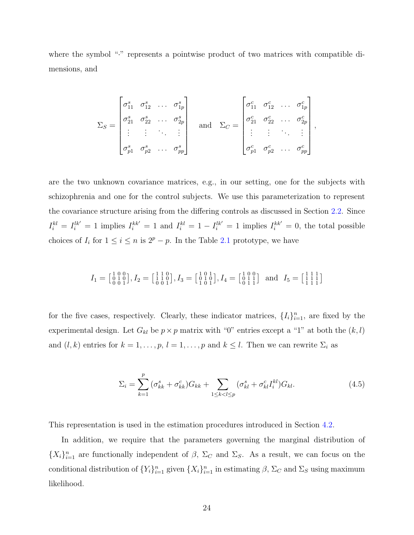where the symbol "·" represents a pointwise product of two matrices with compatible dimensions, and

$$
\Sigma_S = \begin{bmatrix}\n\sigma_{11}^s & \sigma_{12}^s & \dots & \sigma_{1p}^s \\
\sigma_{21}^s & \sigma_{22}^s & \dots & \sigma_{2p}^s \\
\vdots & \vdots & \ddots & \vdots \\
\sigma_{p1}^s & \sigma_{p2}^s & \dots & \sigma_{pp}^s\n\end{bmatrix} \quad \text{and} \quad \Sigma_C = \begin{bmatrix}\n\sigma_{11}^c & \sigma_{12}^c & \dots & \sigma_{1p}^c \\
\sigma_{21}^c & \sigma_{22}^c & \dots & \sigma_{2p}^c \\
\vdots & \vdots & \ddots & \vdots \\
\sigma_{p1}^c & \sigma_{p2}^c & \dots & \sigma_{pp}^c\n\end{bmatrix},
$$

are the two unknown covariance matrices, e.g., in our setting, one for the subjects with schizophrenia and one for the control subjects. We use this parameterization to represent the covariance structure arising from the differing controls as discussed in Section [2.2.](#page-17-0) Since  $I_i^{kl} = I_i^{lk'} = 1$  implies  $I_i^{kk'} = 1$  and  $I_i^{kl} = 1 - I_i^{lk'} = 1$  implies  $I_i^{kk'} = 0$ , the total possible choices of  $I_i$  for  $1 \leq i \leq n$  is  $2^p - p$ . In the Table [2.1](#page-18-0) prototype, we have

$$
I_1 = \begin{bmatrix} 1 & 0 & 0 \\ 0 & 1 & 0 \\ 0 & 0 & 1 \end{bmatrix}, I_2 = \begin{bmatrix} 1 & 1 & 0 \\ 1 & 1 & 0 \\ 0 & 0 & 1 \end{bmatrix}, I_3 = \begin{bmatrix} 1 & 0 & 1 \\ 0 & 1 & 0 \\ 1 & 0 & 1 \end{bmatrix}, I_4 = \begin{bmatrix} 1 & 0 & 0 \\ 0 & 1 & 1 \\ 0 & 1 & 1 \end{bmatrix} \text{ and } I_5 = \begin{bmatrix} 1 & 1 & 1 \\ 1 & 1 & 1 \\ 1 & 1 & 1 \end{bmatrix}
$$

for the five cases, respectively. Clearly, these indicator matrices,  $\{I_i\}_{i=1}^n$ , are fixed by the experimental design. Let  $G_{kl}$  be  $p \times p$  matrix with "0" entries except a "1" at both the  $(k, l)$ and  $(l, k)$  entries for  $k = 1, \ldots, p$ ,  $l = 1, \ldots, p$  and  $k \leq l$ . Then we can rewrite  $\Sigma_i$  as

$$
\Sigma_{i} = \sum_{k=1}^{p} (\sigma_{kk}^{s} + \sigma_{kk}^{c}) G_{kk} + \sum_{1 \le k < l \le p} (\sigma_{kl}^{s} + \sigma_{kl}^{c} I_{i}^{kl}) G_{kl}.
$$
\n(4.5)

This representation is used in the estimation procedures introduced in Section [4.2.](#page-37-0)

In addition, we require that the parameters governing the marginal distribution of  ${X_i}_{i=1}^n$  are functionally independent of  $\beta$ ,  $\Sigma_C$  and  $\Sigma_S$ . As a result, we can focus on the conditional distribution of  $\{Y_i\}_{i=1}^n$  given  $\{X_i\}_{i=1}^n$  in estimating  $\beta$ ,  $\Sigma_C$  and  $\Sigma_S$  using maximum likelihood.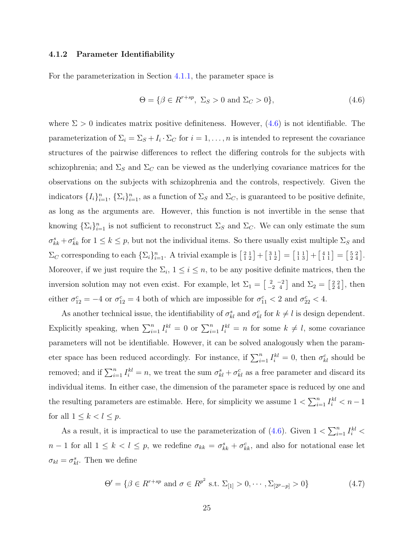#### <span id="page-34-0"></span>4.1.2 Parameter Identifiability

For the parameterization in Section [4.1.1,](#page-31-0) the parameter space is

$$
\Theta = \{ \beta \in R^{r+sp}, \ \Sigma_S > 0 \ \text{and} \ \Sigma_C > 0 \},\tag{4.6}
$$

where  $\Sigma > 0$  indicates matrix positive definiteness. However, (4.6) is not identifiable. The parameterization of  $\Sigma_i = \Sigma_S + I_i \cdot \Sigma_C$  for  $i = 1, \ldots, n$  is intended to represent the covariance structures of the pairwise differences to reflect the differing controls for the subjects with schizophrenia; and  $\Sigma_S$  and  $\Sigma_C$  can be viewed as the underlying covariance matrices for the observations on the subjects with schizophrenia and the controls, respectively. Given the indicators  $\{I_i\}_{i=1}^n$ ,  $\{\Sigma_i\}_{i=1}^n$ , as a function of  $\Sigma_S$  and  $\Sigma_C$ , is guaranteed to be positive definite, as long as the arguments are. However, this function is not invertible in the sense that knowing  $\{\Sigma_i\}_{i=1}^n$  is not sufficient to reconstruct  $\Sigma_S$  and  $\Sigma_C$ . We can only estimate the sum  $\sigma_{kk}^s + \sigma_{kk}^c$  for  $1 \leq k \leq p$ , but not the individual items. So there usually exist multiple  $\Sigma_S$  and  $\Sigma_C$  corresponding to each  $\{\Sigma_i\}_{i=1}^n$ . A trivial example is  $\begin{bmatrix} 2 & 1 \\ 1 & 2 \end{bmatrix}$  +  $\begin{bmatrix} 3 & 1 \\ 1 & 2 \end{bmatrix} =$  $\left[\begin{smallmatrix} 1 & 1 \\ 1 & 3 \end{smallmatrix}\right]+$  $\begin{bmatrix} 4 & 1 \\ 1 & 1 \end{bmatrix} =$  $\begin{bmatrix} 5 & 2 \\ 2 & 4 \end{bmatrix}$ . Moreover, if we just require the  $\Sigma_i$ ,  $1 \leq i \leq n$ , to be any positive definite matrices, then the inversion solution may not even exist. For example, let  $\Sigma_1 =$  $\left[\begin{smallmatrix} 2 & -2 \\ -2 & 4 \end{smallmatrix}\right]$  and  $\Sigma_2 =$  $\left[\begin{smallmatrix} 2 & 2 \\ 2 & 4 \end{smallmatrix}\right]$ , then either  $\sigma_{12}^c = -4$  or  $\sigma_{12}^c = 4$  both of which are impossible for  $\sigma_{11}^c < 2$  and  $\sigma_{22}^c < 4$ .

As another technical issue, the identifiability of  $\sigma_{kl}^s$  and  $\sigma_{kl}^c$  for  $k \neq l$  is design dependent. Explicitly speaking, when  $\sum_{i=1}^{n} I_i^{kl} = 0$  or  $\sum_{i=1}^{n} I_i^{kl} = n$  for some  $k \neq l$ , some covariance parameters will not be identifiable. However, it can be solved analogously when the parameter space has been reduced accordingly. For instance, if  $\sum_{i=1}^{n} I_i^{kl} = 0$ , then  $\sigma_{kl}^c$  should be removed; and if  $\sum_{i=1}^{n} I_i^{kl} = n$ , we treat the sum  $\sigma_{kl}^s + \sigma_{kl}^c$  as a free parameter and discard its individual items. In either case, the dimension of the parameter space is reduced by one and the resulting parameters are estimable. Here, for simplicity we assume  $1 < \sum_{i=1}^{n}$  $\sum_{i=1}^{n} I_i^{kl} < n-1$ for all  $1 \leq k < l \leq p$ .

As a result, it is impractical to use the parameterization of  $(4.6)$ . Given  $1 < \sum_{i=1}^{n}$  $\sum_{i=1}^n I_i^{kl} <$  $n-1$  for all  $1 \leq k < l \leq p$ , we redefine  $\sigma_{kk} = \sigma_{kk}^s + \sigma_{kk}^c$ , and also for notational ease let  $\sigma_{kl} = \sigma_{kl}^s$ . Then we define

$$
\Theta' = \{ \beta \in R^{r+sp} \text{ and } \sigma \in R^{p^2} \text{ s.t. } \Sigma_{[1]} > 0, \cdots, \Sigma_{[2^p - p]} > 0 \}
$$
(4.7)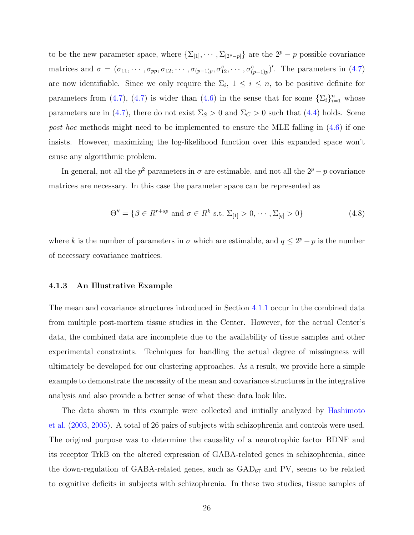<span id="page-35-0"></span>to be the new parameter space, where  $\{\Sigma_{[1]}, \cdots, \Sigma_{[2^p-p]}\}\$ are the  $2^p - p$  possible covariance matrices and  $\sigma = (\sigma_{11}, \cdots, \sigma_{pp}, \sigma_{12}, \cdots, \sigma_{(p-1)p}, \sigma_{12}^c, \cdots, \sigma_{(p-1)p}^c)'$ . The parameters in [\(4.7\)](#page-34-0) are now identifiable. Since we only require the  $\Sigma_i$ ,  $1 \leq i \leq n$ , to be positive definite for parameters from [\(4.7\)](#page-34-0), (4.7) is wider than [\(4.6\)](#page-34-0) in the sense that for some  $\{\Sigma_i\}_{i=1}^n$  whose parameters are in [\(4.7\)](#page-34-0), there do not exist  $\Sigma_S > 0$  and  $\Sigma_C > 0$  such that [\(4.4\)](#page-32-0) holds. Some post hoc methods might need to be implemented to ensure the MLE falling in  $(4.6)$  if one insists. However, maximizing the log-likelihood function over this expanded space won't cause any algorithmic problem.

In general, not all the  $p^2$  parameters in  $\sigma$  are estimable, and not all the  $2^p - p$  covariance matrices are necessary. In this case the parameter space can be represented as

$$
\Theta'' = \{ \beta \in R^{r+sp} \text{ and } \sigma \in R^k \text{ s.t. } \Sigma_{[1]} > 0, \cdots, \Sigma_{[q]} > 0 \}
$$
(4.8)

where k is the number of parameters in  $\sigma$  which are estimable, and  $q \leq 2^p - p$  is the number of necessary covariance matrices.

#### 4.1.3 An Illustrative Example

The mean and covariance structures introduced in Section [4.1.1](#page-31-0) occur in the combined data from multiple post-mortem tissue studies in the Center. However, for the actual Center's data, the combined data are incomplete due to the availability of tissue samples and other experimental constraints. Techniques for handling the actual degree of missingness will ultimately be developed for our clustering approaches. As a result, we provide here a simple example to demonstrate the necessity of the mean and covariance structures in the integrative analysis and also provide a better sense of what these data look like.

The data shown in this example were collected and initially analyzed by [Hashimoto](#page-93-0) [et al.](#page-93-0) [\(2003,](#page-93-0) [2005\)](#page-93-0). A total of 26 pairs of subjects with schizophrenia and controls were used. The original purpose was to determine the causality of a neurotrophic factor BDNF and its receptor TrkB on the altered expression of GABA-related genes in schizophrenia, since the down-regulation of GABA-related genes, such as  $\text{GAD}_{67}$  and PV, seems to be related to cognitive deficits in subjects with schizophrenia. In these two studies, tissue samples of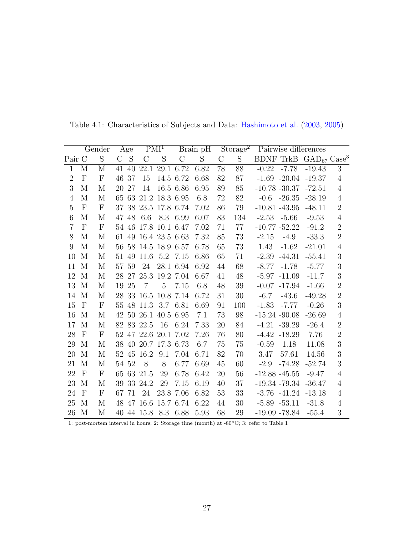|                |                         | Gender                  |         | Age   |                      | PMI <sup>1</sup> |               | Brain pH |                 | Storage <sup>2</sup> |         |                  | Pairwise differences                      |                |
|----------------|-------------------------|-------------------------|---------|-------|----------------------|------------------|---------------|----------|-----------------|----------------------|---------|------------------|-------------------------------------------|----------------|
| Pair C         |                         | S                       | $\rm C$ | S     | $\rm C$              | S                | $\mathcal{C}$ | S        | $\mathcal{C}$   | S                    |         |                  | BDNF TrkB $\text{GAD}_{67} \text{Case}^3$ |                |
| $\overline{1}$ | $\overline{\mathrm{M}}$ | $\overline{\mathrm{M}}$ | 41      | 40    | $\overline{22.1}$    |                  | 29.1 6.72     | 6.82     | $\overline{78}$ | $\overline{88}$      | $-0.22$ | $-7.78$          | $-19.43$                                  | $\overline{3}$ |
| $\overline{2}$ | $\mathbf{F}$            | $\mathbf{F}$            | 46      | 37    | 15                   |                  | 14.5 6.72     | 6.68     | 82              | 87                   |         | $-1.69 - 20.04$  | $-19.37$                                  | $\overline{4}$ |
| 3              | M                       | M                       | 20      | 27    | 14                   |                  | 16.5 6.86     | 6.95     | 89              | 85                   |         | $-10.78 - 30.37$ | $-72.51$                                  | $\overline{4}$ |
| $\overline{4}$ | M                       | M                       |         |       | 65 63 21.2 18.3 6.95 |                  |               | 6.8      | 72              | 82                   | $-0.6$  | $-26.35$         | $-28.19$                                  | $\overline{4}$ |
| 5              | $\mathbf{F}$            | $\mathbf{F}$            |         |       | 37 38 23.5 17.8 6.74 |                  |               | 7.02     | 86              | 79                   |         | $-10.81 - 43.95$ | $-48.11$                                  | $\overline{2}$ |
| 6              | M                       | M                       |         | 47 48 | 6.6                  |                  | 8.3 6.99      | 6.07     | 83              | 134                  |         | $-2.53 - 5.66$   | $-9.53$                                   | $\overline{4}$ |
| $\overline{7}$ | $\mathbf{F}$            | ${\bf F}$               |         | 54 46 | 17.8 10.1 6.47       |                  |               | 7.02     | 71              | 77                   |         | $-10.77 - 52.22$ | $-91.2$                                   | $\overline{2}$ |
| 8              | М                       | М                       |         |       | 61 49 16.4 23.5 6.63 |                  |               | 7.32     | 85              | 73                   | $-2.15$ | $-4.9$           | $-33.3$                                   | $\overline{2}$ |
| 9              | M                       | $\mathbf{M}$            |         |       | 56 58 14.5 18.9 6.57 |                  |               | 6.78     | 65              | 73                   | 1.43    | $-1.62$          | $-21.01$                                  | $\overline{4}$ |
| 10             | М                       | М                       |         |       | 51 49 11.6 5.2 7.15  |                  |               | 6.86     | 65              | 71                   | $-2.39$ | $-44.31$         | $-55.41$                                  | 3              |
| 11             | M                       | M                       |         | 57 59 | 24                   |                  | 28.1 6.94     | 6.92     | 44              | 68                   | $-8.77$ | $-1.78$          | $-5.77$                                   | 3              |
| 12             | M                       | M                       |         | 28 27 |                      | 25.3 19.2 7.04   |               | 6.67     | 41              | 48                   |         | $-5.97 -11.09$   | $-11.7$                                   | 3              |
| 13             | M                       | M                       | 19      | 25    | $\overline{7}$       | $\overline{5}$   | 7.15          | 6.8      | 48              | 39                   | $-0.07$ | $-17.94$         | $-1.66$                                   | $\overline{2}$ |
| 14             | M                       | М                       |         | 28 33 | 16.5 10.8 7.14       |                  |               | 6.72     | 31              | 30                   | $-6.7$  | $-43.6$          | $-49.28$                                  | $\overline{2}$ |
| 15             | $\mathbf{F}$            | $\mathbf{F}$            |         | 55 48 | 11.3 3.7 6.81        |                  |               | 6.69     | 91              | 100                  | $-1.83$ | $-7.77$          | $-0.26$                                   | 3              |
| 16             | M                       | M                       |         |       | 42 50 26.1 40.5 6.95 |                  |               | 7.1      | 73              | 98                   |         | $-15.24 - 90.08$ | $-26.69$                                  | $\overline{4}$ |
| 17             | M                       | M                       |         |       | 82 83 22.5           | 16               | 6.24          | 7.33     | 20              | 84                   |         | $-4.21 - 39.29$  | $-26.4$                                   | $\overline{2}$ |
| 28             | $\mathbf F$             | ${\bf F}$               |         |       | 52 47 22.6 20.1 7.02 |                  |               | 7.26     | 76              | 80                   | $-4.42$ | $-18.29$         | 7.76                                      | $\overline{2}$ |
| 29             | M                       | M                       |         |       | 38 40 20.7 17.3 6.73 |                  |               | 6.7      | 75              | 75                   | $-0.59$ | 1.18             | 11.08                                     | 3              |
| 20             | M                       | M                       |         |       | 52 45 16.2           | 9.1              | 7.04          | 6.71     | 82              | 70                   | 3.47    | 57.61            | 14.56                                     | 3              |
| 21             | M                       | M                       | 54 52   |       | 8                    | 8                | 6.77          | 6.69     | 45              | 60                   | $-2.9$  | $-74.28$         | $-52.74$                                  | 3              |
| 22             | $\mathbf{F}$            | $\mathbf{F}$            |         |       | 65 63 21.5           | 29               | 6.78          | 6.42     | 20              | 56                   |         | $-12.88 - 45.55$ | $-9.47$                                   | $\overline{4}$ |
| 23             | M                       | М                       |         |       | 39 33 24.2           | 29               | 7.15          | 6.19     | 40              | 37                   |         | $-19.34 - 79.34$ | $-36.47$                                  | $\overline{4}$ |
| 24             | $\mathbf{F}$            | $\mathbf{F}$            | 67      | 71    | 24                   |                  | 23.8 7.06     | 6.82     | 53              | 33                   |         | $-3.76$ $-41.24$ | $-13.18$                                  | $\overline{4}$ |
| 25             | M                       | М                       |         |       | 48 47 16.6 15.7 6.74 |                  |               | 6.22     | 44              | 30                   |         | $-5.89 - 53.11$  | $-31.8$                                   | $\overline{4}$ |
| 26             | M                       | М                       |         |       | 40 44 15.8 8.3 6.88  |                  |               | 5.93     | 68              | 29                   |         | $-19.09 - 78.84$ | $-55.4$                                   | 3              |

<span id="page-36-0"></span>Table 4.1: Characteristics of Subjects and Data: [Hashimoto et al.](#page-93-0) [\(2003,](#page-93-0) [2005\)](#page-93-0)

1: post-mortem interval in hours; 2: Storage time (month) at -80◦C; 3: refer to Table 1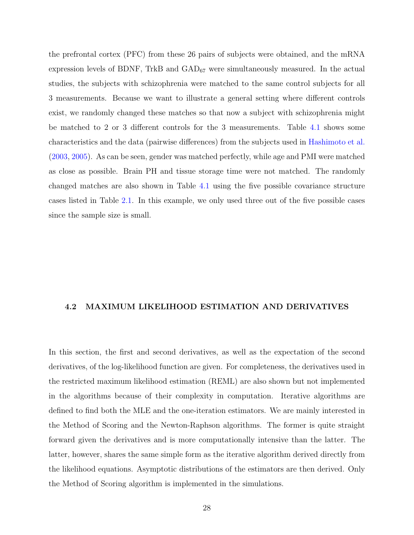the prefrontal cortex (PFC) from these 26 pairs of subjects were obtained, and the mRNA expression levels of BDNF, TrkB and  $GAD_{67}$  were simultaneously measured. In the actual studies, the subjects with schizophrenia were matched to the same control subjects for all 3 measurements. Because we want to illustrate a general setting where different controls exist, we randomly changed these matches so that now a subject with schizophrenia might be matched to 2 or 3 different controls for the 3 measurements. Table [4.1](#page-36-0) shows some characteristics and the data (pairwise differences) from the subjects used in [Hashimoto et al.](#page-93-0) [\(2003,](#page-93-0) [2005\)](#page-93-0). As can be seen, gender was matched perfectly, while age and PMI were matched as close as possible. Brain PH and tissue storage time were not matched. The randomly changed matches are also shown in Table [4.1](#page-36-0) using the five possible covariance structure cases listed in Table [2.1.](#page-18-0) In this example, we only used three out of the five possible cases since the sample size is small.

#### 4.2 MAXIMUM LIKELIHOOD ESTIMATION AND DERIVATIVES

In this section, the first and second derivatives, as well as the expectation of the second derivatives, of the log-likelihood function are given. For completeness, the derivatives used in the restricted maximum likelihood estimation (REML) are also shown but not implemented in the algorithms because of their complexity in computation. Iterative algorithms are defined to find both the MLE and the one-iteration estimators. We are mainly interested in the Method of Scoring and the Newton-Raphson algorithms. The former is quite straight forward given the derivatives and is more computationally intensive than the latter. The latter, however, shares the same simple form as the iterative algorithm derived directly from the likelihood equations. Asymptotic distributions of the estimators are then derived. Only the Method of Scoring algorithm is implemented in the simulations.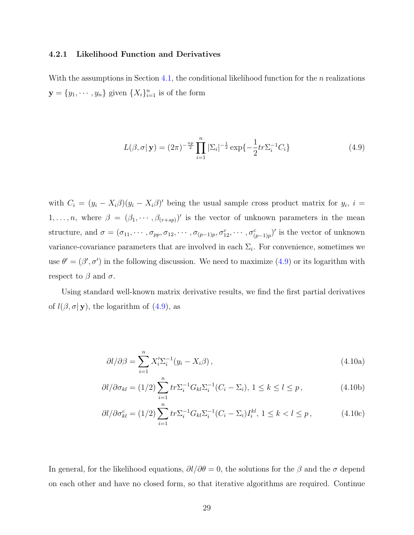## <span id="page-38-0"></span>4.2.1 Likelihood Function and Derivatives

With the assumptions in Section [4.1,](#page-31-0) the conditional likelihood function for the  $n$  realizations  $\mathbf{y} = \{y_1, \dots, y_n\}$  given  $\{X_i\}_{i=1}^n$  is of the form

$$
L(\beta, \sigma | \mathbf{y}) = (2\pi)^{-\frac{np}{2}} \prod_{i=1}^{n} |\Sigma_i|^{-\frac{1}{2}} \exp\{-\frac{1}{2}tr\Sigma_i^{-1}C_i\}
$$
(4.9)

with  $C_i = (y_i - X_i \beta)(y_i - X_i \beta)'$  being the usual sample cross product matrix for  $y_i$ ,  $i =$  $1, \ldots, n$ , where  $\beta = (\beta_1, \cdots, \beta_{(r+sp)})'$  is the vector of unknown parameters in the mean structure, and  $\sigma = (\sigma_{11}, \cdots, \sigma_{pp}, \sigma_{12}, \cdots, \sigma_{(p-1)p}, \sigma_{12}^c, \cdots, \sigma_{(p-1)p}^c)'$  is the vector of unknown variance-covariance parameters that are involved in each  $\Sigma_i$ . For convenience, sometimes we use  $\theta' = (\beta', \sigma')$  in the following discussion. We need to maximize (4.9) or its logarithm with respect to  $\beta$  and  $\sigma$ .

Using standard well-known matrix derivative results, we find the first partial derivatives of  $l(\beta, \sigma | \mathbf{y})$ , the logarithm of  $(4.9)$ , as

$$
\partial l/\partial \beta = \sum_{i=1}^{n} X_i' \Sigma_i^{-1} (y_i - X_i \beta), \qquad (4.10a)
$$

$$
\frac{\partial l}{\partial \sigma_{kl}} = (1/2) \sum_{i=1}^{n} tr \Sigma_i^{-1} G_{kl} \Sigma_i^{-1} (C_i - \Sigma_i), \ 1 \le k \le l \le p \,, \tag{4.10b}
$$

$$
\partial l/\partial \sigma_{kl}^c = (1/2) \sum_{i=1}^n tr \Sigma_i^{-1} G_{kl} \Sigma_i^{-1} (C_i - \Sigma_i) I_i^{kl}, \ 1 \le k < l \le p \,, \tag{4.10c}
$$

In general, for the likelihood equations,  $\partial l/\partial \theta = 0$ , the solutions for the  $\beta$  and the  $\sigma$  depend on each other and have no closed form, so that iterative algorithms are required. Continue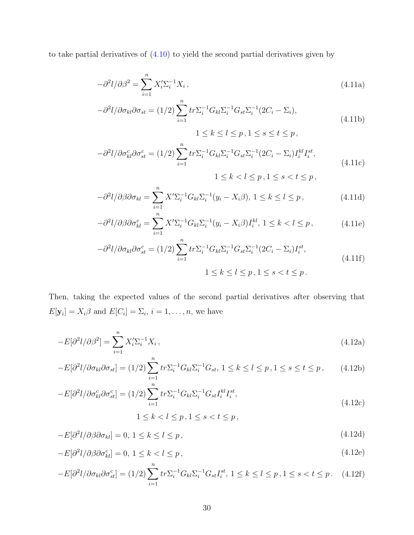<span id="page-39-0"></span>to take partial derivatives of  $(4.10)$  to yield the second partial derivatives given by

$$
-\partial^2 l/\partial \beta^2 = \sum_{i=1}^n X_i' \Sigma_i^{-1} X_i, \qquad (4.11a)
$$

$$
-\partial^2 l/\partial \sigma_{kl} \partial \sigma_{st} = (1/2) \sum_{i=1}^n tr \Sigma_i^{-1} G_{kl} \Sigma_i^{-1} G_{st} \Sigma_i^{-1} (2C_i - \Sigma_i),
$$
  

$$
1 \le k \le l \le p, 1 \le s \le t \le p,
$$
 (4.11b)

$$
-\partial^2 l/\partial \sigma_{kl}^c \partial \sigma_{st}^c = (1/2) \sum_{i=1}^n tr \Sigma_i^{-1} G_{kl} \Sigma_i^{-1} G_{st} \Sigma_i^{-1} (2C_i - \Sigma_i) I_i^{kl} I_i^{st},
$$
  

$$
1 \le k < l \le p, 1 \le s < t \le p,
$$
 (4.11c)

$$
-\partial^2 l/\partial \beta \partial \sigma_{kl} = \sum_{i=1}^n X' \Sigma_i^{-1} G_{kl} \Sigma_i^{-1} (y_i - X_i \beta), \ 1 \le k \le l \le p \,, \tag{4.11d}
$$

$$
-\partial^2 l/\partial \beta \partial \sigma_{kl}^c = \sum_{i=1}^n X' \Sigma_i^{-1} G_{kl} \Sigma_i^{-1} (y_i - X_i \beta) I_i^{kl}, 1 \le k < l \le p,
$$
 (4.11e)

$$
-\partial^2 l/\partial \sigma_{kl} \partial \sigma_{st}^c = (1/2) \sum_{i=1}^n tr \Sigma_i^{-1} G_{kl} \Sigma_i^{-1} G_{st} \Sigma_i^{-1} (2C_i - \Sigma_i) I_i^{st},
$$
  

$$
1 \le k \le l \le p, 1 \le s < t \le p.
$$
 (4.11f)

Then, taking the expected values of the second partial derivatives after observing that  $E[\mathbf{y}_i] = X_i \beta$  and  $E[C_i] = \Sigma_i, i = 1, \dots, n$ , we have

$$
-E[\partial^2 l/\partial \beta^2] = \sum_{i=1}^n X_i' \Sigma_i^{-1} X_i , \qquad (4.12a)
$$

$$
-E[\partial^2 l/\partial \sigma_{kl}\partial \sigma_{st}] = (1/2) \sum_{i=1}^n tr \Sigma_i^{-1} G_{kl} \Sigma_i^{-1} G_{st}, 1 \le k \le l \le p, 1 \le s \le t \le p,
$$
 (4.12b)

$$
-E[\partial^2 l/\partial \sigma_{kl}^c \partial \sigma_{st}^c] = (1/2) \sum_{i=1}^n tr \Sigma_i^{-1} G_{kl} \Sigma_i^{-1} G_{st} I_i^{kl} I_i^{st},
$$
\n(4.12c)

$$
1\leq k
$$

$$
-E[\partial^2 l/\partial \beta \partial \sigma_{kl}] = 0, \ 1 \le k \le l \le p \,, \tag{4.12d}
$$

$$
-E[\partial^2 l/\partial \beta \partial \sigma_{kl}^c] = 0, 1 \le k < l \le p,
$$
\n(4.12e)

$$
-E[\partial^2 l/\partial \sigma_{kl}\partial \sigma_{st}^c] = (1/2) \sum_{i=1}^n tr \Sigma_i^{-1} G_{kl} \Sigma_i^{-1} G_{st} I_i^{st}, 1 \le k \le l \le p, 1 \le s < t \le p. \tag{4.12f}
$$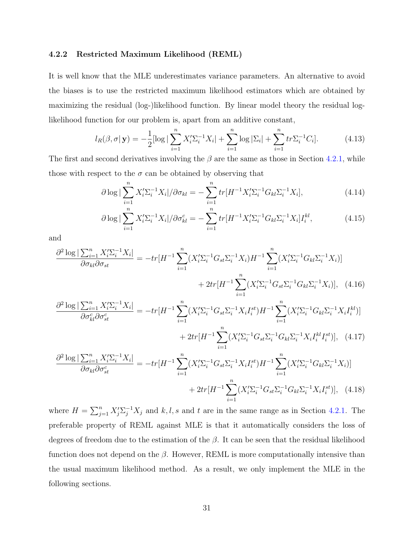## 4.2.2 Restricted Maximum Likelihood (REML)

It is well know that the MLE underestimates variance parameters. An alternative to avoid the biases is to use the restricted maximum likelihood estimators which are obtained by maximizing the residual (log-)likelihood function. By linear model theory the residual loglikelihood function for our problem is, apart from an additive constant,

$$
l_R(\beta, \sigma | \mathbf{y}) = -\frac{1}{2} [\log |\sum_{i=1}^n X_i' \Sigma_i^{-1} X_i| + \sum_{i=1}^n \log |\Sigma_i| + \sum_{i=1}^n tr \Sigma_i^{-1} C_i]. \tag{4.13}
$$

The first and second derivatives involving the  $\beta$  are the same as those in Section [4.2.1,](#page-38-0) while those with respect to the  $\sigma$  can be obtained by observing that

$$
\partial \log |\sum_{i=1}^{n} X_{i}^{\prime} \Sigma_{i}^{-1} X_{i}| / \partial \sigma_{kl} = -\sum_{i=1}^{n} tr[H^{-1} X_{i}^{\prime} \Sigma_{i}^{-1} G_{kl} \Sigma_{i}^{-1} X_{i}], \qquad (4.14)
$$

$$
\partial \log |\sum_{i=1}^{n} X_{i}' \Sigma_{i}^{-1} X_{i}| / \partial \sigma_{kl}^{c} = - \sum_{i=1}^{n} tr[H^{-1} X_{i}' \Sigma_{i}^{-1} G_{kl} \Sigma_{i}^{-1} X_{i}] I_{i}^{kl}, \qquad (4.15)
$$

and

$$
\frac{\partial^2 \log |\sum_{i=1}^n X_i' \Sigma_i^{-1} X_i|}{\partial \sigma_{kl} \partial \sigma_{st}} = -tr[H^{-1} \sum_{i=1}^n (X_i' \Sigma_i^{-1} G_{st} \Sigma_i^{-1} X_i) H^{-1} \sum_{i=1}^n (X_i' \Sigma_i^{-1} G_{kl} \Sigma_i^{-1} X_i)]
$$

$$
+ 2tr[H^{-1} \sum_{i=1}^n (X_i' \Sigma_i^{-1} G_{st} \Sigma_i^{-1} G_{kl} \Sigma_i^{-1} X_i)], \quad (4.16)
$$

$$
\frac{\partial^2 \log |\sum_{i=1}^n X_i' \Sigma_i^{-1} X_i|}{\partial \sigma_{kl} \partial \sigma_{st}} = -tr[H^{-1} \sum_{i=1}^n (X_i' \Sigma_i^{-1} G_{st} \Sigma_i^{-1} X_i I_i^{st}) H^{-1} \sum_{i=1}^n (X_i' \Sigma_i^{-1} G_{kl} \Sigma_i^{-1} X_i I_i^{st})]
$$

$$
\frac{\log|\sum_{i=1}^{n} X_{i}'\sum_{i}^{-1} X_{i}|}{\partial \sigma_{kl}^{c} \partial \sigma_{st}^{c}} = -tr[H^{-1} \sum_{i=1}^{n} (X_{i}'\sum_{i}^{-1} G_{st} \sum_{i}^{-1} X_{i} I_{i}^{st}) H^{-1} \sum_{i=1}^{n} (X_{i}'\sum_{i}^{-1} G_{kl} \sum_{i}^{-1} X_{i} I_{i}^{kl})]
$$

$$
+ 2tr[H^{-1} \sum_{i=1}^{n} (X_{i}'\sum_{i}^{-1} G_{st} \sum_{i}^{-1} G_{kl} \sum_{i}^{-1} X_{i} I_{i}^{kl} I_{i}^{st})], \quad (4.17)
$$

$$
\frac{\partial^2 \log |\sum_{i=1}^n X_i' \sum_i^{-1} X_i|}{\partial \sigma_{kl} \partial \sigma_{st}^c} = -tr[H^{-1} \sum_{i=1}^n (X_i' \sum_i^{-1} G_{st} \sum_i^{-1} X_i I_i^{st}) H^{-1} \sum_{i=1}^n (X_i' \sum_i^{-1} G_{kl} \sum_i^{-1} X_i)] + 2tr[H^{-1} \sum_{i=1}^n (X_i' \sum_i^{-1} G_{st} \sum_i^{-1} G_{kl} \sum_i^{-1} X_i I_i^{st})], \quad (4.18)
$$

where  $H = \sum_{j=1}^{n} X_j' \sum_{j=1}^{-1} X_j$  and k, l, s and t are in the same range as in Section [4.2.1.](#page-38-0) The preferable property of REML against MLE is that it automatically considers the loss of degrees of freedom due to the estimation of the  $\beta$ . It can be seen that the residual likelihood function does not depend on the  $\beta$ . However, REML is more computationally intensive than the usual maximum likelihood method. As a result, we only implement the MLE in the following sections.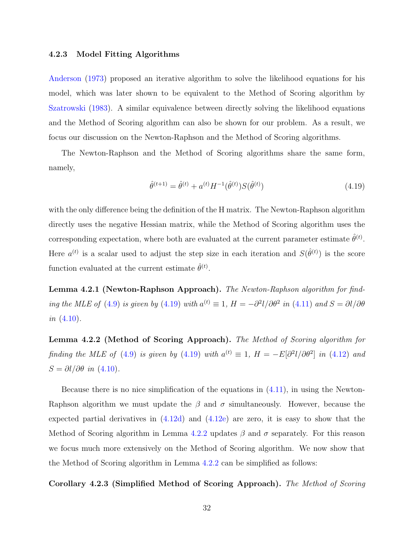### <span id="page-41-0"></span>4.2.3 Model Fitting Algorithms

[Anderson](#page-92-0) [\(1973\)](#page-92-0) proposed an iterative algorithm to solve the likelihood equations for his model, which was later shown to be equivalent to the Method of Scoring algorithm by [Szatrowski](#page-94-0) [\(1983\)](#page-94-0). A similar equivalence between directly solving the likelihood equations and the Method of Scoring algorithm can also be shown for our problem. As a result, we focus our discussion on the Newton-Raphson and the Method of Scoring algorithms.

The Newton-Raphson and the Method of Scoring algorithms share the same form, namely,

$$
\hat{\theta}^{(t+1)} = \hat{\theta}^{(t)} + a^{(t)} H^{-1}(\hat{\theta}^{(t)}) S(\hat{\theta}^{(t)})
$$
\n(4.19)

with the only difference being the definition of the H matrix. The Newton-Raphson algorithm directly uses the negative Hessian matrix, while the Method of Scoring algorithm uses the corresponding expectation, where both are evaluated at the current parameter estimate  $\hat{\theta}^{(t)}$ . Here  $a^{(t)}$  is a scalar used to adjust the step size in each iteration and  $S(\hat{\theta}^{(t)})$  is the score function evaluated at the current estimate  $\hat{\theta}^{(t)}$ .

Lemma 4.2.1 (Newton-Raphson Approach). The Newton-Raphson algorithm for find-ing the MLE of [\(4.9\)](#page-38-0) is given by (4.19) with  $a^{(t)} \equiv 1$ ,  $H = -\partial^2 l/\partial \theta^2$  in [\(4.11\)](#page-39-0) and  $S = \partial l/\partial \theta$ *in*  $(4.10)$ .

Lemma 4.2.2 (Method of Scoring Approach). The Method of Scoring algorithm for finding the MLE of [\(4.9\)](#page-38-0) is given by (4.19) with  $a^{(t)} \equiv 1$ ,  $H = -E[\partial^2 l/\partial \theta^2]$  in [\(4.12\)](#page-39-0) and  $S = \partial l / \partial \theta$  in [\(4.10\)](#page-38-0).

Because there is no nice simplification of the equations in  $(4.11)$ , in using the Newton-Raphson algorithm we must update the  $\beta$  and  $\sigma$  simultaneously. However, because the expected partial derivatives in [\(4.12d\)](#page-39-0) and [\(4.12e\)](#page-39-0) are zero, it is easy to show that the Method of Scoring algorithm in Lemma 4.2.2 updates  $\beta$  and  $\sigma$  separately. For this reason we focus much more extensively on the Method of Scoring algorithm. We now show that the Method of Scoring algorithm in Lemma 4.2.2 can be simplified as follows:

Corollary 4.2.3 (Simplified Method of Scoring Approach). The Method of Scoring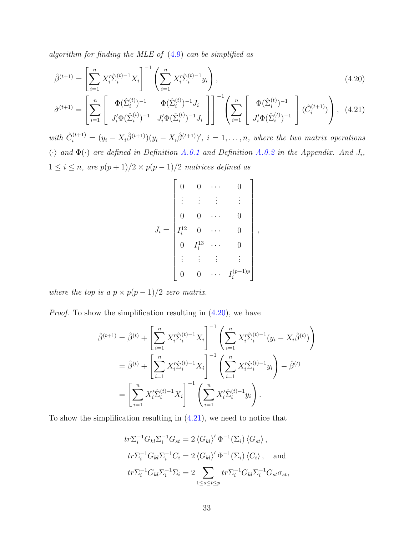<span id="page-42-0"></span>algorithm for finding the MLE of [\(4.9\)](#page-38-0) can be simplified as

$$
\hat{\beta}^{(t+1)} = \left[\sum_{i=1}^{n} X_i' \hat{\Sigma}_i^{(t)-1} X_i\right]^{-1} \left(\sum_{i=1}^{n} X_i' \hat{\Sigma}_i^{(t)-1} y_i\right),\tag{4.20}
$$

$$
\hat{\sigma}^{(t+1)} = \left[ \sum_{i=1}^{n} \begin{bmatrix} \Phi(\hat{\Sigma}_{i}^{(t)})^{-1} & \Phi(\hat{\Sigma}_{i}^{(t)})^{-1} J_{i} \\ J_{i}^{\prime} \Phi(\hat{\Sigma}_{i}^{(t)})^{-1} & J_{i}^{\prime} \Phi(\hat{\Sigma}_{i}^{(t)})^{-1} J_{i} \end{bmatrix} \right]^{-1} \left( \sum_{i=1}^{n} \begin{bmatrix} \Phi(\hat{\Sigma}_{i}^{(t)})^{-1} \\ J_{i}^{\prime} \Phi(\hat{\Sigma}_{i}^{(t)})^{-1} \end{bmatrix} \langle \hat{C}_{i}^{(t+1)} \rangle \right), \quad (4.21)
$$

with  $\hat{C}_i^{(t+1)} = (y_i - X_i \hat{\beta}^{(t+1)})(y_i - X_i \hat{\beta}^{(t+1)})'$ ,  $i = 1, \ldots, n$ , where the two matrix operations  $\langle \cdot \rangle$  and  $\Phi(\cdot)$  are defined in Definition [A.0.1](#page-91-0) and Definition [A.0.2](#page-91-0) in the Appendix. And  $J_i$ ,  $1 \leq i \leq n$ , are  $p(p+1)/2 \times p(p-1)/2$  matrices defined as

$$
J_i = \begin{bmatrix} 0 & 0 & \cdots & 0 \\ \vdots & \vdots & \vdots & \vdots \\ 0 & 0 & \cdots & 0 \\ I_i^{12} & 0 & \cdots & 0 \\ 0 & I_i^{13} & \cdots & 0 \\ \vdots & \vdots & \vdots & \vdots \\ 0 & 0 & \cdots & I_i^{(p-1)p} \end{bmatrix},
$$

where the top is a  $p \times p(p-1)/2$  zero matrix.

Proof. To show the simplification resulting in (4.20), we have

$$
\hat{\beta}^{(t+1)} = \hat{\beta}^{(t)} + \left[ \sum_{i=1}^{n} X_i' \hat{\Sigma}_i^{(t)-1} X_i \right]^{-1} \left( \sum_{i=1}^{n} X_i' \hat{\Sigma}_i^{(t)-1} (y_i - X_i \hat{\beta}^{(t)}) \right)
$$
  
\n
$$
= \hat{\beta}^{(t)} + \left[ \sum_{i=1}^{n} X_i' \hat{\Sigma}_i^{(t)-1} X_i \right]^{-1} \left( \sum_{i=1}^{n} X_i' \hat{\Sigma}_i^{(t)-1} y_i \right) - \hat{\beta}^{(t)}
$$
  
\n
$$
= \left[ \sum_{i=1}^{n} X_i' \hat{\Sigma}_i^{(t)-1} X_i \right]^{-1} \left( \sum_{i=1}^{n} X_i' \hat{\Sigma}_i^{(t)-1} y_i \right).
$$

To show the simplification resulting in  $(4.21)$ , we need to notice that

$$
tr\Sigma_i^{-1} G_{kl} \Sigma_i^{-1} G_{st} = 2 \langle G_{kl} \rangle' \Phi^{-1} (\Sigma_i) \langle G_{st} \rangle,
$$
  
\n
$$
tr\Sigma_i^{-1} G_{kl} \Sigma_i^{-1} C_i = 2 \langle G_{kl} \rangle' \Phi^{-1} (\Sigma_i) \langle C_i \rangle,
$$
 and  
\n
$$
tr\Sigma_i^{-1} G_{kl} \Sigma_i^{-1} \Sigma_i = 2 \sum_{1 \le s \le t \le p} tr\Sigma_i^{-1} G_{kl} \Sigma_i^{-1} G_{st} \sigma_{st},
$$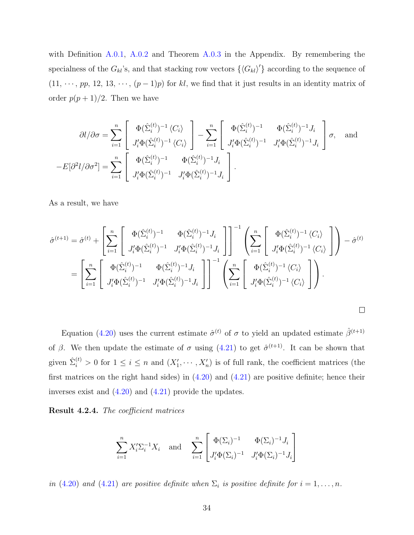with Definition [A.0.1,](#page-91-0) [A.0.2](#page-91-0) and Theorem [A.0.3](#page-91-0) in the Appendix. By remembering the specialness of the  $G_{kl}$ 's, and that stacking row vectors  $\{\langle G_{kl}\rangle'\}$  according to the sequence of  $(11, \dots, pp, 12, 13, \dots, (p-1)p)$  for kl, we find that it just results in an identity matrix of order  $p(p+1)/2$ . Then we have

$$
\partial l/\partial \sigma = \sum_{i=1}^n \left[ \begin{array}{c} \Phi(\hat{\Sigma}_i^{(t)})^{-1} \langle C_i \rangle \\ J_i' \Phi(\hat{\Sigma}_i^{(t)})^{-1} \langle C_i \rangle \end{array} \right] - \sum_{i=1}^n \left[ \begin{array}{cc} \Phi(\hat{\Sigma}_i^{(t)})^{-1} & \Phi(\hat{\Sigma}_i^{(t)})^{-1} J_i \\ J_i' \Phi(\hat{\Sigma}_i^{(t)})^{-1} & J_i' \Phi(\hat{\Sigma}_i^{(t)})^{-1} J_i \end{array} \right] \sigma, \text{ and}
$$

$$
-E[\partial^2 l/\partial \sigma^2] = \sum_{i=1}^n \left[ \begin{array}{cc} \Phi(\hat{\Sigma}_i^{(t)})^{-1} & \Phi(\hat{\Sigma}_i^{(t)})^{-1} J_i \\ J_i' \Phi(\hat{\Sigma}_i^{(t)})^{-1} & J_i' \Phi(\hat{\Sigma}_i^{(t)})^{-1} J_i \end{array} \right].
$$

As a result, we have

$$
\hat{\sigma}^{(t+1)} = \hat{\sigma}^{(t)} + \left[ \sum_{i=1}^{n} \left[ \begin{array}{cc} \Phi(\hat{\Sigma}_{i}^{(t)})^{-1} & \Phi(\hat{\Sigma}_{i}^{(t)})^{-1} J_{i} \\ J_{i}^{\prime} \Phi(\hat{\Sigma}_{i}^{(t)})^{-1} & J_{i}^{\prime} \Phi(\hat{\Sigma}_{i}^{(t)})^{-1} J_{i} \end{array} \right] \right]^{-1} \left( \sum_{i=1}^{n} \left[ \begin{array}{c} \Phi(\hat{\Sigma}_{i}^{(t)})^{-1} \langle C_{i} \rangle \\ J_{i}^{\prime} \Phi(\hat{\Sigma}_{i}^{(t)})^{-1} \langle C_{i} \rangle \end{array} \right] \right) - \hat{\sigma}^{(t)}
$$
\n
$$
= \left[ \sum_{i=1}^{n} \left[ \begin{array}{c} \Phi(\hat{\Sigma}_{i}^{(t)})^{-1} & \Phi(\hat{\Sigma}_{i}^{(t)})^{-1} J_{i} \\ J_{i}^{\prime} \Phi(\hat{\Sigma}_{i}^{(t)})^{-1} & J_{i}^{\prime} \Phi(\hat{\Sigma}_{i}^{(t)})^{-1} J_{i} \end{array} \right] \right]^{-1} \left( \sum_{i=1}^{n} \left[ \begin{array}{c} \Phi(\hat{\Sigma}_{i}^{(t)})^{-1} \langle C_{i} \rangle \\ J_{i}^{\prime} \Phi(\hat{\Sigma}_{i}^{(t)})^{-1} \langle C_{i} \rangle \end{array} \right] \right).
$$

Equation [\(4.20\)](#page-42-0) uses the current estimate  $\hat{\sigma}^{(t)}$  of  $\sigma$  to yield an updated estimate  $\hat{\beta}^{(t+1)}$ of  $\beta$ . We then update the estimate of  $\sigma$  using [\(4.21\)](#page-42-0) to get  $\hat{\sigma}^{(t+1)}$ . It can be shown that given  $\hat{\Sigma}_i^{(t)} > 0$  for  $1 \leq i \leq n$  and  $(X'_1, \dots, X'_n)$  is of full rank, the coefficient matrices (the first matrices on the right hand sides) in  $(4.20)$  and  $(4.21)$  are positive definite; hence their inverses exist and [\(4.20\)](#page-42-0) and [\(4.21\)](#page-42-0) provide the updates.

Result 4.2.4. The coefficient matrices

$$
\sum_{i=1}^{n} X_{i}' \Sigma_{i}^{-1} X_{i} \text{ and } \sum_{i=1}^{n} \begin{bmatrix} \Phi(\Sigma_{i})^{-1} & \Phi(\Sigma_{i})^{-1} J_{i} \\ J_{i}' \Phi(\Sigma_{i})^{-1} & J_{i}' \Phi(\Sigma_{i})^{-1} J_{i} \end{bmatrix}
$$

in [\(4.20\)](#page-42-0) and [\(4.21\)](#page-42-0) are positive definite when  $\Sigma_i$  is positive definite for  $i = 1, ..., n$ .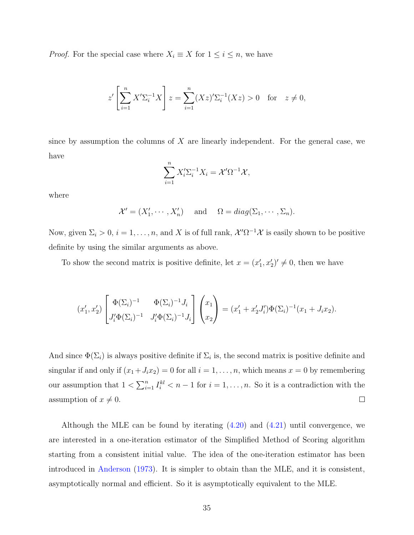*Proof.* For the special case where  $X_i \equiv X$  for  $1 \leq i \leq n$ , we have

$$
z' \left[ \sum_{i=1}^{n} X' \Sigma_i^{-1} X \right] z = \sum_{i=1}^{n} (Xz)' \Sigma_i^{-1} (Xz) > 0 \text{ for } z \neq 0,
$$

since by assumption the columns of  $X$  are linearly independent. For the general case, we have

$$
\sum_{i=1}^{n} X_i' \Sigma_i^{-1} X_i = \mathcal{X}' \Omega^{-1} \mathcal{X},
$$

where

$$
\mathcal{X}' = (X'_1, \cdots, X'_n)
$$
 and  $\Omega = diag(\Sigma_1, \cdots, \Sigma_n)$ .

Now, given  $\Sigma_i > 0$ ,  $i = 1, \ldots, n$ , and X is of full rank,  $\mathcal{X}' \Omega^{-1} \mathcal{X}$  is easily shown to be positive definite by using the similar arguments as above.

To show the second matrix is positive definite, let  $x = (x'_1, x'_2)' \neq 0$ , then we have

$$
(x'_1, x'_2) \begin{bmatrix} \Phi(\Sigma_i)^{-1} & \Phi(\Sigma_i)^{-1} J_i \\ J'_i \Phi(\Sigma_i)^{-1} & J'_i \Phi(\Sigma_i)^{-1} J_i \end{bmatrix} \begin{pmatrix} x_1 \\ x_2 \end{pmatrix} = (x'_1 + x'_2 J'_i) \Phi(\Sigma_i)^{-1} (x_1 + J_i x_2).
$$

And since  $\Phi(\Sigma_i)$  is always positive definite if  $\Sigma_i$  is, the second matrix is positive definite and singular if and only if  $(x_1+J_ix_2)=0$  for all  $i=1,\ldots,n$ , which means  $x=0$  by remembering our assumption that  $1 < \sum_{i=1}^{n}$  $\sum_{i=1}^n I_i^{kl} < n-1$  for  $i = 1, \ldots, n$ . So it is a contradiction with the  $\Box$ assumption of  $x \neq 0$ .

Although the MLE can be found by iterating [\(4.20\)](#page-42-0) and [\(4.21\)](#page-42-0) until convergence, we are interested in a one-iteration estimator of the Simplified Method of Scoring algorithm starting from a consistent initial value. The idea of the one-iteration estimator has been introduced in [Anderson](#page-92-0) [\(1973\)](#page-92-0). It is simpler to obtain than the MLE, and it is consistent, asymptotically normal and efficient. So it is asymptotically equivalent to the MLE.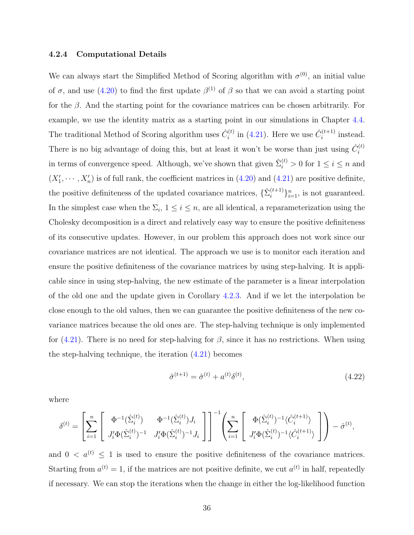## 4.2.4 Computational Details

We can always start the Simplified Method of Scoring algorithm with  $\sigma^{(0)}$ , an initial value of  $\sigma$ , and use [\(4.20\)](#page-42-0) to find the first update  $\beta^{(1)}$  of  $\beta$  so that we can avoid a starting point for the  $\beta$ . And the starting point for the covariance matrices can be chosen arbitrarily. For example, we use the identity matrix as a starting point in our simulations in Chapter [4.4.](#page-52-0) The traditional Method of Scoring algorithm uses  $\hat{C}_i^{(t)}$  $\hat{C}_i^{(t)}$  in [\(4.21\)](#page-42-0). Here we use  $\hat{C}_i^{(t+1)}$  $i^{(t+1)}$  instead. There is no big advantage of doing this, but at least it won't be worse than just using  $\hat{C}_i^{(t)}$ i in terms of convergence speed. Although, we've shown that given  $\hat{\Sigma}_i^{(t)} > 0$  for  $1 \le i \le n$  and  $(X'_1, \dots, X'_n)$  is of full rank, the coefficient matrices in  $(4.20)$  and  $(4.21)$  are positive definite, the positive definiteness of the updated covariance matrices,  $\{\hat{\Sigma}_i^{(t+1)}\}$  $\binom{(t+1)}{i}$ <sub>i=1</sub>, is not guaranteed. In the simplest case when the  $\Sigma_i$ ,  $1 \leq i \leq n$ , are all identical, a reparameterization using the Cholesky decomposition is a direct and relatively easy way to ensure the positive definiteness of its consecutive updates. However, in our problem this approach does not work since our covariance matrices are not identical. The approach we use is to monitor each iteration and ensure the positive definiteness of the covariance matrices by using step-halving. It is applicable since in using step-halving, the new estimate of the parameter is a linear interpolation of the old one and the update given in Corollary [4.2.3.](#page-41-0) And if we let the interpolation be close enough to the old values, then we can guarantee the positive definiteness of the new covariance matrices because the old ones are. The step-halving technique is only implemented for  $(4.21)$ . There is no need for step-halving for  $\beta$ , since it has no restrictions. When using the step-halving technique, the iteration [\(4.21\)](#page-42-0) becomes

$$
\hat{\sigma}^{(t+1)} = \hat{\sigma}^{(t)} + a^{(t)} \delta^{(t)},\tag{4.22}
$$

where

$$
\delta^{(t)}=\left[\sum_{i=1}^n\left[\begin{array}{cc}\Phi^{-1}(\hat{\Sigma}_i^{(t)})&\Phi^{-1}(\hat{\Sigma}_i^{(t)})J_i\\\ J_i'\Phi(\hat{\Sigma}_i^{(t)})^{-1}&J_i'\Phi(\hat{\Sigma}_i^{(t)})^{-1}J_i\end{array}\right]\right]^{-1}\left(\sum_{i=1}^n\left[\begin{array}{c}\Phi(\hat{\Sigma}_i^{(t)})^{-1}\langle\hat{C}_i^{(t+1)}\rangle\\\ J_i'\Phi(\hat{\Sigma}_i^{(t)})^{-1}\langle\hat{C}_i^{(t+1)}\rangle\end{array}\right]\right)-\hat{\sigma}^{(t)},
$$

and  $0 < a^{(t)} \leq 1$  is used to ensure the positive definiteness of the covariance matrices. Starting from  $a^{(t)} = 1$ , if the matrices are not positive definite, we cut  $a^{(t)}$  in half, repeatedly if necessary. We can stop the iterations when the change in either the log-likelihood function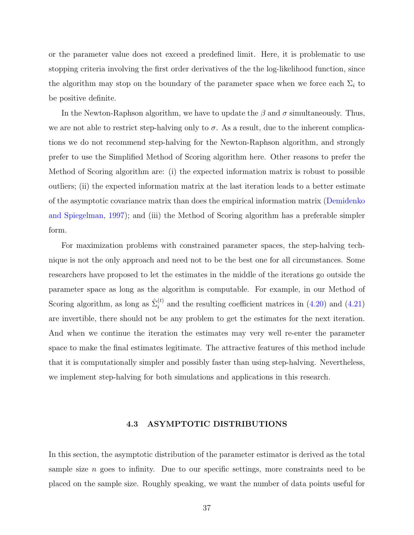or the parameter value does not exceed a predefined limit. Here, it is problematic to use stopping criteria involving the first order derivatives of the the log-likelihood function, since the algorithm may stop on the boundary of the parameter space when we force each  $\Sigma_i$  to be positive definite.

In the Newton-Raphson algorithm, we have to update the  $\beta$  and  $\sigma$  simultaneously. Thus, we are not able to restrict step-halving only to  $\sigma$ . As a result, due to the inherent complications we do not recommend step-halving for the Newton-Raphson algorithm, and strongly prefer to use the Simplified Method of Scoring algorithm here. Other reasons to prefer the Method of Scoring algorithm are: (i) the expected information matrix is robust to possible outliers; (ii) the expected information matrix at the last iteration leads to a better estimate of the asymptotic covariance matrix than does the empirical information matrix [\(Demidenko](#page-92-0) [and Spiegelman,](#page-92-0) [1997\)](#page-92-0); and (iii) the Method of Scoring algorithm has a preferable simpler form.

For maximization problems with constrained parameter spaces, the step-halving technique is not the only approach and need not to be the best one for all circumstances. Some researchers have proposed to let the estimates in the middle of the iterations go outside the parameter space as long as the algorithm is computable. For example, in our Method of Scoring algorithm, as long as  $\hat{\Sigma}_i^{(t)}$  $i_j^{(t)}$  and the resulting coefficient matrices in  $(4.20)$  and  $(4.21)$ are invertible, there should not be any problem to get the estimates for the next iteration. And when we continue the iteration the estimates may very well re-enter the parameter space to make the final estimates legitimate. The attractive features of this method include that it is computationally simpler and possibly faster than using step-halving. Nevertheless, we implement step-halving for both simulations and applications in this research.

# 4.3 ASYMPTOTIC DISTRIBUTIONS

In this section, the asymptotic distribution of the parameter estimator is derived as the total sample size  $n$  goes to infinity. Due to our specific settings, more constraints need to be placed on the sample size. Roughly speaking, we want the number of data points useful for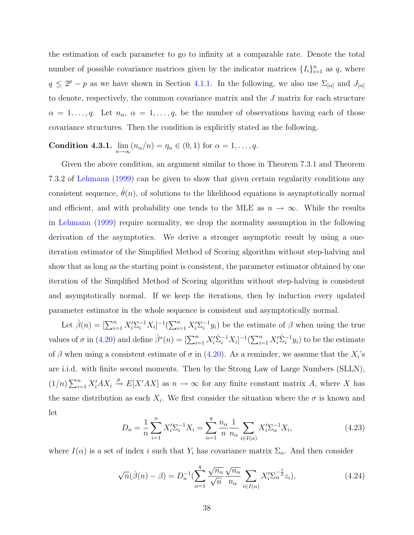<span id="page-47-0"></span>the estimation of each parameter to go to infinity at a comparable rate. Denote the total number of possible covariance matrices given by the indicator matrices  $\{I_i\}_{i=1}^n$  as q, where  $q \leq 2^p - p$  as we have shown in Section [4.1.1.](#page-31-0) In the following, we also use  $\Sigma_{[\alpha]}$  and  $J_{[\alpha]}$ to denote, respectively, the common covariance matrix and the J matrix for each structure  $\alpha = 1, \ldots, q$ . Let  $n_{\alpha}, \alpha = 1, \ldots, q$ , be the number of observations having each of those covariance structures. Then the condition is explicitly stated as the following.

**Condition 4.3.1.**  $\lim_{n \to \infty} (n_\alpha/n) = \eta_\alpha \in (0, 1)$  for  $\alpha = 1, \ldots, q$ .

Given the above condition, an argument similar to those in Theorem 7.3.1 and Theorem 7.3.2 of [Lehmann](#page-94-0) [\(1999\)](#page-94-0) can be given to show that given certain regularity conditions any consistent sequence,  $\hat{\theta}(n)$ , of solutions to the likelihood equations is asymptotically normal and efficient, and with probability one tends to the MLE as  $n \to \infty$ . While the results in [Lehmann](#page-94-0) [\(1999\)](#page-94-0) require normality, we drop the normality assumption in the following derivation of the asymptotics. We derive a stronger asymptotic result by using a oneiteration estimator of the Simplified Method of Scoring algorithm without step-halving and show that as long as the starting point is consistent, the parameter estimator obtained by one iteration of the Simplified Method of Scoring algorithm without step-halving is consistent and asymptotically normal. If we keep the iterations, then by induction every updated parameter estimator in the whole sequence is consistent and asymptotically normal.

Let  $\hat{\beta}(n) = [\sum_{i=1}^{n} X_i' \sum_{i}^{-1} X_i]^{-1} (\sum_{i=1}^{n} X_i' \sum_{i}^{-1}$  $i_{ij}^{-1}y_i$ ) be the estimate of  $\beta$  when using the true values of  $\sigma$  in [\(4.20\)](#page-42-0) and define  $\hat{\beta}^*(n) = \left[\sum_{i=1}^n X_i'\hat{\Sigma}_i^{-1}X_i\right]^{-1}\left(\sum_{i=1}^n X_i'\hat{\Sigma}_i^{-1}y_i\right)$  to be the estimate of  $\beta$  when using a consistent estimate of  $\sigma$  in [\(4.20\)](#page-42-0). As a reminder, we assume that the  $X_i$ 's are i.i.d. with finite second moments. Then by the Strong Law of Large Numbers (SLLN),  $(1/n)\sum_{i=1}^n X'_i AX_i \stackrel{p}{\rightarrow} E[X'AX]$  as  $n \rightarrow \infty$  for any finite constant matrix A, where X has the same distribution as each  $X_i$ . We first consider the situation where the  $\sigma$  is known and let

$$
D_n = \frac{1}{n} \sum_{i=1}^n X_i' \Sigma_i^{-1} X_i = \sum_{\alpha=1}^q \frac{n_\alpha}{n} \frac{1}{n_\alpha} \sum_{i \in I(\alpha)} X_i' \Sigma_\alpha^{-1} X_i,
$$
(4.23)

where  $I(\alpha)$  is a set of index i such that  $Y_i$  has covariance matrix  $\Sigma_{\alpha}$ . And then consider

$$
\sqrt{n}(\hat{\beta}(n) - \beta) = D_n^{-1}(\sum_{\alpha=1}^q \frac{\sqrt{n_{\alpha}}}{\sqrt{n}} \frac{\sqrt{n_{\alpha}}}{n_{\alpha}} \sum_{i \in I(\alpha)} X_i' \Sigma_{\alpha}^{-\frac{1}{2}} z_i), \qquad (4.24)
$$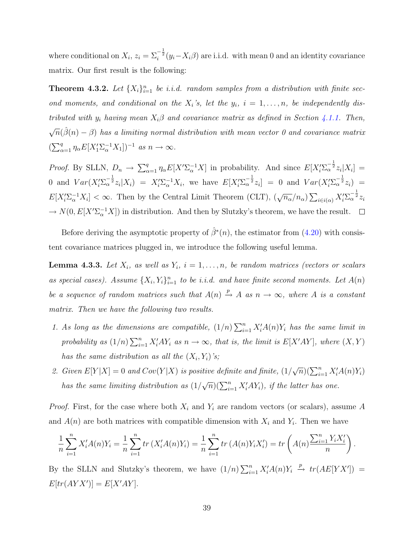<span id="page-48-0"></span>where conditional on  $X_i$ ,  $z_i = \sum_i^{\frac{1}{2}} (y_i - X_i \beta)$  are i.i.d. with mean 0 and an identity covariance matrix. Our first result is the following:

**Theorem 4.3.2.** Let  $\{X_i\}_{i=1}^n$  be i.i.d. random samples from a distribution with finite second moments, and conditional on the  $X_i$ 's, let the  $y_i$ ,  $i = 1, \ldots, n$ , be independently distributed with  $y_i$  having mean  $X_i\beta$  and covariance matrix as defined in Section [4.1.1.](#page-31-0) Then,  $\sqrt{n}(\hat{\beta}(n)-\beta)$  has a limiting normal distribution with mean vector 0 and covariance matrix  $(\sum_{\alpha=1}^q \eta_\alpha E[X_1' \Sigma_\alpha^{-1} X_1])^{-1}$  as  $n \to \infty$ .

*Proof.* By SLLN,  $D_n \to \sum_{\alpha=1}^q \eta_\alpha E[X'\Sigma_\alpha^{-1}X]$  in probability. And since  $E[X_i'\Sigma_\alpha^{-\frac{1}{2}}z_i|X_i] =$ 0 and  $Var(X_i' \Sigma_{\alpha}^{-\frac{1}{2}} z_i | X_i) = X_i' \Sigma_{\alpha}^{-1} X_i$ , we have  $E[X_i' \Sigma_{\alpha}^{-\frac{1}{2}} z_i] = 0$  and  $Var(X_i' \Sigma_{\alpha}^{-\frac{1}{2}} z_i) =$  $E[X_i^{\prime}\Sigma_{\alpha}^{-1}X_i]<\infty$ . Then by the Central Limit Theorem (CLT),  $(\sqrt{n_{\alpha}}/n_{\alpha})$  $\sum_{i \in i(\alpha)} X_i' \sum_{\alpha}^{-\frac{1}{2}} z_i$  $\rightarrow N(0, E[X^{\prime}\Sigma_{\alpha}^{-1}X])$  in distribution. And then by Slutzky's theorem, we have the result.

Before deriving the asymptotic property of  $\hat{\beta}^*(n)$ , the estimator from [\(4.20\)](#page-42-0) with consistent covariance matrices plugged in, we introduce the following useful lemma.

**Lemma 4.3.3.** Let  $X_i$ , as well as  $Y_i$ ,  $i = 1, \ldots, n$ , be random matrices (vectors or scalars as special cases). Assume  $\{X_i, Y_i\}_{i=1}^n$  to be i.i.d. and have finite second moments. Let  $A(n)$ be a sequence of random matrices such that  $A(n) \stackrel{p}{\rightarrow} A$  as  $n \rightarrow \infty$ , where A is a constant matrix. Then we have the following two results.

- 1. As long as the dimensions are compatible,  $(1/n)\sum_{i=1}^{n} X'_i A(n)Y_i$  has the same limit in probability as  $(1/n)\sum_{i=1}^n X_i'AY_i$  as  $n \to \infty$ , that is, the limit is  $E[X'AY]$ , where  $(X, Y)$ has the same distribution as all the  $(X_i, Y_i)$ 's;
- 2. Given  $E[Y|X] = 0$  and  $Cov(Y|X)$  is positive definite and finite,  $(1/$  $\sqrt{n}$ ) $\left(\sum_{i=1}^n X'_i A(n) Y_i\right)$ has the same limiting distribution as (1/  $\sqrt{n}$ )( $\sum_{i=1}^{n} X_i^{\prime} A Y_i$ ), if the latter has one.

*Proof.* First, for the case where both  $X_i$  and  $Y_i$  are random vectors (or scalars), assume A and  $A(n)$  are both matrices with compatible dimension with  $X_i$  and  $Y_i$ . Then we have

$$
\frac{1}{n}\sum_{i=1}^{n} X'_{i}A(n)Y_{i} = \frac{1}{n}\sum_{i=1}^{n} tr(X'_{i}A(n)Y_{i}) = \frac{1}{n}\sum_{i=1}^{n} tr(A(n)Y_{i}X'_{i}) = tr(A(n)\frac{\sum_{i=1}^{n} Y_{i}X'_{i}}{n}.
$$

By the SLLN and Slutzky's theorem, we have  $(1/n)\sum_{i=1}^n X'_iA(n)Y_i \stackrel{p}{\rightarrow} tr(AE[YX'])$  =  $E[tr(AYX')] = E[X'AY].$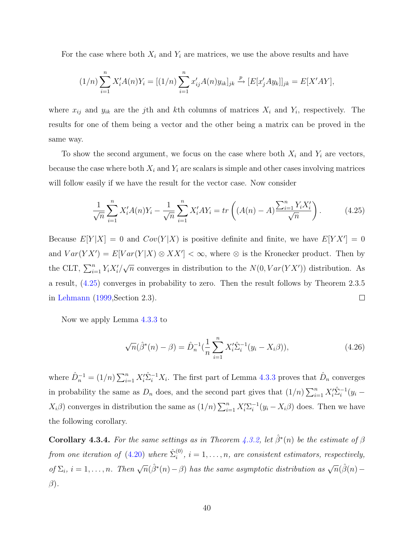For the case where both  $X_i$  and  $Y_i$  are matrices, we use the above results and have

$$
(1/n)\sum_{i=1}^{n} X'_{i}A(n)Y_{i} = [(1/n)\sum_{i=1}^{n} x'_{ij}A(n)y_{ik}]_{jk} \xrightarrow{p} [E[x'_{j}Ay_{k}]]_{jk} = E[X'AY],
$$

where  $x_{ij}$  and  $y_{ik}$  are the j<sup>th</sup> and k<sup>th</sup> columns of matrices  $X_i$  and  $Y_i$ , respectively. The results for one of them being a vector and the other being a matrix can be proved in the same way.

To show the second argument, we focus on the case where both  $X_i$  and  $Y_i$  are vectors, because the case where both  $X_i$  and  $Y_i$  are scalars is simple and other cases involving matrices will follow easily if we have the result for the vector case. Now consider

$$
\frac{1}{\sqrt{n}} \sum_{i=1}^{n} X_i' A(n) Y_i - \frac{1}{\sqrt{n}} \sum_{i=1}^{n} X_i' A Y_i = tr \left( (A(n) - A) \frac{\sum_{i=1}^{n} Y_i X_i'}{\sqrt{n}} \right).
$$
 (4.25)

Because  $E[Y|X] = 0$  and  $Cov(Y|X)$  is positive definite and finite, we have  $E[Y|X] = 0$ and  $Var(YX') = E[Var(Y|X) \otimes XX'] < \infty$ , where  $\otimes$  is the Kronecker product. Then by the CLT,  $\sum_{i=1}^{n} Y_i X'_i$ /  $\sqrt{n}$  converges in distribution to the  $N(0, Var(YX'))$  distribution. As a result, (4.25) converges in probability to zero. Then the result follows by Theorem 2.3.5 in [Lehmann](#page-94-0) [\(1999,](#page-94-0)Section 2.3).  $\Box$ 

Now we apply Lemma [4.3.3](#page-48-0) to

$$
\sqrt{n}(\hat{\beta}^*(n) - \beta) = \hat{D}_n^{-1}(\frac{1}{n}\sum_{i=1}^n X_i'\hat{\Sigma}_i^{-1}(y_i - X_i\beta)),\tag{4.26}
$$

where  $\hat{D}_n^{-1} = (1/n)$  $\sum_{i=1}^{n} X_i' \hat{\Sigma}_i^{-1} X_i$ . The first part of Lemma [4.3.3](#page-48-0) proves that  $\hat{D}_n$  converges in probability the same as  $D_n$  does, and the second part gives that  $(1/n)\sum_{i=1}^n X_i'\hat{\Sigma}_i^{-1}(y_i X_i\beta$ ) converges in distribution the same as  $(1/n)\sum_{i=1}^n X_i'\Sigma_i^{-1}$  $i^{-1}(y_i - X_i \beta)$  does. Then we have the following corollary.

**Corollary 4.3.4.** For the same settings as in Theorem [4.3.2,](#page-48-0) let  $\hat{\beta}^*(n)$  be the estimate of  $\beta$ from one iteration of  $(4.20)$  where  $\hat{\Sigma}_i^{(0)}$  $i^{(0)}$ ,  $i = 1, \ldots, n$ , are consistent estimators, respectively, of  $\Sigma_i$ ,  $i = 1, ..., n$ . Then  $\sqrt{n}(\hat{\beta}^*(n) - \beta)$  has the same asymptotic distribution as  $\sqrt{n}(\hat{\beta}(n) - \beta)$  $\beta$ ).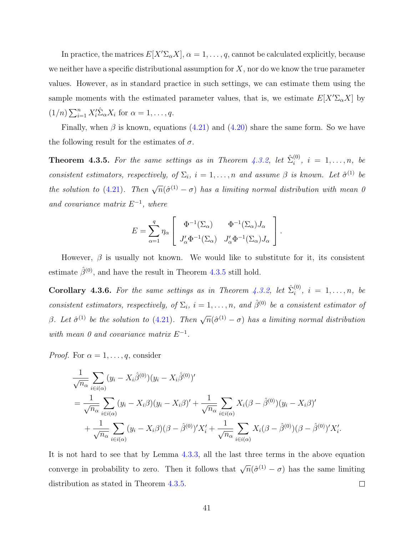<span id="page-50-0"></span>In practice, the matrices  $E[X'\Sigma_{\alpha}X], \alpha = 1, \ldots, q$ , cannot be calculated explicitly, because we neither have a specific distributional assumption for  $X$ , nor do we know the true parameter values. However, as in standard practice in such settings, we can estimate them using the sample moments with the estimated parameter values, that is, we estimate  $E[X'\Sigma_{\alpha}X]$  by  $(1/n)\sum_{i=1}^n X_i'^{\hat{\Sigma}}_{\alpha} X_i$  for  $\alpha = 1, \ldots, q$ .

Finally, when  $\beta$  is known, equations [\(4.21\)](#page-42-0) and [\(4.20\)](#page-42-0) share the same form. So we have the following result for the estimates of  $\sigma$ .

**Theorem 4.3.5.** For the same settings as in Theorem [4.3.2,](#page-48-0) let  $\hat{\Sigma}_i^{(0)}$  $i^{(0)}$ ,  $i = 1, \ldots, n$ , be consistent estimators, respectively, of  $\Sigma_i$ ,  $i = 1, ..., n$  and assume  $\beta$  is known. Let  $\hat{\sigma}^{(1)}$  be the solution to [\(4.21\)](#page-42-0). Then  $\sqrt{n}(\hat{\sigma}^{(1)} - \sigma)$  has a limiting normal distribution with mean 0 and covariance matrix  $E^{-1}$ , where

$$
E = \sum_{\alpha=1}^{q} \eta_{\alpha} \begin{bmatrix} \Phi^{-1}(\Sigma_{\alpha}) & \Phi^{-1}(\Sigma_{\alpha})J_{\alpha} \\ J_{\alpha}'\Phi^{-1}(\Sigma_{\alpha}) & J_{\alpha}'\Phi^{-1}(\Sigma_{\alpha})J_{\alpha} \end{bmatrix}.
$$

However,  $\beta$  is usually not known. We would like to substitute for it, its consistent estimate  $\hat{\beta}^{(0)}$ , and have the result in Theorem 4.3.5 still hold.

**Corollary 4.3.6.** For the same settings as in Theorem [4.3.2,](#page-48-0) let  $\hat{\Sigma}_i^{(0)}$  $i^{(0)}$ ,  $i = 1, \ldots, n$ , be consistent estimators, respectively, of  $\Sigma_i$ ,  $i = 1, \ldots, n$ , and  $\hat{\beta}^{(0)}$  be a consistent estimator of β. Let  $\hat{\sigma}^{(1)}$  be the solution to [\(4.21\)](#page-42-0). Then  $\sqrt{n}(\hat{\sigma}^{(1)} - \sigma)$  has a limiting normal distribution with mean 0 and covariance matrix  $E^{-1}$ .

*Proof.* For  $\alpha = 1, \ldots, q$ , consider

$$
\frac{1}{\sqrt{n_{\alpha}}} \sum_{i \in i(\alpha)} (y_i - X_i \hat{\beta}^{(0)}) (y_i - X_i \hat{\beta}^{(0)})'
$$
\n
$$
= \frac{1}{\sqrt{n_{\alpha}}} \sum_{i \in i(\alpha)} (y_i - X_i \beta) (y_i - X_i \beta)' + \frac{1}{\sqrt{n_{\alpha}}} \sum_{i \in i(\alpha)} X_i (\beta - \hat{\beta}^{(0)}) (y_i - X_i \beta)'
$$
\n
$$
+ \frac{1}{\sqrt{n_{\alpha}}} \sum_{i \in i(\alpha)} (y_i - X_i \beta) (\beta - \hat{\beta}^{(0)})' X_i' + \frac{1}{\sqrt{n_{\alpha}}} \sum_{i \in i(\alpha)} X_i (\beta - \hat{\beta}^{(0)}) (\beta - \hat{\beta}^{(0)})' X_i'.
$$

It is not hard to see that by Lemma [4.3.3,](#page-48-0) all the last three terms in the above equation converge in probability to zero. Then it follows that  $\sqrt{n}(\hat{\sigma}^{(1)} - \sigma)$  has the same limiting  $\Box$ distribution as stated in Theorem 4.3.5.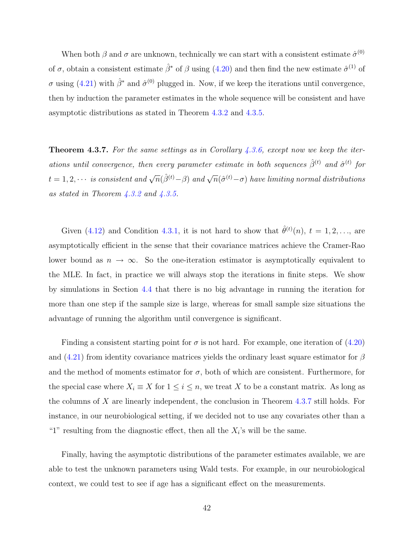When both  $\beta$  and  $\sigma$  are unknown, technically we can start with a consistent estimate  $\hat{\sigma}^{(0)}$ of  $\sigma$ , obtain a consistent estimate  $\hat{\beta}^*$  of  $\beta$  using [\(4.20\)](#page-42-0) and then find the new estimate  $\hat{\sigma}^{(1)}$  of  $\sigma$  using [\(4.21\)](#page-42-0) with  $\hat{\beta}^*$  and  $\hat{\sigma}^{(0)}$  plugged in. Now, if we keep the iterations until convergence, then by induction the parameter estimates in the whole sequence will be consistent and have asymptotic distributions as stated in Theorem [4.3.2](#page-48-0) and [4.3.5.](#page-50-0)

**Theorem 4.3.7.** For the same settings as in Corollary  $4.3.6$ , except now we keep the iterations until convergence, then every parameter estimate in both sequences  $\hat{\beta}^{(t)}$  and  $\hat{\sigma}^{(t)}$  for  $t=1,2,\cdots$  is consistent and  $\sqrt{n}(\hat{\beta}^{(t)}-\beta)$  and  $\sqrt{n}(\hat{\sigma}^{(t)}-\sigma)$  have limiting normal distributions as stated in Theorem  $4.3.2$  and  $4.3.5$ .

Given [\(4.12\)](#page-39-0) and Condition [4.3.1,](#page-47-0) it is not hard to show that  $\hat{\theta}^{(t)}(n)$ ,  $t = 1, 2, \ldots$ , are asymptotically efficient in the sense that their covariance matrices achieve the Cramer-Rao lower bound as  $n \to \infty$ . So the one-iteration estimator is asymptotically equivalent to the MLE. In fact, in practice we will always stop the iterations in finite steps. We show by simulations in Section [4.4](#page-52-0) that there is no big advantage in running the iteration for more than one step if the sample size is large, whereas for small sample size situations the advantage of running the algorithm until convergence is significant.

Finding a consistent starting point for  $\sigma$  is not hard. For example, one iteration of [\(4.20\)](#page-42-0) and  $(4.21)$  from identity covariance matrices yields the ordinary least square estimator for  $\beta$ and the method of moments estimator for  $\sigma$ , both of which are consistent. Furthermore, for the special case where  $X_i \equiv X$  for  $1 \leq i \leq n$ , we treat X to be a constant matrix. As long as the columns of X are linearly independent, the conclusion in Theorem 4.3.7 still holds. For instance, in our neurobiological setting, if we decided not to use any covariates other than a "1" resulting from the diagnostic effect, then all the  $X_i$ 's will be the same.

Finally, having the asymptotic distributions of the parameter estimates available, we are able to test the unknown parameters using Wald tests. For example, in our neurobiological context, we could test to see if age has a significant effect on the measurements.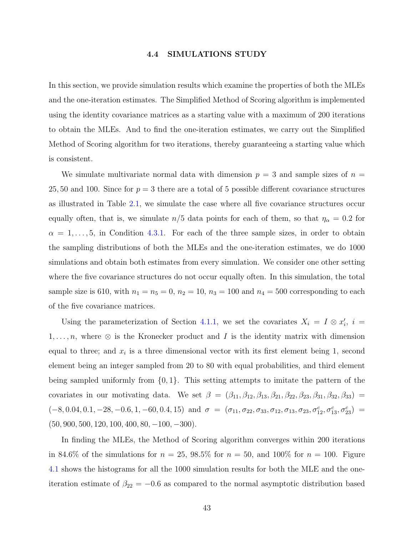#### 4.4 SIMULATIONS STUDY

<span id="page-52-0"></span>In this section, we provide simulation results which examine the properties of both the MLEs and the one-iteration estimates. The Simplified Method of Scoring algorithm is implemented using the identity covariance matrices as a starting value with a maximum of 200 iterations to obtain the MLEs. And to find the one-iteration estimates, we carry out the Simplified Method of Scoring algorithm for two iterations, thereby guaranteeing a starting value which is consistent.

We simulate multivariate normal data with dimension  $p = 3$  and sample sizes of  $n =$ 25, 50 and 100. Since for  $p = 3$  there are a total of 5 possible different covariance structures as illustrated in Table [2.1,](#page-18-0) we simulate the case where all five covariance structures occur equally often, that is, we simulate  $n/5$  data points for each of them, so that  $\eta_{\alpha} = 0.2$  for  $\alpha = 1, \ldots, 5$ , in Condition [4.3.1.](#page-47-0) For each of the three sample sizes, in order to obtain the sampling distributions of both the MLEs and the one-iteration estimates, we do 1000 simulations and obtain both estimates from every simulation. We consider one other setting where the five covariance structures do not occur equally often. In this simulation, the total sample size is 610, with  $n_1 = n_5 = 0$ ,  $n_2 = 10$ ,  $n_3 = 100$  and  $n_4 = 500$  corresponding to each of the five covariance matrices.

Using the parameterization of Section [4.1.1,](#page-31-0) we set the covariates  $X_i = I \otimes x'_i$ ,  $i =$  $1, \ldots, n$ , where  $\otimes$  is the Kronecker product and I is the identity matrix with dimension equal to three; and  $x_i$  is a three dimensional vector with its first element being 1, second element being an integer sampled from 20 to 80 with equal probabilities, and third element being sampled uniformly from  $\{0, 1\}$ . This setting attempts to imitate the pattern of the covariates in our motivating data. We set  $\beta = (\beta_{11}, \beta_{12}, \beta_{13}, \beta_{21}, \beta_{22}, \beta_{23}, \beta_{31}, \beta_{32}, \beta_{33}) =$  $(-8, 0.04, 0.1, -28, -0.6, 1, -60, 0.4, 15)$  and  $\sigma = (\sigma_{11}, \sigma_{22}, \sigma_{33}, \sigma_{12}, \sigma_{13}, \sigma_{23}, \sigma_{12}^c, \sigma_{13}^c, \sigma_{23}^c)$  $(50, 900, 500, 120, 100, 400, 80, -100, -300).$ 

In finding the MLEs, the Method of Scoring algorithm converges within 200 iterations in 84.6% of the simulations for  $n = 25, 98.5\%$  for  $n = 50$ , and 100% for  $n = 100$ . Figure [4.1](#page-53-0) shows the histograms for all the 1000 simulation results for both the MLE and the oneiteration estimate of  $\beta_{22} = -0.6$  as compared to the normal asymptotic distribution based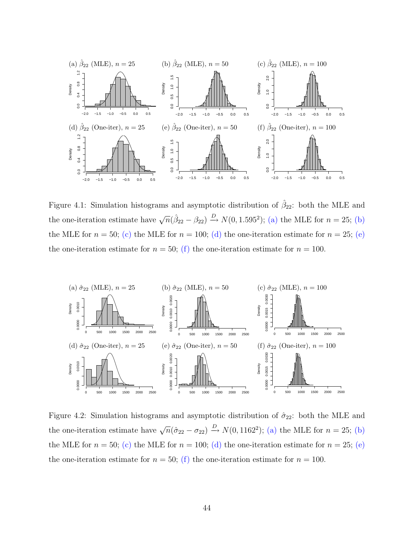<span id="page-53-0"></span>

Figure 4.1: Simulation histograms and asymptotic distribution of  $\hat{\beta}_{22}$ : both the MLE and the one-iteration estimate have  $\sqrt{n}(\hat{\beta}_{22} - \beta_{22}) \stackrel{D}{\rightarrow} N(0, 1.595^2)$ ; (a) the MLE for  $n = 25$ ; (b) the MLE for  $n = 50$ ; (c) the MLE for  $n = 100$ ; (d) the one-iteration estimate for  $n = 25$ ; (e) the one-iteration estimate for  $n = 50$ ; (f) the one-iteration estimate for  $n = 100$ .



Figure 4.2: Simulation histograms and asymptotic distribution of  $\hat{\sigma}_{22}$ : both the MLE and the one-iteration estimate have  $\sqrt{n}(\hat{\sigma}_{22} - \sigma_{22}) \xrightarrow{D} N(0, 1162^2)$ ; (a) the MLE for  $n = 25$ ; (b) the MLE for  $n = 50$ ; (c) the MLE for  $n = 100$ ; (d) the one-iteration estimate for  $n = 25$ ; (e) the one-iteration estimate for  $n = 50$ ; (f) the one-iteration estimate for  $n = 100$ .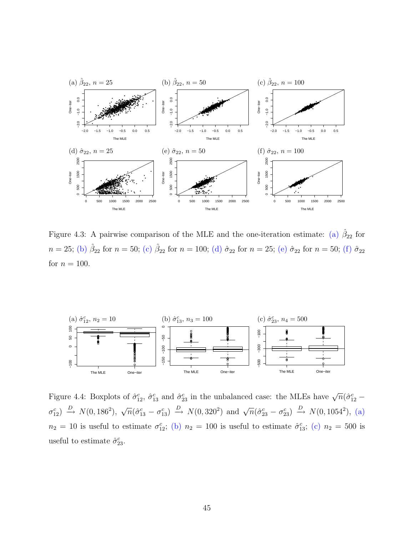<span id="page-54-0"></span>

Figure 4.3: A pairwise comparison of the MLE and the one-iteration estimate: (a)  $\hat{\beta}_{22}$  for  $n = 25$ ; (b)  $\hat{\beta}_{22}$  for  $n = 50$ ; (c)  $\hat{\beta}_{22}$  for  $n = 100$ ; (d)  $\hat{\sigma}_{22}$  for  $n = 25$ ; (e)  $\hat{\sigma}_{22}$  for  $n = 50$ ; (f)  $\hat{\sigma}_{22}$ for  $n = 100$ .



Figure 4.4: Boxplots of  $\hat{\sigma}_{12}^c$ ,  $\hat{\sigma}_{13}^c$  and  $\hat{\sigma}_{23}^c$  in the unbalanced case: the MLEs have  $\sqrt{n}(\hat{\sigma}_{12}^c \sigma_{12}^c$   $\Rightarrow$   $N(0, 186^2)$ ,  $\sqrt{n}(\hat{\sigma}_{13}^c - \sigma_{13}^c)$   $\Rightarrow$   $N(0, 320^2)$  and  $\sqrt{n}(\hat{\sigma}_{23}^c - \sigma_{23}^c)$   $\Rightarrow$   $N(0, 1054^2)$ , (a)  $n_2 = 10$  is useful to estimate  $\sigma_{12}^c$ ; (b)  $n_2 = 100$  is useful to estimate  $\hat{\sigma}_{13}^c$ ; (c)  $n_2 = 500$  is useful to estimate  $\hat{\sigma}_{23}^c$ .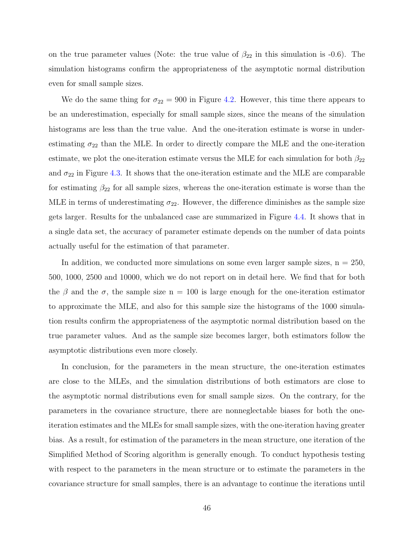on the true parameter values (Note: the true value of  $\beta_{22}$  in this simulation is -0.6). The simulation histograms confirm the appropriateness of the asymptotic normal distribution even for small sample sizes.

We do the same thing for  $\sigma_{22} = 900$  in Figure [4.2.](#page-53-0) However, this time there appears to be an underestimation, especially for small sample sizes, since the means of the simulation histograms are less than the true value. And the one-iteration estimate is worse in underestimating  $\sigma_{22}$  than the MLE. In order to directly compare the MLE and the one-iteration estimate, we plot the one-iteration estimate versus the MLE for each simulation for both  $\beta_{22}$ and  $\sigma_{22}$  in Figure [4.3.](#page-54-0) It shows that the one-iteration estimate and the MLE are comparable for estimating  $\beta_{22}$  for all sample sizes, whereas the one-iteration estimate is worse than the MLE in terms of underestimating  $\sigma_{22}$ . However, the difference diminishes as the sample size gets larger. Results for the unbalanced case are summarized in Figure [4.4.](#page-54-0) It shows that in a single data set, the accuracy of parameter estimate depends on the number of data points actually useful for the estimation of that parameter.

In addition, we conducted more simulations on some even larger sample sizes,  $n = 250$ , 500, 1000, 2500 and 10000, which we do not report on in detail here. We find that for both the  $\beta$  and the  $\sigma$ , the sample size n = 100 is large enough for the one-iteration estimator to approximate the MLE, and also for this sample size the histograms of the 1000 simulation results confirm the appropriateness of the asymptotic normal distribution based on the true parameter values. And as the sample size becomes larger, both estimators follow the asymptotic distributions even more closely.

In conclusion, for the parameters in the mean structure, the one-iteration estimates are close to the MLEs, and the simulation distributions of both estimators are close to the asymptotic normal distributions even for small sample sizes. On the contrary, for the parameters in the covariance structure, there are nonneglectable biases for both the oneiteration estimates and the MLEs for small sample sizes, with the one-iteration having greater bias. As a result, for estimation of the parameters in the mean structure, one iteration of the Simplified Method of Scoring algorithm is generally enough. To conduct hypothesis testing with respect to the parameters in the mean structure or to estimate the parameters in the covariance structure for small samples, there is an advantage to continue the iterations until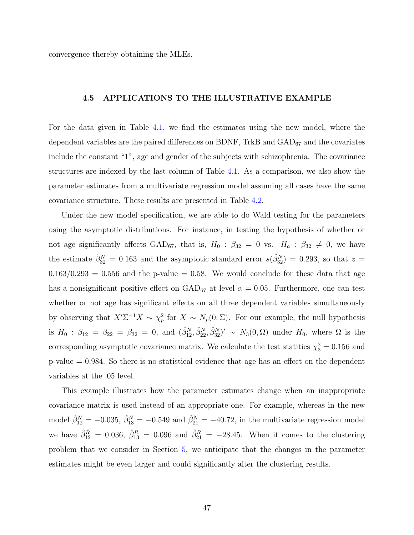convergence thereby obtaining the MLEs.

### 4.5 APPLICATIONS TO THE ILLUSTRATIVE EXAMPLE

For the data given in Table [4.1,](#page-36-0) we find the estimates using the new model, where the dependent variables are the paired differences on BDNF, TrkB and  $\text{GAD}_{67}$  and the covariates include the constant "1", age and gender of the subjects with schizophrenia. The covariance structures are indexed by the last column of Table [4.1.](#page-36-0) As a comparison, we also show the parameter estimates from a multivariate regression model assuming all cases have the same covariance structure. These results are presented in Table [4.2.](#page-57-0)

Under the new model specification, we are able to do Wald testing for the parameters using the asymptotic distributions. For instance, in testing the hypothesis of whether or not age significantly affects GAD<sub>67</sub>, that is,  $H_0$  :  $\beta_{32} = 0$  vs.  $H_a$  :  $\beta_{32} \neq 0$ , we have the estimate  $\hat{\beta}_{32}^N = 0.163$  and the asymptotic standard error  $s(\hat{\beta}_{32}^N) = 0.293$ , so that  $z =$  $0.163/0.293 = 0.556$  and the p-value = 0.58. We would conclude for these data that age has a nonsignificant positive effect on  $\text{GAD}_{67}$  at level  $\alpha = 0.05$ . Furthermore, one can test whether or not age has significant effects on all three dependent variables simultaneously by observing that  $X' \Sigma^{-1} X \sim \chi_p^2$  for  $X \sim N_p(0, \Sigma)$ . For our example, the null hypothesis is  $H_0: \beta_{12} = \beta_{22} = \beta_{32} = 0$ , and  $(\hat{\beta}_{12}^N, \hat{\beta}_{22}^N, \hat{\beta}_{32}^N)' \sim N_3(0, \Omega)$  under  $H_0$ , where  $\Omega$  is the corresponding asymptotic covariance matrix. We calculate the test statitics  $\chi_3^2 = 0.156$  and p-value = 0.984. So there is no statistical evidence that age has an effect on the dependent variables at the .05 level.

This example illustrates how the parameter estimates change when an inappropriate covariance matrix is used instead of an appropriate one. For example, whereas in the new model  $\hat{\beta}_{12}^N = -0.035$ ,  $\hat{\beta}_{13}^N = -0.549$  and  $\hat{\beta}_{21}^N = -40.72$ , in the multivariate regression model we have  $\hat{\beta}_{12}^R = 0.036$ ,  $\hat{\beta}_{13}^R = 0.096$  and  $\hat{\beta}_{21}^R = -28.45$ . When it comes to the clustering problem that we consider in Section [5,](#page-58-0) we anticipate that the changes in the parameter estimates might be even larger and could significantly alter the clustering results.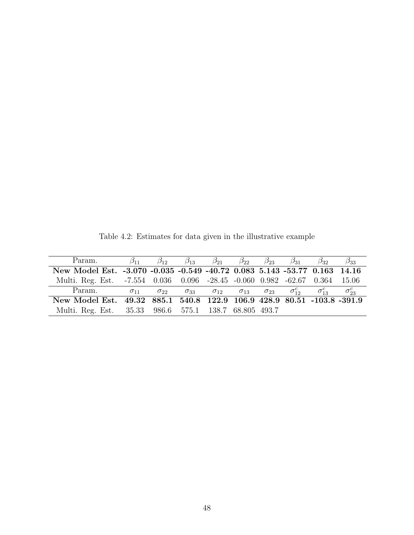| Param.                                                                     | $\beta_{11}$ |                             |  |  | $\beta_{12}$ $\beta_{13}$ $\beta_{21}$ $\beta_{22}$ $\beta_{23}$ $\beta_{31}$ $\beta_{32}$              | $\beta_{33}$ |
|----------------------------------------------------------------------------|--------------|-----------------------------|--|--|---------------------------------------------------------------------------------------------------------|--------------|
| New Model Est. -3.070 -0.035 -0.549 -40.72 0.083 5.143 -53.77 0.163 14.16  |              |                             |  |  |                                                                                                         |              |
| Multi. Reg. Est. -7.554 0.036 0.096 -28.45 -0.060 0.982 -62.67 0.364 15.06 |              |                             |  |  |                                                                                                         |              |
| Param.                                                                     |              | $\sigma_{11}$ $\sigma_{22}$ |  |  | $\sigma_{33}$ $\sigma_{12}$ $\sigma_{13}$ $\sigma_{23}$ $\sigma_{12}^c$ $\sigma_{13}^c$ $\sigma_{23}^c$ |              |
| New Model Est. 49.32 885.1 540.8 122.9 106.9 428.9 80.51 -103.8 -391.9     |              |                             |  |  |                                                                                                         |              |
| Multi. Reg. Est. 35.33 986.6 575.1 138.7 68.805 493.7                      |              |                             |  |  |                                                                                                         |              |

<span id="page-57-0"></span>Table 4.2: Estimates for data given in the illustrative example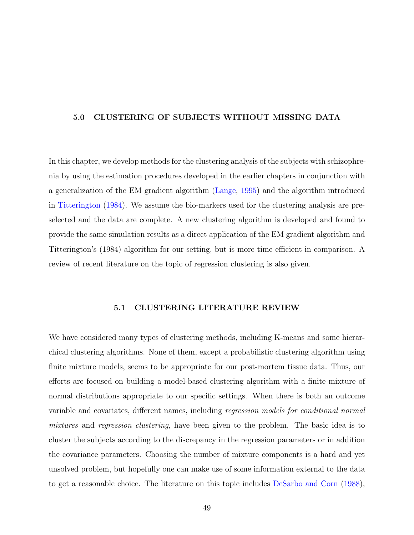## <span id="page-58-0"></span>5.0 CLUSTERING OF SUBJECTS WITHOUT MISSING DATA

In this chapter, we develop methods for the clustering analysis of the subjects with schizophrenia by using the estimation procedures developed in the earlier chapters in conjunction with a generalization of the EM gradient algorithm [\(Lange,](#page-93-0) [1995\)](#page-93-0) and the algorithm introduced in [Titterington](#page-94-0) [\(1984\)](#page-94-0). We assume the bio-markers used for the clustering analysis are preselected and the data are complete. A new clustering algorithm is developed and found to provide the same simulation results as a direct application of the EM gradient algorithm and Titterington's (1984) algorithm for our setting, but is more time efficient in comparison. A review of recent literature on the topic of regression clustering is also given.

# 5.1 CLUSTERING LITERATURE REVIEW

We have considered many types of clustering methods, including K-means and some hierarchical clustering algorithms. None of them, except a probabilistic clustering algorithm using finite mixture models, seems to be appropriate for our post-mortem tissue data. Thus, our efforts are focused on building a model-based clustering algorithm with a finite mixture of normal distributions appropriate to our specific settings. When there is both an outcome variable and covariates, different names, including regression models for conditional normal mixtures and regression clustering, have been given to the problem. The basic idea is to cluster the subjects according to the discrepancy in the regression parameters or in addition the covariance parameters. Choosing the number of mixture components is a hard and yet unsolved problem, but hopefully one can make use of some information external to the data to get a reasonable choice. The literature on this topic includes [DeSarbo and Corn](#page-92-0) [\(1988\)](#page-92-0),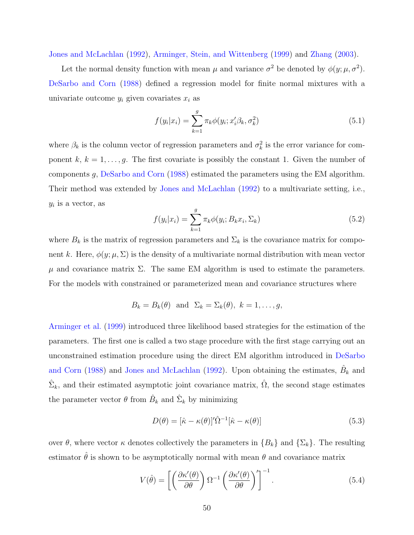[Jones and McLachlan](#page-93-0) [\(1992\)](#page-93-0), [Arminger, Stein, and Wittenberg](#page-92-0) [\(1999\)](#page-92-0) and [Zhang](#page-95-0) [\(2003\)](#page-95-0).

Let the normal density function with mean  $\mu$  and variance  $\sigma^2$  be denoted by  $\phi(y; \mu, \sigma^2)$ . [DeSarbo and Corn](#page-92-0) [\(1988\)](#page-92-0) defined a regression model for finite normal mixtures with a univariate outcome  $y_i$  given covariates  $x_i$  as

$$
f(y_i|x_i) = \sum_{k=1}^{g} \pi_k \phi(y_i; x_i' \beta_k, \sigma_k^2)
$$
\n(5.1)

where  $\beta_k$  is the column vector of regression parameters and  $\sigma_k^2$  is the error variance for component k,  $k = 1, \ldots, g$ . The first covariate is possibly the constant 1. Given the number of components g, [DeSarbo and Corn](#page-92-0) [\(1988\)](#page-92-0) estimated the parameters using the EM algorithm. Their method was extended by [Jones and McLachlan](#page-93-0) [\(1992\)](#page-93-0) to a multivariate setting, i.e.,  $y_i$  is a vector, as

$$
f(y_i|x_i) = \sum_{k=1}^{g} \pi_k \phi(y_i; B_k x_i, \Sigma_k)
$$
\n(5.2)

where  $B_k$  is the matrix of regression parameters and  $\Sigma_k$  is the covariance matrix for component k. Here,  $\phi(y; \mu, \Sigma)$  is the density of a multivariate normal distribution with mean vector  $\mu$  and covariance matrix  $\Sigma$ . The same EM algorithm is used to estimate the parameters. For the models with constrained or parameterized mean and covariance structures where

$$
B_k = B_k(\theta)
$$
 and  $\Sigma_k = \Sigma_k(\theta)$ ,  $k = 1, ..., g$ ,

[Arminger et al.](#page-92-0) [\(1999\)](#page-92-0) introduced three likelihood based strategies for the estimation of the parameters. The first one is called a two stage procedure with the first stage carrying out an unconstrained estimation procedure using the direct EM algorithm introduced in [DeSarbo](#page-92-0) [and Corn](#page-92-0) [\(1988\)](#page-92-0) and [Jones and McLachlan](#page-93-0) [\(1992\)](#page-93-0). Upon obtaining the estimates,  $\hat{B}_k$  and  $\hat{\Sigma}_k$ , and their estimated asymptotic joint covariance matrix,  $\hat{\Omega}$ , the second stage estimates the parameter vector  $\theta$  from  $\hat{B}_k$  and  $\hat{\Sigma}_k$  by minimizing

$$
D(\theta) = [\hat{\kappa} - \kappa(\theta)]' \hat{\Omega}^{-1} [\hat{\kappa} - \kappa(\theta)] \tag{5.3}
$$

over  $\theta$ , where vector  $\kappa$  denotes collectively the parameters in  ${B_k}$  and  ${\Sigma_k}$ . The resulting estimator  $\hat{\theta}$  is shown to be asymptotically normal with mean  $\theta$  and covariance matrix

$$
V(\hat{\theta}) = \left[ \left( \frac{\partial \kappa'(\theta)}{\partial \theta} \right) \Omega^{-1} \left( \frac{\partial \kappa'(\theta)}{\partial \theta} \right)' \right]^{-1}.
$$
 (5.4)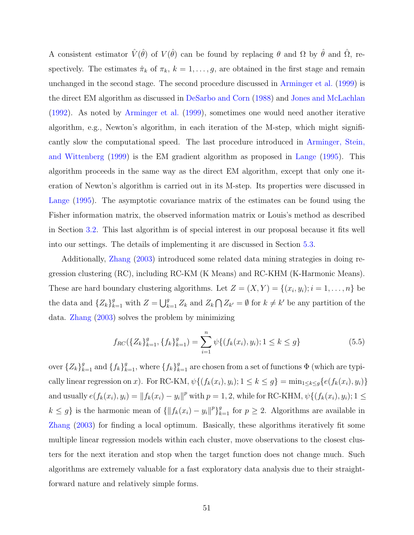A consistent estimator  $\hat{V}(\hat{\theta})$  of  $V(\hat{\theta})$  can be found by replacing  $\theta$  and  $\Omega$  by  $\hat{\theta}$  and  $\hat{\Omega}$ , respectively. The estimates  $\hat{\pi}_k$  of  $\pi_k$ ,  $k = 1, \ldots, g$ , are obtained in the first stage and remain unchanged in the second stage. The second procedure discussed in [Arminger et al.](#page-92-0) [\(1999\)](#page-92-0) is the direct EM algorithm as discussed in [DeSarbo and Corn](#page-92-0) [\(1988\)](#page-92-0) and [Jones and McLachlan](#page-93-0) [\(1992\)](#page-93-0). As noted by [Arminger et al.](#page-92-0) [\(1999\)](#page-92-0), sometimes one would need another iterative algorithm, e.g., Newton's algorithm, in each iteration of the M-step, which might significantly slow the computational speed. The last procedure introduced in [Arminger, Stein,](#page-92-0) [and Wittenberg](#page-92-0) [\(1999\)](#page-92-0) is the EM gradient algorithm as proposed in [Lange](#page-93-0) [\(1995\)](#page-93-0). This algorithm proceeds in the same way as the direct EM algorithm, except that only one iteration of Newton's algorithm is carried out in its M-step. Its properties were discussed in [Lange](#page-93-0) [\(1995\)](#page-93-0). The asymptotic covariance matrix of the estimates can be found using the Fisher information matrix, the observed information matrix or Louis's method as described in Section [3.2.](#page-25-0) This last algorithm is of special interest in our proposal because it fits well into our settings. The details of implementing it are discussed in Section [5.3.](#page-62-0)

Additionally, [Zhang](#page-95-0) [\(2003\)](#page-95-0) introduced some related data mining strategies in doing regression clustering (RC), including RC-KM (K Means) and RC-KHM (K-Harmonic Means). These are hard boundary clustering algorithms. Let  $Z = (X, Y) = \{(x_i, y_i); i = 1, \ldots, n\}$  be the data and  $\{Z_k\}_{k=1}^g$  with  $Z =$  $\overline{g}$  $_{k=1}^{g} Z_k$  and  $Z_k$  $\overline{a}$  $Z_{k'} = \emptyset$  for  $k \neq k'$  be any partition of the data. [Zhang](#page-95-0) [\(2003\)](#page-95-0) solves the problem by minimizing

$$
f_{RC}(\lbrace Z_k \rbrace_{k=1}^g, \lbrace f_k \rbrace_{k=1}^g) = \sum_{i=1}^n \psi \lbrace (f_k(x_i), y_i); 1 \le k \le g \rbrace
$$
 (5.5)

over  $\{Z_k\}_{k=1}^g$  and  $\{f_k\}_{k=1}^g$ , where  $\{f_k\}_{k=1}^g$  are chosen from a set of functions  $\Phi$  (which are typically linear regression on x). For RC-KM,  $\psi\{(f_k(x_i), y_i); 1 \leq k \leq g\} = \min_{1 \leq k \leq g} \{e(f_k(x_i), y_i)\}$ and usually  $e(f_k(x_i), y_i) = ||f_k(x_i) - y_i||^p$  with  $p = 1, 2$ , while for RC-KHM,  $\psi\{(f_k(x_i), y_i); 1 \leq k \leq n\}$  $k \leq g$  is the harmonic mean of  $\{\|f_k(x_i) - y_i\|^p\}_{k=1}^g$  for  $p \geq 2$ . Algorithms are available in [Zhang](#page-95-0) [\(2003\)](#page-95-0) for finding a local optimum. Basically, these algorithms iteratively fit some multiple linear regression models within each cluster, move observations to the closest clusters for the next iteration and stop when the target function does not change much. Such algorithms are extremely valuable for a fast exploratory data analysis due to their straightforward nature and relatively simple forms.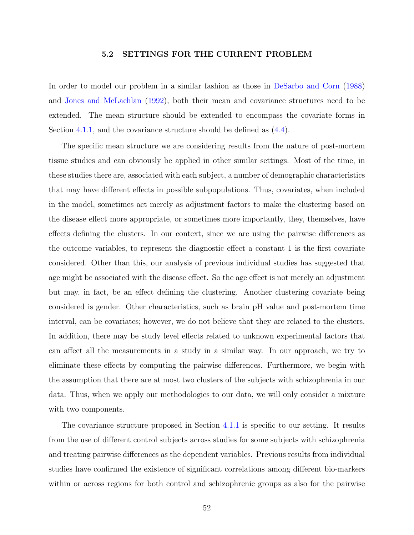### 5.2 SETTINGS FOR THE CURRENT PROBLEM

<span id="page-61-0"></span>In order to model our problem in a similar fashion as those in [DeSarbo and Corn](#page-92-0) [\(1988\)](#page-92-0) and [Jones and McLachlan](#page-93-0) [\(1992\)](#page-93-0), both their mean and covariance structures need to be extended. The mean structure should be extended to encompass the covariate forms in Section [4.1.1,](#page-31-0) and the covariance structure should be defined as  $(4.4)$ .

The specific mean structure we are considering results from the nature of post-mortem tissue studies and can obviously be applied in other similar settings. Most of the time, in these studies there are, associated with each subject, a number of demographic characteristics that may have different effects in possible subpopulations. Thus, covariates, when included in the model, sometimes act merely as adjustment factors to make the clustering based on the disease effect more appropriate, or sometimes more importantly, they, themselves, have effects defining the clusters. In our context, since we are using the pairwise differences as the outcome variables, to represent the diagnostic effect a constant 1 is the first covariate considered. Other than this, our analysis of previous individual studies has suggested that age might be associated with the disease effect. So the age effect is not merely an adjustment but may, in fact, be an effect defining the clustering. Another clustering covariate being considered is gender. Other characteristics, such as brain pH value and post-mortem time interval, can be covariates; however, we do not believe that they are related to the clusters. In addition, there may be study level effects related to unknown experimental factors that can affect all the measurements in a study in a similar way. In our approach, we try to eliminate these effects by computing the pairwise differences. Furthermore, we begin with the assumption that there are at most two clusters of the subjects with schizophrenia in our data. Thus, when we apply our methodologies to our data, we will only consider a mixture with two components.

The covariance structure proposed in Section [4.1.1](#page-31-0) is specific to our setting. It results from the use of different control subjects across studies for some subjects with schizophrenia and treating pairwise differences as the dependent variables. Previous results from individual studies have confirmed the existence of significant correlations among different bio-markers within or across regions for both control and schizophrenic groups as also for the pairwise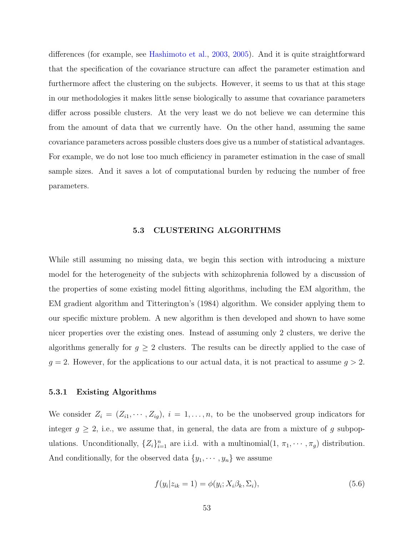<span id="page-62-0"></span>differences (for example, see [Hashimoto et al.,](#page-93-0) [2003,](#page-93-0) [2005\)](#page-93-0). And it is quite straightforward that the specification of the covariance structure can affect the parameter estimation and furthermore affect the clustering on the subjects. However, it seems to us that at this stage in our methodologies it makes little sense biologically to assume that covariance parameters differ across possible clusters. At the very least we do not believe we can determine this from the amount of data that we currently have. On the other hand, assuming the same covariance parameters across possible clusters does give us a number of statistical advantages. For example, we do not lose too much efficiency in parameter estimation in the case of small sample sizes. And it saves a lot of computational burden by reducing the number of free parameters.

# 5.3 CLUSTERING ALGORITHMS

While still assuming no missing data, we begin this section with introducing a mixture model for the heterogeneity of the subjects with schizophrenia followed by a discussion of the properties of some existing model fitting algorithms, including the EM algorithm, the EM gradient algorithm and Titterington's (1984) algorithm. We consider applying them to our specific mixture problem. A new algorithm is then developed and shown to have some nicer properties over the existing ones. Instead of assuming only 2 clusters, we derive the algorithms generally for  $g \geq 2$  clusters. The results can be directly applied to the case of  $g = 2$ . However, for the applications to our actual data, it is not practical to assume  $g > 2$ .

## 5.3.1 Existing Algorithms

We consider  $Z_i = (Z_{i1}, \dots, Z_{ig}), i = 1, \dots, n$ , to be the unobserved group indicators for integer  $g \geq 2$ , i.e., we assume that, in general, the data are from a mixture of g subpopulations. Unconditionally,  $\{Z_i\}_{i=1}^n$  are i.i.d. with a multinomial $(1, \pi_1, \dots, \pi_g)$  distribution. And conditionally, for the observed data  $\{y_1, \dots, y_n\}$  we assume

$$
f(y_i|z_{ik}=1) = \phi(y_i; X_i\beta_k, \Sigma_i),\tag{5.6}
$$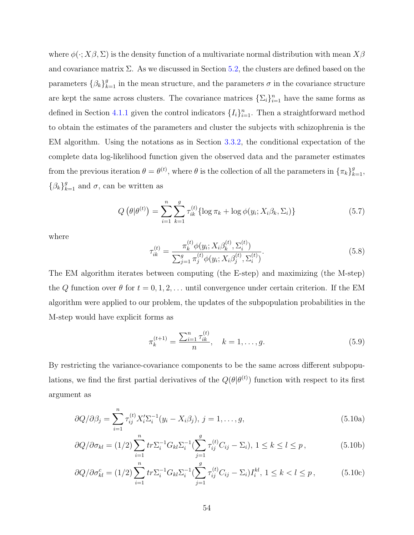<span id="page-63-0"></span>where  $\phi(\cdot; X\beta, \Sigma)$  is the density function of a multivariate normal distribution with mean  $X\beta$ and covariance matrix  $\Sigma$ . As we discussed in Section [5.2,](#page-61-0) the clusters are defined based on the parameters  $\{\beta_k\}_{k=1}^g$  in the mean structure, and the parameters  $\sigma$  in the covariance structure are kept the same across clusters. The covariance matrices  $\{\Sigma_i\}_{i=1}^n$  have the same forms as defined in Section [4.1.1](#page-31-0) given the control indicators  $\{I_i\}_{i=1}^n$ . Then a straightforward method to obtain the estimates of the parameters and cluster the subjects with schizophrenia is the EM algorithm. Using the notations as in Section [3.3.2,](#page-29-0) the conditional expectation of the complete data log-likelihood function given the observed data and the parameter estimates from the previous iteration  $\theta = \theta^{(t)}$ , where  $\theta$  is the collection of all the parameters in  $\{\pi_k\}_{k=1}^g$ ,  $\{\beta_k\}_{k=1}^g$  and  $\sigma$ , can be written as

$$
Q\left(\theta|\theta^{(t)}\right) = \sum_{i=1}^{n} \sum_{k=1}^{g} \tau_{ik}^{(t)} \{ \log \pi_k + \log \phi(y_i; X_i \beta_k, \Sigma_i) \}
$$
(5.7)

where

$$
\tau_{ik}^{(t)} = \frac{\pi_k^{(t)} \phi(y_i; X_i \beta_k^{(t)}, \Sigma_i^{(t)})}{\sum_{j=1}^g \pi_j^{(t)} \phi(y_i; X_i \beta_j^{(t)}, \Sigma_i^{(t)})}.
$$
\n(5.8)

The EM algorithm iterates between computing (the E-step) and maximizing (the M-step) the Q function over  $\theta$  for  $t = 0, 1, 2, \ldots$  until convergence under certain criterion. If the EM algorithm were applied to our problem, the updates of the subpopulation probabilities in the M-step would have explicit forms as

$$
\pi_k^{(t+1)} = \frac{\sum_{i=1}^n \tau_{ik}^{(t)}}{n}, \quad k = 1, \dots, g.
$$
\n(5.9)

By restricting the variance-covariance components to be the same across different subpopulations, we find the first partial derivatives of the  $Q(\theta|\theta^{(t)})$  function with respect to its first argument as

$$
\frac{\partial Q}{\partial \beta_j} = \sum_{i=1}^n \tau_{ij}^{(t)} X_i' \Sigma_i^{-1} (y_i - X_i \beta_j), \ j = 1, \dots, g,
$$
\n(5.10a)

$$
\frac{\partial Q}{\partial \sigma_{kl}} = (1/2) \sum_{i=1}^{n} tr \Sigma_i^{-1} G_{kl} \Sigma_i^{-1} (\sum_{j=1}^{g} \tau_{ij}^{(t)} C_{ij} - \Sigma_i), \ 1 \le k \le l \le p \,, \tag{5.10b}
$$

$$
\partial Q / \partial \sigma_{kl}^c = (1/2) \sum_{i=1}^n tr \Sigma_i^{-1} G_{kl} \Sigma_i^{-1} (\sum_{j=1}^g \tau_{ij}^{(t)} C_{ij} - \Sigma_i) I_i^{kl}, \ 1 \le k < l \le p \,, \tag{5.10c}
$$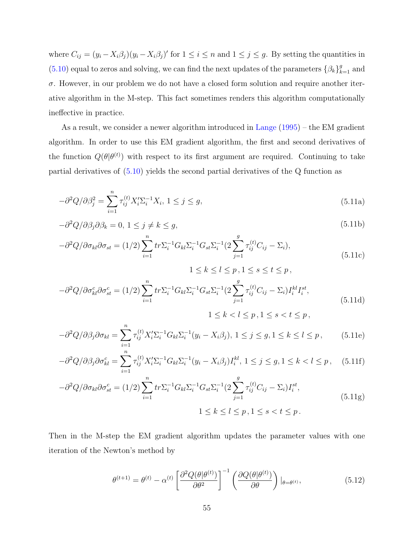<span id="page-64-0"></span>where  $C_{ij} = (y_i - X_i \beta_j)(y_i - X_i \beta_j)'$  for  $1 \le i \le n$  and  $1 \le j \le g$ . By setting the quantities in [\(5.10\)](#page-63-0) equal to zeros and solving, we can find the next updates of the parameters  $\{\beta_k\}_{k=1}^g$  and  $\sigma$ . However, in our problem we do not have a closed form solution and require another iterative algorithm in the M-step. This fact sometimes renders this algorithm computationally ineffective in practice.

As a result, we consider a newer algorithm introduced in [Lange](#page-93-0) [\(1995\)](#page-93-0) – the EM gradient algorithm. In order to use this EM gradient algorithm, the first and second derivatives of the function  $Q(\theta|\theta^{(t)})$  with respect to its first argument are required. Continuing to take partial derivatives of [\(5.10\)](#page-63-0) yields the second partial derivatives of the Q function as

$$
-\partial^2 Q/\partial \beta_j^2 = \sum_{i=1}^n \tau_{ij}^{(t)} X_i' \Sigma_i^{-1} X_i, \ 1 \le j \le g,
$$
\n(5.11a)

$$
-\partial^2 Q/\partial \beta_j \partial \beta_k = 0, \ 1 \le j \ne k \le g,
$$
\n(5.11b)

$$
-\partial^2 Q/\partial \sigma_{kl}\partial \sigma_{st} = (1/2) \sum_{i=1}^n tr \Sigma_i^{-1} G_{kl} \Sigma_i^{-1} G_{st} \Sigma_i^{-1} (2 \sum_{j=1}^g \tau_{ij}^{(t)} C_{ij} - \Sigma_i), \tag{5.11c}
$$

$$
1 \le k \le l \le p, 1 \le s \le t \le p,
$$
  

$$
-\partial^2 Q/\partial \sigma_{kl}^c \partial \sigma_{st}^c = (1/2) \sum_{i=1}^n tr \Sigma_i^{-1} G_{kl} \Sigma_i^{-1} G_{st} \Sigma_i^{-1} (2 \sum_{j=1}^g \tau_{ij}^{(t)} C_{ij} - \Sigma_i) I_i^{kl} I_i^{st},
$$
  

$$
1 \le k < l \le p, 1 \le s < t \le p,
$$
\n
$$
(5.11d)
$$

$$
-\partial^2 Q/\partial \beta_j \partial \sigma_{kl} = \sum_{i=1}^n \tau_{ij}^{(t)} X_i' \Sigma_i^{-1} G_{kl} \Sigma_i^{-1} (y_i - X_i \beta_j), \ 1 \le j \le g, 1 \le k \le l \le p, \tag{5.11e}
$$

$$
-\partial^2 Q/\partial \beta_j \partial \sigma_{kl}^c = \sum_{i=1}^n \tau_{ij}^{(t)} X_i' \Sigma_i^{-1} G_{kl} \Sigma_i^{-1} (y_i - X_i \beta_j) I_i^{kl}, \ 1 \le j \le g, 1 \le k < l \le p, \quad (5.11f)
$$

$$
-\partial^2 Q/\partial \sigma_{kl} \partial \sigma_{st}^c = (1/2) \sum_{i=1}^n tr \Sigma_i^{-1} G_{kl} \Sigma_i^{-1} G_{st} \Sigma_i^{-1} (2 \sum_{j=1}^g \tau_{ij}^{(t)} C_{ij} - \Sigma_i) I_i^{st},
$$
  

$$
1 \le k \le l \le p, 1 \le s < t \le p.
$$
 (5.11g)

Then in the M-step the EM gradient algorithm updates the parameter values with one iteration of the Newton's method by

$$
\theta^{(t+1)} = \theta^{(t)} - \alpha^{(t)} \left[ \frac{\partial^2 Q(\theta | \theta^{(t)})}{\partial \theta^2} \right]^{-1} \left( \frac{\partial Q(\theta | \theta^{(t)})}{\partial \theta} \right) |_{\theta = \theta^{(t)}}, \tag{5.12}
$$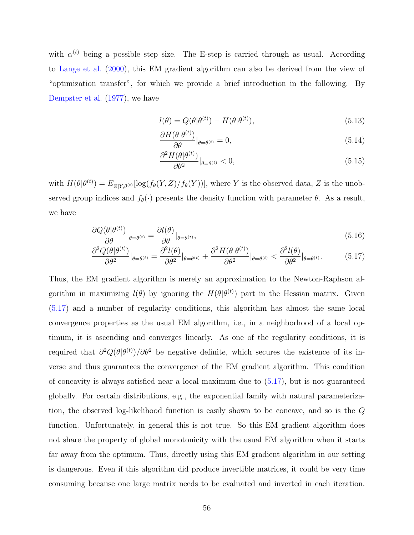with  $\alpha^{(t)}$  being a possible step size. The E-step is carried through as usual. According to [Lange et al.](#page-93-0) [\(2000\)](#page-93-0), this EM gradient algorithm can also be derived from the view of "optimization transfer", for which we provide a brief introduction in the following. By [Dempster et al.](#page-92-0) [\(1977\)](#page-92-0), we have

$$
l(\theta) = Q(\theta|\theta^{(t)}) - H(\theta|\theta^{(t)}),
$$
\n(5.13)

$$
\frac{\partial H(\theta|\theta^{(t)})}{\partial \theta}|_{\theta=\theta^{(t)}} = 0, \tag{5.14}
$$

$$
\frac{\partial^2 H(\theta|\theta^{(t)})}{\partial \theta^2}\big|_{\theta=\theta^{(t)}} < 0,\tag{5.15}
$$

with  $H(\theta|\theta^{(t)}) = E_{Z|Y,\theta^{(t)}}[\log(f_{\theta}(Y,Z)/f_{\theta}(Y))],$  where Y is the observed data, Z is the unobserved group indices and  $f_{\theta}(\cdot)$  presents the density function with parameter  $\theta$ . As a result, we have

$$
\frac{\partial Q(\theta|\theta^{(t)})}{\partial \theta}\big|_{\theta=\theta^{(t)}} = \frac{\partial l(\theta)}{\partial \theta}\big|_{\theta=\theta^{(t)}},\tag{5.16}
$$

$$
\frac{\partial^2 Q(\theta|\theta^{(t)})}{\partial \theta^2}\big|_{\theta=\theta^{(t)}} = \frac{\partial^2 l(\theta)}{\partial \theta^2}\big|_{\theta=\theta^{(t)}} + \frac{\partial^2 H(\theta|\theta^{(t)})}{\partial \theta^2}\big|_{\theta=\theta^{(t)}} < \frac{\partial^2 l(\theta)}{\partial \theta^2}\big|_{\theta=\theta^{(t)}}.\tag{5.17}
$$

Thus, the EM gradient algorithm is merely an approximation to the Newton-Raphson algorithm in maximizing  $l(\theta)$  by ignoring the  $H(\theta|\theta^{(t)})$  part in the Hessian matrix. Given (5.17) and a number of regularity conditions, this algorithm has almost the same local convergence properties as the usual EM algorithm, i.e., in a neighborhood of a local optimum, it is ascending and converges linearly. As one of the regularity conditions, it is required that  $\partial^2 Q(\theta|\theta^{(t)})/\partial\theta^2$  be negative definite, which secures the existence of its inverse and thus guarantees the convergence of the EM gradient algorithm. This condition of concavity is always satisfied near a local maximum due to (5.17), but is not guaranteed globally. For certain distributions, e.g., the exponential family with natural parameterization, the observed log-likelihood function is easily shown to be concave, and so is the Q function. Unfortunately, in general this is not true. So this EM gradient algorithm does not share the property of global monotonicity with the usual EM algorithm when it starts far away from the optimum. Thus, directly using this EM gradient algorithm in our setting is dangerous. Even if this algorithm did produce invertible matrices, it could be very time consuming because one large matrix needs to be evaluated and inverted in each iteration.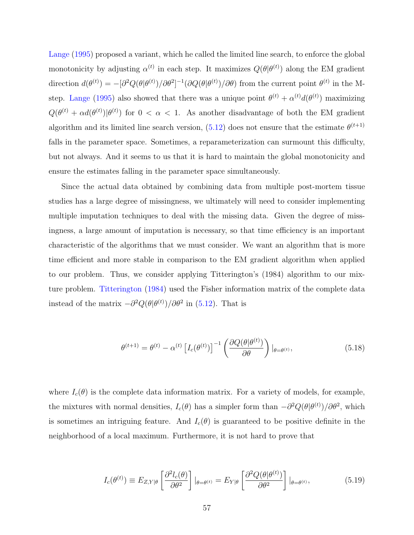<span id="page-66-0"></span>[Lange](#page-93-0) [\(1995\)](#page-93-0) proposed a variant, which he called the limited line search, to enforce the global monotonicity by adjusting  $\alpha^{(t)}$  in each step. It maximizes  $Q(\theta|\theta^{(t)})$  along the EM gradient direction  $d(\theta^{(t)}) = -[\partial^2 Q(\theta|\theta^{(t)})/\partial\theta^2]^{-1}(\partial Q(\theta|\theta^{(t)})/\partial\theta)$  from the current point  $\theta^{(t)}$  in the M-step. [Lange](#page-93-0) [\(1995\)](#page-93-0) also showed that there was a unique point  $\theta^{(t)} + \alpha^{(t)} d(\theta^{(t)})$  maximizing  $Q(\theta^{(t)} + \alpha d(\theta^{(t)})|\theta^{(t)})$  for  $0 < \alpha < 1$ . As another disadvantage of both the EM gradient algorithm and its limited line search version,  $(5.12)$  does not ensure that the estimate  $\theta^{(t+1)}$ falls in the parameter space. Sometimes, a reparameterization can surmount this difficulty, but not always. And it seems to us that it is hard to maintain the global monotonicity and ensure the estimates falling in the parameter space simultaneously.

Since the actual data obtained by combining data from multiple post-mortem tissue studies has a large degree of missingness, we ultimately will need to consider implementing multiple imputation techniques to deal with the missing data. Given the degree of missingness, a large amount of imputation is necessary, so that time efficiency is an important characteristic of the algorithms that we must consider. We want an algorithm that is more time efficient and more stable in comparison to the EM gradient algorithm when applied to our problem. Thus, we consider applying Titterington's (1984) algorithm to our mixture problem. [Titterington](#page-94-0) [\(1984\)](#page-94-0) used the Fisher information matrix of the complete data instead of the matrix  $-\partial^2 Q(\theta|\theta^{(t)})/\partial\theta^2$  in [\(5.12\)](#page-64-0). That is

$$
\theta^{(t+1)} = \theta^{(t)} - \alpha^{(t)} \left[ I_c(\theta^{(t)}) \right]^{-1} \left( \frac{\partial Q(\theta | \theta^{(t)})}{\partial \theta} \right) |_{\theta = \theta^{(t)}},\tag{5.18}
$$

where  $I_c(\theta)$  is the complete data information matrix. For a variety of models, for example, the mixtures with normal densities,  $I_c(\theta)$  has a simpler form than  $-\partial^2 Q(\theta|\theta^{(t)})/\partial\theta^2$ , which is sometimes an intriguing feature. And  $I_c(\theta)$  is guaranteed to be positive definite in the neighborhood of a local maximum. Furthermore, it is not hard to prove that

$$
I_c(\theta^{(t)}) \equiv E_{Z,Y|\theta} \left[ \frac{\partial^2 l_c(\theta)}{\partial \theta^2} \right] |_{\theta = \theta^{(t)}} = E_{Y|\theta} \left[ \frac{\partial^2 Q(\theta | \theta^{(t)})}{\partial \theta^2} \right] |_{\theta = \theta^{(t)}}, \tag{5.19}
$$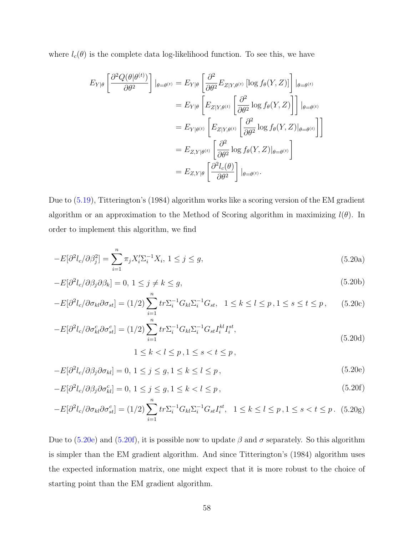<span id="page-67-0"></span>where  $l_c(\theta)$  is the complete data log-likelihood function. To see this, we have

$$
E_{Y|\theta} \left[ \frac{\partial^2 Q(\theta | \theta^{(t)})}{\partial \theta^2} \right] |_{\theta = \theta^{(t)}} = E_{Y|\theta} \left[ \frac{\partial^2}{\partial \theta^2} E_{Z|Y,\theta^{(t)}} \left[ \log f_{\theta}(Y, Z) \right] \right] |_{\theta = \theta^{(t)}}
$$
  
\n
$$
= E_{Y|\theta} \left[ E_{Z|Y,\theta^{(t)}} \left[ \frac{\partial^2}{\partial \theta^2} \log f_{\theta}(Y, Z) \right] \right] |_{\theta = \theta^{(t)}}
$$
  
\n
$$
= E_{Y|\theta^{(t)}} \left[ E_{Z|Y,\theta^{(t)}} \left[ \frac{\partial^2}{\partial \theta^2} \log f_{\theta}(Y, Z) |_{\theta = \theta^{(t)}} \right] \right]
$$
  
\n
$$
= E_{Z,Y|\theta^{(t)}} \left[ \frac{\partial^2}{\partial \theta^2} \log f_{\theta}(Y, Z) |_{\theta = \theta^{(t)}} \right]
$$
  
\n
$$
= E_{Z,Y|\theta} \left[ \frac{\partial^2 l_c(\theta)}{\partial \theta^2} \right] |_{\theta = \theta^{(t)}}.
$$

Due to [\(5.19\)](#page-66-0), Titterington's (1984) algorithm works like a scoring version of the EM gradient algorithm or an approximation to the Method of Scoring algorithm in maximizing  $l(\theta)$ . In order to implement this algorithm, we find

$$
-E[\partial^2 l_c/\partial \beta_j^2] = \sum_{i=1}^n \pi_j X_i' \Sigma_i^{-1} X_i, \ 1 \le j \le g,
$$
\n(5.20a)

$$
-E[\partial^2 l_c/\partial \beta_j \partial \beta_k] = 0, \ 1 \le j \ne k \le g,
$$
\n(5.20b)

$$
-E[\partial^2 l_c/\partial \sigma_{kl}\partial \sigma_{st}] = (1/2) \sum_{i=1}^n tr \Sigma_i^{-1} G_{kl} \Sigma_i^{-1} G_{st}, \quad 1 \le k \le l \le p, 1 \le s \le t \le p,
$$
 (5.20c)

$$
-E[\partial^2 l_c/\partial \sigma_{kl}^c \partial \sigma_{st}^c] = (1/2) \sum_{i=1}^n tr \Sigma_i^{-1} G_{kl} \Sigma_i^{-1} G_{st} I_i^{kl} I_i^{st}, \qquad (5.20d)
$$

$$
1\leq k
$$

$$
-E[\partial^2 l_c/\partial \beta_j \partial \sigma_{kl}] = 0, \ 1 \le j \le g, \ 1 \le k \le l \le p \,, \tag{5.20e}
$$

$$
-E[\partial^2 l_c/\partial \beta_j \partial \sigma_{kl}^c] = 0, \ 1 \le j \le g, \ 1 \le k < l \le p \,, \tag{5.20f}
$$

$$
-E[\partial^2 l_c / \partial \sigma_{kl} \partial \sigma_{st}^c] = (1/2) \sum_{i=1}^n tr \Sigma_i^{-1} G_{kl} \Sigma_i^{-1} G_{st} I_i^{st}, \quad 1 \le k \le l \le p, 1 \le s < t \le p. \tag{5.20g}
$$

Due to (5.20e) and (5.20f), it is possible now to update  $\beta$  and  $\sigma$  separately. So this algorithm is simpler than the EM gradient algorithm. And since Titterington's (1984) algorithm uses the expected information matrix, one might expect that it is more robust to the choice of starting point than the EM gradient algorithm.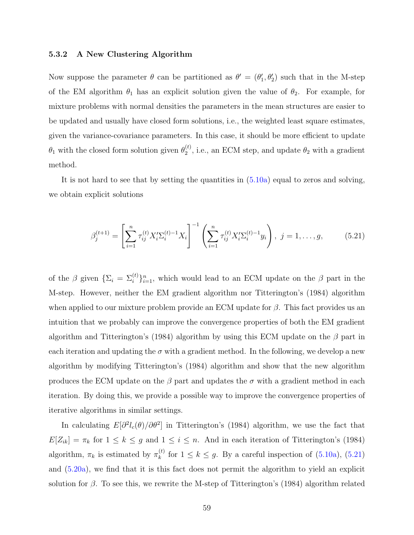# 5.3.2 A New Clustering Algorithm

Now suppose the parameter  $\theta$  can be partitioned as  $\theta' = (\theta'_1, \theta'_2)$  such that in the M-step of the EM algorithm  $\theta_1$  has an explicit solution given the value of  $\theta_2$ . For example, for mixture problems with normal densities the parameters in the mean structures are easier to be updated and usually have closed form solutions, i.e., the weighted least square estimates, given the variance-covariance parameters. In this case, it should be more efficient to update  $\theta_1$  with the closed form solution given  $\theta_2^{(t)}$  $2^{(t)}$ , i.e., an ECM step, and update  $\theta_2$  with a gradient method.

It is not hard to see that by setting the quantities in  $(5.10a)$  equal to zeros and solving, we obtain explicit solutions

$$
\beta_j^{(t+1)} = \left[ \sum_{i=1}^n \tau_{ij}^{(t)} X_i' \Sigma_i^{(t)-1} X_i \right]^{-1} \left( \sum_{i=1}^n \tau_{ij}^{(t)} X_i' \Sigma_i^{(t)-1} y_i \right), \ j = 1, \dots, g,
$$
 (5.21)

of the  $\beta$  given  $\{\Sigma_i = \Sigma_i^{(t)}\}_{i=1}^n$ , which would lead to an ECM update on the  $\beta$  part in the M-step. However, neither the EM gradient algorithm nor Titterington's (1984) algorithm when applied to our mixture problem provide an ECM update for  $\beta$ . This fact provides us an intuition that we probably can improve the convergence properties of both the EM gradient algorithm and Titterington's (1984) algorithm by using this ECM update on the  $\beta$  part in each iteration and updating the  $\sigma$  with a gradient method. In the following, we develop a new algorithm by modifying Titterington's (1984) algorithm and show that the new algorithm produces the ECM update on the  $\beta$  part and updates the  $\sigma$  with a gradient method in each iteration. By doing this, we provide a possible way to improve the convergence properties of iterative algorithms in similar settings.

In calculating  $E[\partial^2 l_c(\theta)/\partial\theta^2]$  in Titterington's (1984) algorithm, we use the fact that  $E[Z_{ik}] = \pi_k$  for  $1 \leq k \leq g$  and  $1 \leq i \leq n$ . And in each iteration of Titterington's (1984) algorithm,  $\pi_k$  is estimated by  $\pi_k^{(t)}$  $\binom{t}{k}$  for  $1 \leq k \leq g$ . By a careful inspection of  $(5.10a)$ ,  $(5.21)$ and [\(5.20a\)](#page-67-0), we find that it is this fact does not permit the algorithm to yield an explicit solution for  $\beta$ . To see this, we rewrite the M-step of Titterington's (1984) algorithm related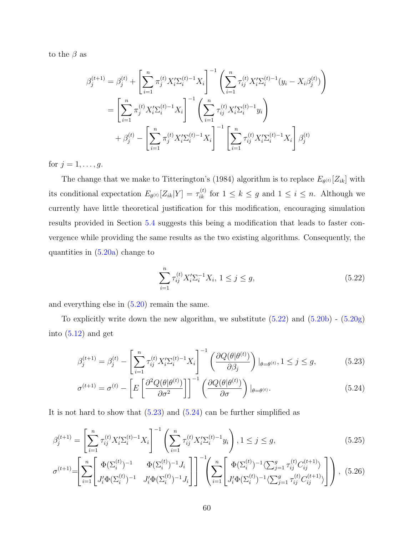<span id="page-69-0"></span>to the  $\beta$  as

$$
\beta_j^{(t+1)} = \beta_j^{(t)} + \left[ \sum_{i=1}^n \pi_j^{(t)} X_i' \Sigma_i^{(t)-1} X_i \right]^{-1} \left( \sum_{i=1}^n \tau_{ij}^{(t)} X_i' \Sigma_i^{(t)-1} (y_i - X_i \beta_j^{(t)}) \right)
$$
  

$$
= \left[ \sum_{i=1}^n \pi_j^{(t)} X_i' \Sigma_i^{(t)-1} X_i \right]^{-1} \left( \sum_{i=1}^n \tau_{ij}^{(t)} X_i' \Sigma_i^{(t)-1} y_i \right)
$$
  

$$
+ \beta_j^{(t)} - \left[ \sum_{i=1}^n \pi_j^{(t)} X_i' \Sigma_i^{(t)-1} X_i \right]^{-1} \left[ \sum_{i=1}^n \tau_{ij}^{(t)} X_i' \Sigma_i^{(t)-1} X_i \right] \beta_j^{(t)}
$$

for  $j = 1, \ldots, g$ .

The change that we make to Titterington's (1984) algorithm is to replace  $E_{\theta^{(t)}}[Z_{ik}]$  with its conditional expectation  $E_{\theta^{(t)}}[Z_{ik}|Y] = \tau_{ik}^{(t)}$  for  $1 \leq k \leq g$  and  $1 \leq i \leq n$ . Although we currently have little theoretical justification for this modification, encouraging simulation results provided in Section [5.4](#page-71-0) suggests this being a modification that leads to faster convergence while providing the same results as the two existing algorithms. Consequently, the quantities in  $(5.20a)$  change to

$$
\sum_{i=1}^{n} \tau_{ij}^{(t)} X_i' \Sigma_i^{-1} X_i, \ 1 \le j \le g,\tag{5.22}
$$

and everything else in [\(5.20\)](#page-67-0) remain the same.

To explicitly write down the new algorithm, we substitute  $(5.22)$  and  $(5.20b)$  -  $(5.20g)$ into  $(5.12)$  and get

$$
\beta_j^{(t+1)} = \beta_j^{(t)} - \left[ \sum_{i=1}^n \tau_{ij}^{(t)} X_i' \Sigma_i^{(t)-1} X_i \right]^{-1} \left( \frac{\partial Q(\theta | \theta^{(t)})}{\partial \beta_j} \right) |_{\theta = \theta^{(t)}}, 1 \le j \le g,
$$
\n(5.23)

$$
\sigma^{(t+1)} = \sigma^{(t)} - \left[ E \left[ \frac{\partial^2 Q(\theta | \theta^{(t)})}{\partial \sigma^2} \right] \right]^{-1} \left( \frac{\partial Q(\theta | \theta^{(t)})}{\partial \sigma} \right) |_{\theta = \theta^{(t)}}.
$$
\n(5.24)

It is not hard to show that  $(5.23)$  and  $(5.24)$  can be further simplified as

$$
\beta_j^{(t+1)} = \left[ \sum_{i=1}^n \tau_{ij}^{(t)} X_i' \Sigma_i^{(t)-1} X_i \right]^{-1} \left( \sum_{i=1}^n \tau_{ij}^{(t)} X_i' \Sigma_i^{(t)-1} y_i \right), 1 \le j \le g,
$$
\n(5.25)

$$
\sigma^{(t+1)} = \left[ \sum_{i=1}^{n} \left[ \Phi(\Sigma_i^{(t)})^{-1} \Phi(\Sigma_i^{(t)})^{-1} J_i \right] \right]^{-1} \left( \sum_{i=1}^{n} \left[ \Phi(\Sigma_i^{(t)})^{-1} \langle \sum_{j=1}^{g} \tau_{ij}^{(t)} C_{ij}^{(t+1)} \rangle \right] \right), (5.26)
$$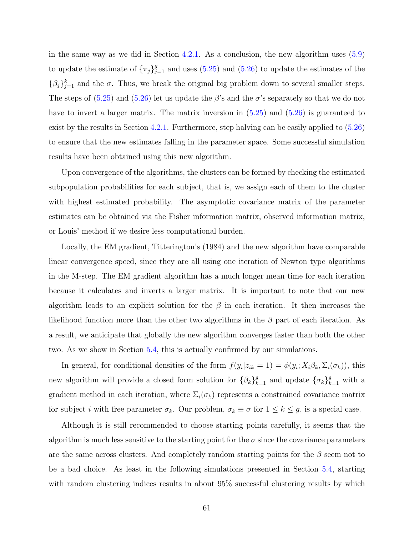in the same way as we did in Section [4.2.1.](#page-38-0) As a conclusion, the new algorithm uses [\(5.9\)](#page-63-0) to update the estimate of  ${\{\pi_j\}}_{j=1}^g$  and uses [\(5.25\)](#page-69-0) and [\(5.26\)](#page-69-0) to update the estimates of the  $\{\beta_j\}_{j=1}^k$  and the  $\sigma$ . Thus, we break the original big problem down to several smaller steps. The steps of  $(5.25)$  and  $(5.26)$  let us update the  $\beta$ 's and the  $\sigma$ 's separately so that we do not have to invert a larger matrix. The matrix inversion in  $(5.25)$  and  $(5.26)$  is guaranteed to exist by the results in Section [4.2.1.](#page-38-0) Furthermore, step halving can be easily applied to [\(5.26\)](#page-69-0) to ensure that the new estimates falling in the parameter space. Some successful simulation results have been obtained using this new algorithm.

Upon convergence of the algorithms, the clusters can be formed by checking the estimated subpopulation probabilities for each subject, that is, we assign each of them to the cluster with highest estimated probability. The asymptotic covariance matrix of the parameter estimates can be obtained via the Fisher information matrix, observed information matrix, or Louis' method if we desire less computational burden.

Locally, the EM gradient, Titterington's (1984) and the new algorithm have comparable linear convergence speed, since they are all using one iteration of Newton type algorithms in the M-step. The EM gradient algorithm has a much longer mean time for each iteration because it calculates and inverts a larger matrix. It is important to note that our new algorithm leads to an explicit solution for the  $\beta$  in each iteration. It then increases the likelihood function more than the other two algorithms in the  $\beta$  part of each iteration. As a result, we anticipate that globally the new algorithm converges faster than both the other two. As we show in Section [5.4,](#page-71-0) this is actually confirmed by our simulations.

In general, for conditional densities of the form  $f(y_i|z_{ik} = 1) = \phi(y_i; X_i \beta_k, \Sigma_i(\sigma_k))$ , this new algorithm will provide a closed form solution for  $\{\beta_k\}_{k=1}^g$  and update  $\{\sigma_k\}_{k=1}^g$  with a gradient method in each iteration, where  $\Sigma_i(\sigma_k)$  represents a constrained covariance matrix for subject *i* with free parameter  $\sigma_k$ . Our problem,  $\sigma_k \equiv \sigma$  for  $1 \leq k \leq g$ , is a special case.

Although it is still recommended to choose starting points carefully, it seems that the algorithm is much less sensitive to the starting point for the  $\sigma$  since the covariance parameters are the same across clusters. And completely random starting points for the  $\beta$  seem not to be a bad choice. As least in the following simulations presented in Section [5.4,](#page-71-0) starting with random clustering indices results in about 95% successful clustering results by which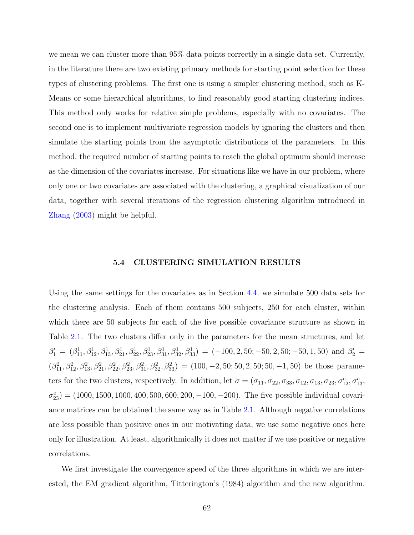<span id="page-71-0"></span>we mean we can cluster more than 95% data points correctly in a single data set. Currently, in the literature there are two existing primary methods for starting point selection for these types of clustering problems. The first one is using a simpler clustering method, such as K-Means or some hierarchical algorithms, to find reasonably good starting clustering indices. This method only works for relative simple problems, especially with no covariates. The second one is to implement multivariate regression models by ignoring the clusters and then simulate the starting points from the asymptotic distributions of the parameters. In this method, the required number of starting points to reach the global optimum should increase as the dimension of the covariates increase. For situations like we have in our problem, where only one or two covariates are associated with the clustering, a graphical visualization of our data, together with several iterations of the regression clustering algorithm introduced in [Zhang](#page-95-0) [\(2003\)](#page-95-0) might be helpful.

### 5.4 CLUSTERING SIMULATION RESULTS

Using the same settings for the covariates as in Section [4.4,](#page-52-0) we simulate 500 data sets for the clustering analysis. Each of them contains 500 subjects, 250 for each cluster, within which there are 50 subjects for each of the five possible covariance structure as shown in Table [2.1.](#page-18-0) The two clusters differ only in the parameters for the mean structures, and let  $\beta'_1 = (\beta_{11}^1, \beta_{12}^1, \beta_{13}^1, \beta_{21}^1, \beta_{22}^1, \beta_{23}^1, \beta_{31}^1, \beta_{32}^1, \beta_{33}^1) = (-100, 2, 50; -50, 2, 50; -50, 1, 50)$  and  $\beta'_2 =$  $(\beta_{11}^2, \beta_{12}^2, \beta_{13}^2, \beta_{21}^2, \beta_{22}^2, \beta_{23}^2, \beta_{31}^2, \beta_{32}^2, \beta_{33}^2) = (100, -2, 50; 50, 2, 50; 50, -1, 50)$  be those parameters for the two clusters, respectively. In addition, let  $\sigma = (\sigma_{11}, \sigma_{22}, \sigma_{33}, \sigma_{12}, \sigma_{13}, \sigma_{23}, \sigma_{12}^c, \sigma_{13}^c,$  $\sigma_{23}^c$  = (1000, 1500, 1000, 400, 500, 600, 200, -100, -200). The five possible individual covariance matrices can be obtained the same way as in Table [2.1.](#page-18-0) Although negative correlations are less possible than positive ones in our motivating data, we use some negative ones here only for illustration. At least, algorithmically it does not matter if we use positive or negative correlations.

We first investigate the convergence speed of the three algorithms in which we are interested, the EM gradient algorithm, Titterington's (1984) algorithm and the new algorithm.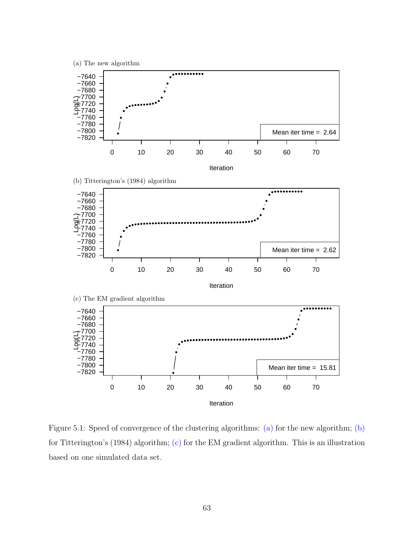<span id="page-72-0"></span>

Figure 5.1: Speed of convergence of the clustering algorithms: (a) for the new algorithm; (b) for Titterington's (1984) algorithm; (c) for the EM gradient algorithm. This is an illustration based on one simulated data set.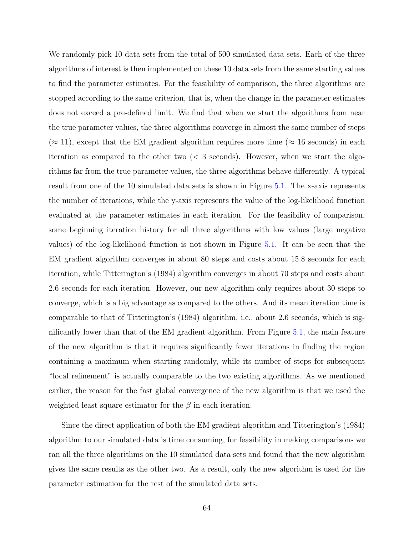We randomly pick 10 data sets from the total of 500 simulated data sets. Each of the three algorithms of interest is then implemented on these 10 data sets from the same starting values to find the parameter estimates. For the feasibility of comparison, the three algorithms are stopped according to the same criterion, that is, when the change in the parameter estimates does not exceed a pre-defined limit. We find that when we start the algorithms from near the true parameter values, the three algorithms converge in almost the same number of steps  $(\approx 11)$ , except that the EM gradient algorithm requires more time ( $\approx 16$  seconds) in each iteration as compared to the other two  $\langle \langle 3 \rangle$  seconds). However, when we start the algorithms far from the true parameter values, the three algorithms behave differently. A typical result from one of the 10 simulated data sets is shown in Figure [5.1.](#page-72-0) The x-axis represents the number of iterations, while the y-axis represents the value of the log-likelihood function evaluated at the parameter estimates in each iteration. For the feasibility of comparison, some beginning iteration history for all three algorithms with low values (large negative values) of the log-likelihood function is not shown in Figure [5.1.](#page-72-0) It can be seen that the EM gradient algorithm converges in about 80 steps and costs about 15.8 seconds for each iteration, while Titterington's (1984) algorithm converges in about 70 steps and costs about 2.6 seconds for each iteration. However, our new algorithm only requires about 30 steps to converge, which is a big advantage as compared to the others. And its mean iteration time is comparable to that of Titterington's (1984) algorithm, i.e., about 2.6 seconds, which is significantly lower than that of the EM gradient algorithm. From Figure [5.1,](#page-72-0) the main feature of the new algorithm is that it requires significantly fewer iterations in finding the region containing a maximum when starting randomly, while its number of steps for subsequent "local refinement" is actually comparable to the two existing algorithms. As we mentioned earlier, the reason for the fast global convergence of the new algorithm is that we used the weighted least square estimator for the  $\beta$  in each iteration.

Since the direct application of both the EM gradient algorithm and Titterington's (1984) algorithm to our simulated data is time consuming, for feasibility in making comparisons we ran all the three algorithms on the 10 simulated data sets and found that the new algorithm gives the same results as the other two. As a result, only the new algorithm is used for the parameter estimation for the rest of the simulated data sets.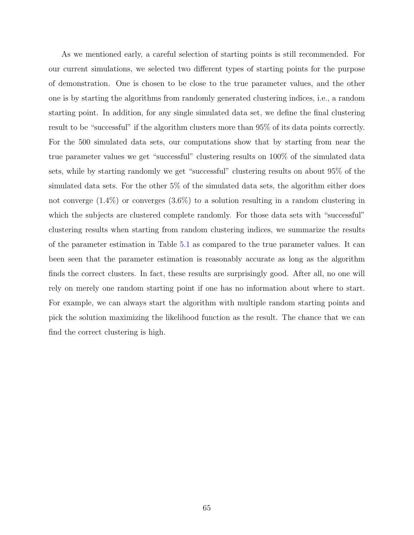As we mentioned early, a careful selection of starting points is still recommended. For our current simulations, we selected two different types of starting points for the purpose of demonstration. One is chosen to be close to the true parameter values, and the other one is by starting the algorithms from randomly generated clustering indices, i.e., a random starting point. In addition, for any single simulated data set, we define the final clustering result to be "successful" if the algorithm clusters more than 95% of its data points correctly. For the 500 simulated data sets, our computations show that by starting from near the true parameter values we get "successful" clustering results on 100% of the simulated data sets, while by starting randomly we get "successful" clustering results on about 95% of the simulated data sets. For the other 5% of the simulated data sets, the algorithm either does not converge  $(1.4\%)$  or converges  $(3.6\%)$  to a solution resulting in a random clustering in which the subjects are clustered complete randomly. For those data sets with "successful" clustering results when starting from random clustering indices, we summarize the results of the parameter estimation in Table [5.1](#page-75-0) as compared to the true parameter values. It can been seen that the parameter estimation is reasonably accurate as long as the algorithm finds the correct clusters. In fact, these results are surprisingly good. After all, no one will rely on merely one random starting point if one has no information about where to start. For example, we can always start the algorithm with multiple random starting points and pick the solution maximizing the likelihood function as the result. The chance that we can find the correct clustering is high.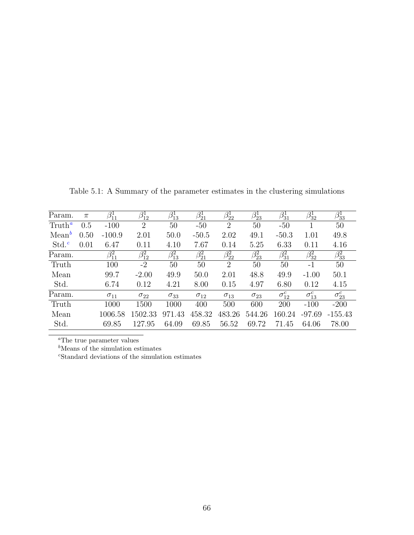| Param.           | $\pi$ | $\beta_{11}^1$ | $\beta_{12}^1$            | $\beta_{13}^1$ | $\beta_{21}^1$ | $\beta_{22}^1$            | $\beta_{23}^1$ | $\beta_{31}^1$  | $\beta_{32}^1$  | $\beta_{33}^1$  |
|------------------|-------|----------------|---------------------------|----------------|----------------|---------------------------|----------------|-----------------|-----------------|-----------------|
| $T$ ruth $a$     | 0.5   | $-100$         | 2                         | 50             | $-50$          | $\overline{2}$            | 50             | $-50$           |                 | 50              |
| $Mean^b$         | 0.50  | $-100.9$       | 2.01                      | 50.0           | $-50.5$        | 2.02                      | 49.1           | $-50.3$         | 1.01            | 49.8            |
| $\mathrm{Std}^c$ | 0.01  | 6.47           | 0.11                      | 4.10           | 7.67           | 0.14                      | 5.25           | 6.33            | 0.11            | 4.16            |
| Param.           |       | $\beta_{11}^2$ | $\overline{\beta_{12}^2}$ | $\beta_{13}^2$ | $\beta_{21}^2$ | $\overline{\beta_{22}^2}$ | $\beta_{23}^2$ | $\beta_{31}^2$  | $\beta_{32}^2$  | $\beta_{33}^2$  |
| Truth            |       | 100            | $-2$                      | 50             | 50             | $\overline{2}$            | 50             | 50              | $-1$            | 50              |
| Mean             |       | 99.7           | $-2.00$                   | 49.9           | 50.0           | 2.01                      | 48.8           | 49.9            | $-1.00$         | 50.1            |
| Std.             |       | 6.74           | 0.12                      | 4.21           | 8.00           | 0.15                      | 4.97           | 6.80            | 0.12            | 4.15            |
| Param.           |       | $\sigma_{11}$  | $\sigma_{22}$             | $\sigma_{33}$  | $\sigma_{12}$  | $\sigma_{13}$             | $\sigma_{23}$  | $\sigma_{12}^c$ | $\sigma_{13}^c$ | $\sigma_{23}^c$ |
| Truth            |       | 1000           | 1500                      | 1000           | 400            | 500                       | 600            | 200             | $-100$          | $-200$          |
| Mean             |       | 1006.58        | 1502.33                   | 971.43         | 458.32         | 483.26                    | 544.26         | 160.24          | $-97.69$        | $-155.43$       |
| Std.             |       | 69.85          | 127.95                    | 64.09          | 69.85          | 56.52                     | 69.72          | 71.45           | 64.06           | 78.00           |

<span id="page-75-0"></span>Table 5.1: A Summary of the parameter estimates in the clustering simulations

 $\rm ^aThe$  true parameter values

 $<sup>b</sup>$  Means of the simulation estimates</sup>

<sup>c</sup>Standard deviations of the simulation estimates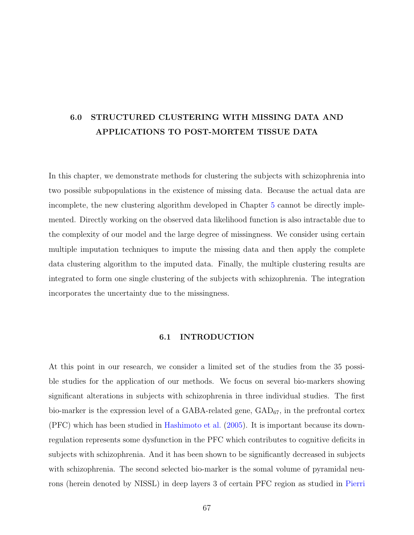# 6.0 STRUCTURED CLUSTERING WITH MISSING DATA AND APPLICATIONS TO POST-MORTEM TISSUE DATA

In this chapter, we demonstrate methods for clustering the subjects with schizophrenia into two possible subpopulations in the existence of missing data. Because the actual data are incomplete, the new clustering algorithm developed in Chapter [5](#page-58-0) cannot be directly implemented. Directly working on the observed data likelihood function is also intractable due to the complexity of our model and the large degree of missingness. We consider using certain multiple imputation techniques to impute the missing data and then apply the complete data clustering algorithm to the imputed data. Finally, the multiple clustering results are integrated to form one single clustering of the subjects with schizophrenia. The integration incorporates the uncertainty due to the missingness.

#### 6.1 INTRODUCTION

At this point in our research, we consider a limited set of the studies from the 35 possible studies for the application of our methods. We focus on several bio-markers showing significant alterations in subjects with schizophrenia in three individual studies. The first bio-marker is the expression level of a GABA-related gene,  $GAD_{67}$ , in the prefrontal cortex (PFC) which has been studied in [Hashimoto et al.](#page-93-0) [\(2005\)](#page-93-0). It is important because its downregulation represents some dysfunction in the PFC which contributes to cognitive deficits in subjects with schizophrenia. And it has been shown to be significantly decreased in subjects with schizophrenia. The second selected bio-marker is the somal volume of pyramidal neurons (herein denoted by NISSL) in deep layers 3 of certain PFC region as studied in [Pierri](#page-94-0)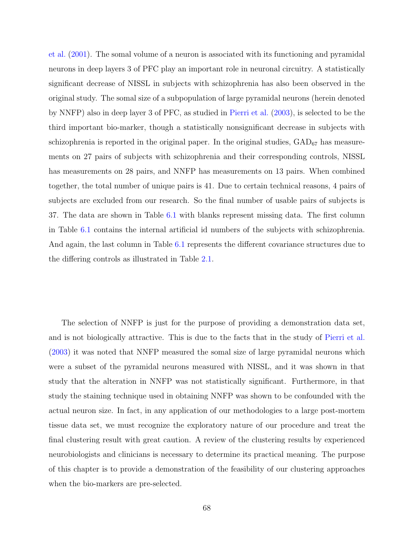[et al.](#page-94-0) [\(2001\)](#page-94-0). The somal volume of a neuron is associated with its functioning and pyramidal neurons in deep layers 3 of PFC play an important role in neuronal circuitry. A statistically significant decrease of NISSL in subjects with schizophrenia has also been observed in the original study. The somal size of a subpopulation of large pyramidal neurons (herein denoted by NNFP) also in deep layer 3 of PFC, as studied in [Pierri et al.](#page-94-0) [\(2003\)](#page-94-0), is selected to be the third important bio-marker, though a statistically nonsignificant decrease in subjects with schizophrenia is reported in the original paper. In the original studies,  $GAD_{67}$  has measurements on 27 pairs of subjects with schizophrenia and their corresponding controls, NISSL has measurements on 28 pairs, and NNFP has measurements on 13 pairs. When combined together, the total number of unique pairs is 41. Due to certain technical reasons, 4 pairs of subjects are excluded from our research. So the final number of usable pairs of subjects is 37. The data are shown in Table [6.1](#page-78-0) with blanks represent missing data. The first column in Table [6.1](#page-78-0) contains the internal artificial id numbers of the subjects with schizophrenia. And again, the last column in Table [6.1](#page-78-0) represents the different covariance structures due to the differing controls as illustrated in Table [2.1.](#page-18-0)

The selection of NNFP is just for the purpose of providing a demonstration data set, and is not biologically attractive. This is due to the facts that in the study of [Pierri et al.](#page-94-0) [\(2003\)](#page-94-0) it was noted that NNFP measured the somal size of large pyramidal neurons which were a subset of the pyramidal neurons measured with NISSL, and it was shown in that study that the alteration in NNFP was not statistically significant. Furthermore, in that study the staining technique used in obtaining NNFP was shown to be confounded with the actual neuron size. In fact, in any application of our methodologies to a large post-mortem tissue data set, we must recognize the exploratory nature of our procedure and treat the final clustering result with great caution. A review of the clustering results by experienced neurobiologists and clinicians is necessary to determine its practical meaning. The purpose of this chapter is to provide a demonstration of the feasibility of our clustering approaches when the bio-markers are pre-selected.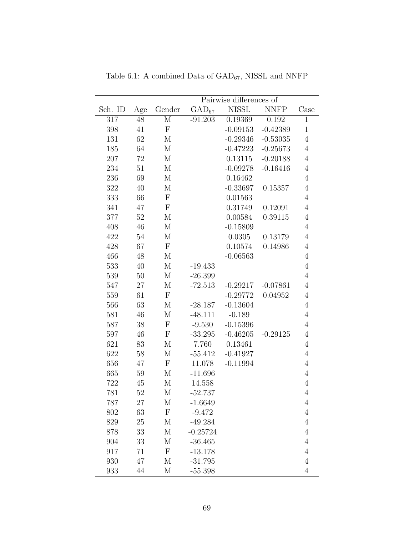| Pairwise differences of<br><b>NISSL</b><br>Sch. ID<br>$GAD_{67}$<br><b>NNFP</b><br>Case<br>Gender<br>Age<br>$\mathbf{M}$<br>$-91.203$<br>0.192<br>317<br>48<br>0.19369<br>$\mathbf{1}$<br>$\Gamma$<br>$-0.09153$<br>$-0.42389$<br>$\mathbf{1}$<br>398<br>41<br>62<br>131<br>M<br>$-0.29346$<br>$-0.53035$<br>$\overline{4}$<br>185<br>64<br>$-0.47223$<br>$-0.25673$<br>М<br>$\overline{4}$<br>207<br>72<br>M<br>0.13115<br>$-0.20188$<br>$\overline{4}$<br>234<br>51<br>М<br>$-0.16416$<br>$\overline{4}$<br>$-0.09278$<br>236<br>69<br>M<br>0.16462<br>$\overline{4}$<br>322<br>40<br>M<br>$-0.33697$<br>0.15357<br>$\overline{4}$<br>$\mathbf{F}$<br>333<br>66<br>0.01563<br>$\overline{4}$<br>47<br>$\mathbf F$<br>0.31749<br>0.12091<br>$\overline{4}$<br>341<br>52<br>M<br>0.00584<br>0.39115<br>$\overline{4}$<br>377<br>$-0.15809$<br>408<br>46<br>M<br>$\overline{4}$<br>422<br>54<br>$\mathbf{M}$<br>0.13179<br>0.0305<br>$\overline{4}$<br>$\mathbf{F}$<br>428<br>67<br>0.10574<br>0.14986<br>$\overline{4}$<br>466<br>48<br>M<br>$-0.06563$<br>$\overline{4}$<br>$\overline{4}$<br>533<br>40<br>М<br>$-19.433$<br>539<br>$50\,$<br>М<br>$-26.399$<br>$\overline{4}$<br>$\mathbf M$<br>547<br>$27\,$<br>$-72.513$<br>$-0.07861$<br>$-0.29217$<br>$\overline{4}$<br>$\mathbf{F}$<br>559<br>61<br>$-0.29772$<br>0.04952<br>$\overline{4}$<br>63<br>566<br>M<br>$-28.187$<br>$-0.13604$<br>$\overline{4}$<br>46<br>M<br>$-0.189$<br>$\overline{4}$<br>581<br>$-48.111$<br>$\mathbf{F}$<br>587<br>38<br>$-9.530$<br>$-0.15396$<br>$\overline{4}$<br>${\bf F}$<br>597<br>46<br>$-33.295$<br>$-0.46205$<br>$-0.29125$<br>$\overline{4}$<br>621<br>83<br>M<br>7.760<br>0.13461<br>$\overline{4}$<br>622<br>M<br>$-0.41927$<br>58<br>$-55.412$<br>$\overline{4}$<br>$\mathbf{F}$<br>656<br>47<br>11.078<br>$-0.11994$<br>$\overline{4}$<br>665<br>$-11.696$<br>$\overline{4}$<br>59<br>М<br>722<br>45<br>$\mathbf{M}$<br>14.558<br>$\overline{4}$<br>781<br>52<br>$\mathbf{M}$<br>$-52.737$<br>$\overline{4}$<br>787<br>27<br>M<br>$\overline{4}$<br>$-1.6649$<br>$\Gamma$<br>$\overline{4}$<br>63<br>$-9.472$<br>802<br>$\overline{4}$<br>829<br>25<br>M<br>$-49.284$<br>$\mathbf M$<br>$\overline{4}$<br>878<br>33<br>$-0.25724$<br>904<br>М<br>$-36.465$<br>$\overline{4}$<br>33<br>${\bf F}$<br>917<br>71<br>$-13.178$<br>$\overline{4}$<br>930<br>47<br>M<br>$-31.795$<br>$\overline{4}$ |     |    |              |           |  |  |                |  |  |  |  |  |
|--------------------------------------------------------------------------------------------------------------------------------------------------------------------------------------------------------------------------------------------------------------------------------------------------------------------------------------------------------------------------------------------------------------------------------------------------------------------------------------------------------------------------------------------------------------------------------------------------------------------------------------------------------------------------------------------------------------------------------------------------------------------------------------------------------------------------------------------------------------------------------------------------------------------------------------------------------------------------------------------------------------------------------------------------------------------------------------------------------------------------------------------------------------------------------------------------------------------------------------------------------------------------------------------------------------------------------------------------------------------------------------------------------------------------------------------------------------------------------------------------------------------------------------------------------------------------------------------------------------------------------------------------------------------------------------------------------------------------------------------------------------------------------------------------------------------------------------------------------------------------------------------------------------------------------------------------------------------------------------------------------------------------------------------------------------------------------------------------------------------------------------------------------------------------------------------------------------------------------------------------------------------------------------------------------------------------------------------------------------------------------------------------|-----|----|--------------|-----------|--|--|----------------|--|--|--|--|--|
|                                                                                                                                                                                                                                                                                                                                                                                                                                                                                                                                                                                                                                                                                                                                                                                                                                                                                                                                                                                                                                                                                                                                                                                                                                                                                                                                                                                                                                                                                                                                                                                                                                                                                                                                                                                                                                                                                                                                                                                                                                                                                                                                                                                                                                                                                                                                                                                                  |     |    |              |           |  |  |                |  |  |  |  |  |
|                                                                                                                                                                                                                                                                                                                                                                                                                                                                                                                                                                                                                                                                                                                                                                                                                                                                                                                                                                                                                                                                                                                                                                                                                                                                                                                                                                                                                                                                                                                                                                                                                                                                                                                                                                                                                                                                                                                                                                                                                                                                                                                                                                                                                                                                                                                                                                                                  |     |    |              |           |  |  |                |  |  |  |  |  |
|                                                                                                                                                                                                                                                                                                                                                                                                                                                                                                                                                                                                                                                                                                                                                                                                                                                                                                                                                                                                                                                                                                                                                                                                                                                                                                                                                                                                                                                                                                                                                                                                                                                                                                                                                                                                                                                                                                                                                                                                                                                                                                                                                                                                                                                                                                                                                                                                  |     |    |              |           |  |  |                |  |  |  |  |  |
|                                                                                                                                                                                                                                                                                                                                                                                                                                                                                                                                                                                                                                                                                                                                                                                                                                                                                                                                                                                                                                                                                                                                                                                                                                                                                                                                                                                                                                                                                                                                                                                                                                                                                                                                                                                                                                                                                                                                                                                                                                                                                                                                                                                                                                                                                                                                                                                                  |     |    |              |           |  |  |                |  |  |  |  |  |
|                                                                                                                                                                                                                                                                                                                                                                                                                                                                                                                                                                                                                                                                                                                                                                                                                                                                                                                                                                                                                                                                                                                                                                                                                                                                                                                                                                                                                                                                                                                                                                                                                                                                                                                                                                                                                                                                                                                                                                                                                                                                                                                                                                                                                                                                                                                                                                                                  |     |    |              |           |  |  |                |  |  |  |  |  |
|                                                                                                                                                                                                                                                                                                                                                                                                                                                                                                                                                                                                                                                                                                                                                                                                                                                                                                                                                                                                                                                                                                                                                                                                                                                                                                                                                                                                                                                                                                                                                                                                                                                                                                                                                                                                                                                                                                                                                                                                                                                                                                                                                                                                                                                                                                                                                                                                  |     |    |              |           |  |  |                |  |  |  |  |  |
|                                                                                                                                                                                                                                                                                                                                                                                                                                                                                                                                                                                                                                                                                                                                                                                                                                                                                                                                                                                                                                                                                                                                                                                                                                                                                                                                                                                                                                                                                                                                                                                                                                                                                                                                                                                                                                                                                                                                                                                                                                                                                                                                                                                                                                                                                                                                                                                                  |     |    |              |           |  |  |                |  |  |  |  |  |
|                                                                                                                                                                                                                                                                                                                                                                                                                                                                                                                                                                                                                                                                                                                                                                                                                                                                                                                                                                                                                                                                                                                                                                                                                                                                                                                                                                                                                                                                                                                                                                                                                                                                                                                                                                                                                                                                                                                                                                                                                                                                                                                                                                                                                                                                                                                                                                                                  |     |    |              |           |  |  |                |  |  |  |  |  |
|                                                                                                                                                                                                                                                                                                                                                                                                                                                                                                                                                                                                                                                                                                                                                                                                                                                                                                                                                                                                                                                                                                                                                                                                                                                                                                                                                                                                                                                                                                                                                                                                                                                                                                                                                                                                                                                                                                                                                                                                                                                                                                                                                                                                                                                                                                                                                                                                  |     |    |              |           |  |  |                |  |  |  |  |  |
|                                                                                                                                                                                                                                                                                                                                                                                                                                                                                                                                                                                                                                                                                                                                                                                                                                                                                                                                                                                                                                                                                                                                                                                                                                                                                                                                                                                                                                                                                                                                                                                                                                                                                                                                                                                                                                                                                                                                                                                                                                                                                                                                                                                                                                                                                                                                                                                                  |     |    |              |           |  |  |                |  |  |  |  |  |
|                                                                                                                                                                                                                                                                                                                                                                                                                                                                                                                                                                                                                                                                                                                                                                                                                                                                                                                                                                                                                                                                                                                                                                                                                                                                                                                                                                                                                                                                                                                                                                                                                                                                                                                                                                                                                                                                                                                                                                                                                                                                                                                                                                                                                                                                                                                                                                                                  |     |    |              |           |  |  |                |  |  |  |  |  |
|                                                                                                                                                                                                                                                                                                                                                                                                                                                                                                                                                                                                                                                                                                                                                                                                                                                                                                                                                                                                                                                                                                                                                                                                                                                                                                                                                                                                                                                                                                                                                                                                                                                                                                                                                                                                                                                                                                                                                                                                                                                                                                                                                                                                                                                                                                                                                                                                  |     |    |              |           |  |  |                |  |  |  |  |  |
|                                                                                                                                                                                                                                                                                                                                                                                                                                                                                                                                                                                                                                                                                                                                                                                                                                                                                                                                                                                                                                                                                                                                                                                                                                                                                                                                                                                                                                                                                                                                                                                                                                                                                                                                                                                                                                                                                                                                                                                                                                                                                                                                                                                                                                                                                                                                                                                                  |     |    |              |           |  |  |                |  |  |  |  |  |
|                                                                                                                                                                                                                                                                                                                                                                                                                                                                                                                                                                                                                                                                                                                                                                                                                                                                                                                                                                                                                                                                                                                                                                                                                                                                                                                                                                                                                                                                                                                                                                                                                                                                                                                                                                                                                                                                                                                                                                                                                                                                                                                                                                                                                                                                                                                                                                                                  |     |    |              |           |  |  |                |  |  |  |  |  |
|                                                                                                                                                                                                                                                                                                                                                                                                                                                                                                                                                                                                                                                                                                                                                                                                                                                                                                                                                                                                                                                                                                                                                                                                                                                                                                                                                                                                                                                                                                                                                                                                                                                                                                                                                                                                                                                                                                                                                                                                                                                                                                                                                                                                                                                                                                                                                                                                  |     |    |              |           |  |  |                |  |  |  |  |  |
|                                                                                                                                                                                                                                                                                                                                                                                                                                                                                                                                                                                                                                                                                                                                                                                                                                                                                                                                                                                                                                                                                                                                                                                                                                                                                                                                                                                                                                                                                                                                                                                                                                                                                                                                                                                                                                                                                                                                                                                                                                                                                                                                                                                                                                                                                                                                                                                                  |     |    |              |           |  |  |                |  |  |  |  |  |
|                                                                                                                                                                                                                                                                                                                                                                                                                                                                                                                                                                                                                                                                                                                                                                                                                                                                                                                                                                                                                                                                                                                                                                                                                                                                                                                                                                                                                                                                                                                                                                                                                                                                                                                                                                                                                                                                                                                                                                                                                                                                                                                                                                                                                                                                                                                                                                                                  |     |    |              |           |  |  |                |  |  |  |  |  |
|                                                                                                                                                                                                                                                                                                                                                                                                                                                                                                                                                                                                                                                                                                                                                                                                                                                                                                                                                                                                                                                                                                                                                                                                                                                                                                                                                                                                                                                                                                                                                                                                                                                                                                                                                                                                                                                                                                                                                                                                                                                                                                                                                                                                                                                                                                                                                                                                  |     |    |              |           |  |  |                |  |  |  |  |  |
|                                                                                                                                                                                                                                                                                                                                                                                                                                                                                                                                                                                                                                                                                                                                                                                                                                                                                                                                                                                                                                                                                                                                                                                                                                                                                                                                                                                                                                                                                                                                                                                                                                                                                                                                                                                                                                                                                                                                                                                                                                                                                                                                                                                                                                                                                                                                                                                                  |     |    |              |           |  |  |                |  |  |  |  |  |
|                                                                                                                                                                                                                                                                                                                                                                                                                                                                                                                                                                                                                                                                                                                                                                                                                                                                                                                                                                                                                                                                                                                                                                                                                                                                                                                                                                                                                                                                                                                                                                                                                                                                                                                                                                                                                                                                                                                                                                                                                                                                                                                                                                                                                                                                                                                                                                                                  |     |    |              |           |  |  |                |  |  |  |  |  |
|                                                                                                                                                                                                                                                                                                                                                                                                                                                                                                                                                                                                                                                                                                                                                                                                                                                                                                                                                                                                                                                                                                                                                                                                                                                                                                                                                                                                                                                                                                                                                                                                                                                                                                                                                                                                                                                                                                                                                                                                                                                                                                                                                                                                                                                                                                                                                                                                  |     |    |              |           |  |  |                |  |  |  |  |  |
|                                                                                                                                                                                                                                                                                                                                                                                                                                                                                                                                                                                                                                                                                                                                                                                                                                                                                                                                                                                                                                                                                                                                                                                                                                                                                                                                                                                                                                                                                                                                                                                                                                                                                                                                                                                                                                                                                                                                                                                                                                                                                                                                                                                                                                                                                                                                                                                                  |     |    |              |           |  |  |                |  |  |  |  |  |
|                                                                                                                                                                                                                                                                                                                                                                                                                                                                                                                                                                                                                                                                                                                                                                                                                                                                                                                                                                                                                                                                                                                                                                                                                                                                                                                                                                                                                                                                                                                                                                                                                                                                                                                                                                                                                                                                                                                                                                                                                                                                                                                                                                                                                                                                                                                                                                                                  |     |    |              |           |  |  |                |  |  |  |  |  |
|                                                                                                                                                                                                                                                                                                                                                                                                                                                                                                                                                                                                                                                                                                                                                                                                                                                                                                                                                                                                                                                                                                                                                                                                                                                                                                                                                                                                                                                                                                                                                                                                                                                                                                                                                                                                                                                                                                                                                                                                                                                                                                                                                                                                                                                                                                                                                                                                  |     |    |              |           |  |  |                |  |  |  |  |  |
|                                                                                                                                                                                                                                                                                                                                                                                                                                                                                                                                                                                                                                                                                                                                                                                                                                                                                                                                                                                                                                                                                                                                                                                                                                                                                                                                                                                                                                                                                                                                                                                                                                                                                                                                                                                                                                                                                                                                                                                                                                                                                                                                                                                                                                                                                                                                                                                                  |     |    |              |           |  |  |                |  |  |  |  |  |
|                                                                                                                                                                                                                                                                                                                                                                                                                                                                                                                                                                                                                                                                                                                                                                                                                                                                                                                                                                                                                                                                                                                                                                                                                                                                                                                                                                                                                                                                                                                                                                                                                                                                                                                                                                                                                                                                                                                                                                                                                                                                                                                                                                                                                                                                                                                                                                                                  |     |    |              |           |  |  |                |  |  |  |  |  |
|                                                                                                                                                                                                                                                                                                                                                                                                                                                                                                                                                                                                                                                                                                                                                                                                                                                                                                                                                                                                                                                                                                                                                                                                                                                                                                                                                                                                                                                                                                                                                                                                                                                                                                                                                                                                                                                                                                                                                                                                                                                                                                                                                                                                                                                                                                                                                                                                  |     |    |              |           |  |  |                |  |  |  |  |  |
|                                                                                                                                                                                                                                                                                                                                                                                                                                                                                                                                                                                                                                                                                                                                                                                                                                                                                                                                                                                                                                                                                                                                                                                                                                                                                                                                                                                                                                                                                                                                                                                                                                                                                                                                                                                                                                                                                                                                                                                                                                                                                                                                                                                                                                                                                                                                                                                                  |     |    |              |           |  |  |                |  |  |  |  |  |
|                                                                                                                                                                                                                                                                                                                                                                                                                                                                                                                                                                                                                                                                                                                                                                                                                                                                                                                                                                                                                                                                                                                                                                                                                                                                                                                                                                                                                                                                                                                                                                                                                                                                                                                                                                                                                                                                                                                                                                                                                                                                                                                                                                                                                                                                                                                                                                                                  |     |    |              |           |  |  |                |  |  |  |  |  |
|                                                                                                                                                                                                                                                                                                                                                                                                                                                                                                                                                                                                                                                                                                                                                                                                                                                                                                                                                                                                                                                                                                                                                                                                                                                                                                                                                                                                                                                                                                                                                                                                                                                                                                                                                                                                                                                                                                                                                                                                                                                                                                                                                                                                                                                                                                                                                                                                  |     |    |              |           |  |  |                |  |  |  |  |  |
|                                                                                                                                                                                                                                                                                                                                                                                                                                                                                                                                                                                                                                                                                                                                                                                                                                                                                                                                                                                                                                                                                                                                                                                                                                                                                                                                                                                                                                                                                                                                                                                                                                                                                                                                                                                                                                                                                                                                                                                                                                                                                                                                                                                                                                                                                                                                                                                                  |     |    |              |           |  |  |                |  |  |  |  |  |
|                                                                                                                                                                                                                                                                                                                                                                                                                                                                                                                                                                                                                                                                                                                                                                                                                                                                                                                                                                                                                                                                                                                                                                                                                                                                                                                                                                                                                                                                                                                                                                                                                                                                                                                                                                                                                                                                                                                                                                                                                                                                                                                                                                                                                                                                                                                                                                                                  |     |    |              |           |  |  |                |  |  |  |  |  |
|                                                                                                                                                                                                                                                                                                                                                                                                                                                                                                                                                                                                                                                                                                                                                                                                                                                                                                                                                                                                                                                                                                                                                                                                                                                                                                                                                                                                                                                                                                                                                                                                                                                                                                                                                                                                                                                                                                                                                                                                                                                                                                                                                                                                                                                                                                                                                                                                  |     |    |              |           |  |  |                |  |  |  |  |  |
|                                                                                                                                                                                                                                                                                                                                                                                                                                                                                                                                                                                                                                                                                                                                                                                                                                                                                                                                                                                                                                                                                                                                                                                                                                                                                                                                                                                                                                                                                                                                                                                                                                                                                                                                                                                                                                                                                                                                                                                                                                                                                                                                                                                                                                                                                                                                                                                                  |     |    |              |           |  |  |                |  |  |  |  |  |
|                                                                                                                                                                                                                                                                                                                                                                                                                                                                                                                                                                                                                                                                                                                                                                                                                                                                                                                                                                                                                                                                                                                                                                                                                                                                                                                                                                                                                                                                                                                                                                                                                                                                                                                                                                                                                                                                                                                                                                                                                                                                                                                                                                                                                                                                                                                                                                                                  |     |    |              |           |  |  |                |  |  |  |  |  |
|                                                                                                                                                                                                                                                                                                                                                                                                                                                                                                                                                                                                                                                                                                                                                                                                                                                                                                                                                                                                                                                                                                                                                                                                                                                                                                                                                                                                                                                                                                                                                                                                                                                                                                                                                                                                                                                                                                                                                                                                                                                                                                                                                                                                                                                                                                                                                                                                  |     |    |              |           |  |  |                |  |  |  |  |  |
|                                                                                                                                                                                                                                                                                                                                                                                                                                                                                                                                                                                                                                                                                                                                                                                                                                                                                                                                                                                                                                                                                                                                                                                                                                                                                                                                                                                                                                                                                                                                                                                                                                                                                                                                                                                                                                                                                                                                                                                                                                                                                                                                                                                                                                                                                                                                                                                                  |     |    |              |           |  |  |                |  |  |  |  |  |
|                                                                                                                                                                                                                                                                                                                                                                                                                                                                                                                                                                                                                                                                                                                                                                                                                                                                                                                                                                                                                                                                                                                                                                                                                                                                                                                                                                                                                                                                                                                                                                                                                                                                                                                                                                                                                                                                                                                                                                                                                                                                                                                                                                                                                                                                                                                                                                                                  |     |    |              |           |  |  |                |  |  |  |  |  |
|                                                                                                                                                                                                                                                                                                                                                                                                                                                                                                                                                                                                                                                                                                                                                                                                                                                                                                                                                                                                                                                                                                                                                                                                                                                                                                                                                                                                                                                                                                                                                                                                                                                                                                                                                                                                                                                                                                                                                                                                                                                                                                                                                                                                                                                                                                                                                                                                  | 933 | 44 | $\mathbf{M}$ | $-55.398$ |  |  | $\overline{4}$ |  |  |  |  |  |

<span id="page-78-0"></span>Table 6.1: A combined Data of  $\mathrm{GAD}_{67},$  NISSL and NNFP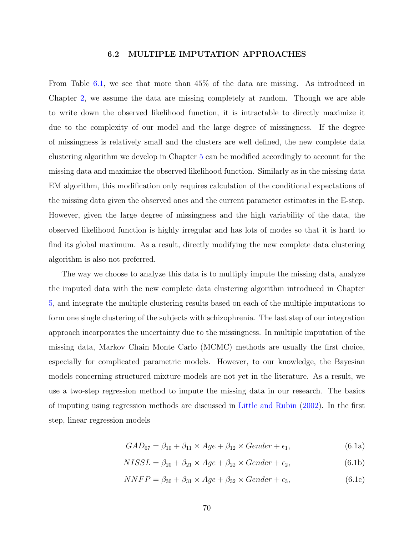# 6.2 MULTIPLE IMPUTATION APPROACHES

<span id="page-79-0"></span>From Table [6.1,](#page-78-0) we see that more than 45% of the data are missing. As introduced in Chapter [2,](#page-15-0) we assume the data are missing completely at random. Though we are able to write down the observed likelihood function, it is intractable to directly maximize it due to the complexity of our model and the large degree of missingness. If the degree of missingness is relatively small and the clusters are well defined, the new complete data clustering algorithm we develop in Chapter [5](#page-58-0) can be modified accordingly to account for the missing data and maximize the observed likelihood function. Similarly as in the missing data EM algorithm, this modification only requires calculation of the conditional expectations of the missing data given the observed ones and the current parameter estimates in the E-step. However, given the large degree of missingness and the high variability of the data, the observed likelihood function is highly irregular and has lots of modes so that it is hard to find its global maximum. As a result, directly modifying the new complete data clustering algorithm is also not preferred.

The way we choose to analyze this data is to multiply impute the missing data, analyze the imputed data with the new complete data clustering algorithm introduced in Chapter [5,](#page-58-0) and integrate the multiple clustering results based on each of the multiple imputations to form one single clustering of the subjects with schizophrenia. The last step of our integration approach incorporates the uncertainty due to the missingness. In multiple imputation of the missing data, Markov Chain Monte Carlo (MCMC) methods are usually the first choice, especially for complicated parametric models. However, to our knowledge, the Bayesian models concerning structured mixture models are not yet in the literature. As a result, we use a two-step regression method to impute the missing data in our research. The basics of imputing using regression methods are discussed in [Little and Rubin](#page-94-0) [\(2002\)](#page-94-0). In the first step, linear regression models

$$
GAD_{67} = \beta_{10} + \beta_{11} \times Age + \beta_{12} \times Gender + \epsilon_1, \tag{6.1a}
$$

$$
NISSL = \beta_{20} + \beta_{21} \times Age + \beta_{22} \times Gender + \epsilon_2, \tag{6.1b}
$$

$$
NNFP = \beta_{30} + \beta_{31} \times Age + \beta_{32} \times Gender + \epsilon_3,\tag{6.1c}
$$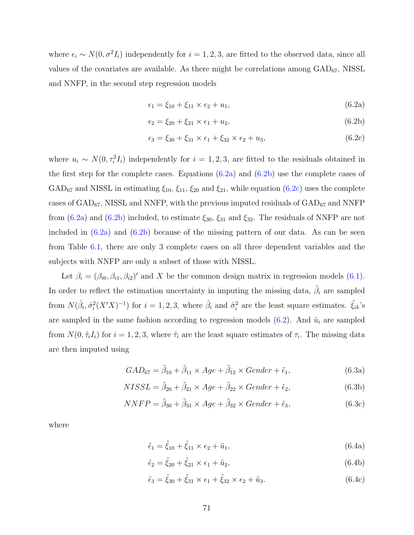where  $\epsilon_i \sim N(0, \sigma^2 I_i)$  independently for  $i = 1, 2, 3$ , are fitted to the observed data, since all values of the covariates are available. As there might be correlations among  $GAD_{67}$ , NISSL and NNFP, in the second step regression models

$$
\epsilon_1 = \xi_{10} + \xi_{11} \times \epsilon_2 + u_1,\tag{6.2a}
$$

$$
\epsilon_2 = \xi_{20} + \xi_{21} \times \epsilon_1 + u_2,\tag{6.2b}
$$

$$
\epsilon_3 = \xi_{30} + \xi_{31} \times \epsilon_1 + \xi_{32} \times \epsilon_2 + u_3, \tag{6.2c}
$$

where  $u_i \sim N(0, \tau_i^2 I_i)$  independently for  $i = 1, 2, 3$ , are fitted to the residuals obtained in the first step for the complete cases. Equations (6.2a) and (6.2b) use the complete cases of GAD<sub>67</sub> and NISSL in estimating  $\xi_{10}$ ,  $\xi_{11}$ ,  $\xi_{20}$  and  $\xi_{21}$ , while equation (6.2c) uses the complete cases of  $\text{GAD}_{67}$ , NISSL and NNFP, with the previous imputed residuals of  $\text{GAD}_{67}$  and NNFP from (6.2a) and (6.2b) included, to estimate  $\xi_{30}$ ,  $\xi_{31}$  and  $\xi_{32}$ . The residuals of NNFP are not included in  $(6.2a)$  and  $(6.2b)$  because of the missing pattern of our data. As can be seen from Table [6.1,](#page-78-0) there are only 3 complete cases on all three dependent variables and the subjects with NNFP are only a subset of those with NISSL.

Let  $\beta_i = (\beta_{i0}, \beta_{i1}, \beta_{i2})'$  and X be the common design matrix in regression models [\(6.1\)](#page-79-0). In order to reflect the estimation uncertainty in imputing the missing data,  $\tilde{\beta}_i$  are sampled from  $N(\hat{\beta}_i, \hat{\sigma}_i^2(X'X)^{-1})$  for  $i = 1, 2, 3$ , where  $\hat{\beta}_i$  and  $\hat{\sigma}_i^2$  are the least square estimates.  $\tilde{\xi}_{ik}$ 's are sampled in the same fashion according to regression models  $(6.2)$ . And  $\tilde{u}_i$  are sampled from  $N(0, \hat{\tau}_i I_i)$  for  $i = 1, 2, 3$ , where  $\hat{\tau}_i$  are the least square estimates of  $\tau_i$ . The missing data are then imputed using

$$
GAD_{67} = \tilde{\beta}_{10} + \tilde{\beta}_{11} \times Age + \tilde{\beta}_{12} \times Gender + \tilde{\epsilon}_{1},
$$
\n(6.3a)

$$
NISSL = \tilde{\beta}_{20} + \tilde{\beta}_{21} \times Age + \tilde{\beta}_{22} \times Gender + \tilde{\epsilon}_2,
$$
\n(6.3b)

$$
NNFP = \tilde{\beta}_{30} + \tilde{\beta}_{31} \times Age + \tilde{\beta}_{32} \times Gender + \tilde{\epsilon}_{3},
$$
\n(6.3c)

where

$$
\tilde{\epsilon}_1 = \tilde{\xi}_{10} + \tilde{\xi}_{11} \times \epsilon_2 + \tilde{u}_1,\tag{6.4a}
$$

$$
\tilde{\epsilon}_2 = \tilde{\xi}_{20} + \tilde{\xi}_{21} \times \epsilon_1 + \tilde{u}_2,\tag{6.4b}
$$

$$
\tilde{\epsilon}_3 = \tilde{\xi}_{30} + \tilde{\xi}_{31} \times \epsilon_1 + \tilde{\xi}_{32} \times \epsilon_2 + \tilde{u}_3. \tag{6.4c}
$$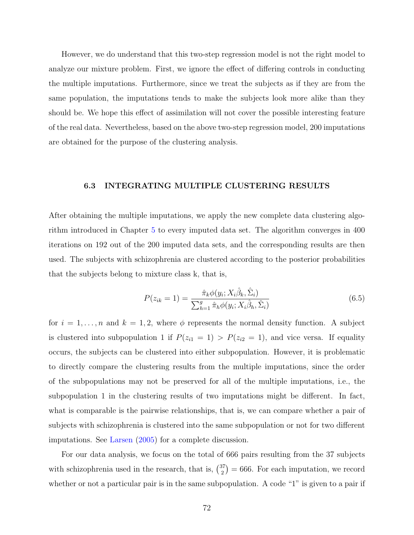However, we do understand that this two-step regression model is not the right model to analyze our mixture problem. First, we ignore the effect of differing controls in conducting the multiple imputations. Furthermore, since we treat the subjects as if they are from the same population, the imputations tends to make the subjects look more alike than they should be. We hope this effect of assimilation will not cover the possible interesting feature of the real data. Nevertheless, based on the above two-step regression model, 200 imputations are obtained for the purpose of the clustering analysis.

## 6.3 INTEGRATING MULTIPLE CLUSTERING RESULTS

After obtaining the multiple imputations, we apply the new complete data clustering algorithm introduced in Chapter [5](#page-58-0) to every imputed data set. The algorithm converges in 400 iterations on 192 out of the 200 imputed data sets, and the corresponding results are then used. The subjects with schizophrenia are clustered according to the posterior probabilities that the subjects belong to mixture class k, that is,

$$
P(z_{ik} = 1) = \frac{\hat{\pi}_k \phi(y_i; X_i \hat{\beta}_k, \hat{\Sigma}_i)}{\sum_{h=1}^g \hat{\pi}_h \phi(y_i; X_i \hat{\beta}_h, \hat{\Sigma}_i)}
$$
(6.5)

for  $i = 1, \ldots, n$  and  $k = 1, 2$ , where  $\phi$  represents the normal density function. A subject is clustered into subpopulation 1 if  $P(z_{i1} = 1) > P(z_{i2} = 1)$ , and vice versa. If equality occurs, the subjects can be clustered into either subpopulation. However, it is problematic to directly compare the clustering results from the multiple imputations, since the order of the subpopulations may not be preserved for all of the multiple imputations, i.e., the subpopulation 1 in the clustering results of two imputations might be different. In fact, what is comparable is the pairwise relationships, that is, we can compare whether a pair of subjects with schizophrenia is clustered into the same subpopulation or not for two different imputations. See [Larsen](#page-93-0) [\(2005\)](#page-93-0) for a complete discussion.

For our data analysis, we focus on the total of 666 pairs resulting from the 37 subjects with schizophrenia used in the research, that is,  $\binom{37}{2}$ 2 ¢ = 666. For each imputation, we record whether or not a particular pair is in the same subpopulation. A code "1" is given to a pair if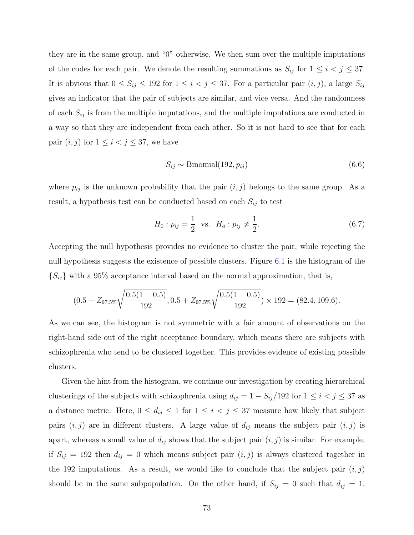they are in the same group, and "0" otherwise. We then sum over the multiple imputations of the codes for each pair. We denote the resulting summations as  $S_{ij}$  for  $1 \leq i \leq j \leq 37$ . It is obvious that  $0 \le S_{ij} \le 192$  for  $1 \le i < j \le 37$ . For a particular pair  $(i, j)$ , a large  $S_{ij}$ gives an indicator that the pair of subjects are similar, and vice versa. And the randomness of each  $S_{ij}$  is from the multiple imputations, and the multiple imputations are conducted in a way so that they are independent from each other. So it is not hard to see that for each pair  $(i, j)$  for  $1 \leq i < j \leq 37$ , we have

$$
S_{ij} \sim \text{Binomial}(192, p_{ij}) \tag{6.6}
$$

where  $p_{ij}$  is the unknown probability that the pair  $(i, j)$  belongs to the same group. As a result, a hypothesis test can be conducted based on each  $S_{ij}$  to test

$$
H_0: p_{ij} = \frac{1}{2} \text{ vs. } H_a: p_{ij} \neq \frac{1}{2}.
$$
 (6.7)

Accepting the null hypothesis provides no evidence to cluster the pair, while rejecting the null hypothesis suggests the existence of possible clusters. Figure [6.1](#page-83-0) is the histogram of the  $\{S_{ij}\}\$  with a 95% acceptance interval based on the normal approximation, that is,

$$
(0.5 - Z_{97.5\%}\sqrt{\frac{0.5(1 - 0.5)}{192}}, 0.5 + Z_{97.5\%}\sqrt{\frac{0.5(1 - 0.5)}{192}}) \times 192 = (82.4, 109.6).
$$

As we can see, the histogram is not symmetric with a fair amount of observations on the right-hand side out of the right acceptance boundary, which means there are subjects with schizophrenia who tend to be clustered together. This provides evidence of existing possible clusters.

Given the hint from the histogram, we continue our investigation by creating hierarchical clusterings of the subjects with schizophrenia using  $d_{ij} = 1 - S_{ij}/192$  for  $1 \le i \le j \le 37$  as a distance metric. Here,  $0 \le d_{ij} \le 1$  for  $1 \le i < j \le 37$  measure how likely that subject pairs  $(i, j)$  are in different clusters. A large value of  $d_{ij}$  means the subject pair  $(i, j)$  is apart, whereas a small value of  $d_{ij}$  shows that the subject pair  $(i, j)$  is similar. For example, if  $S_{ij} = 192$  then  $d_{ij} = 0$  which means subject pair  $(i, j)$  is always clustered together in the 192 imputations. As a result, we would like to conclude that the subject pair  $(i, j)$ should be in the same subpopulation. On the other hand, if  $S_{ij} = 0$  such that  $d_{ij} = 1$ ,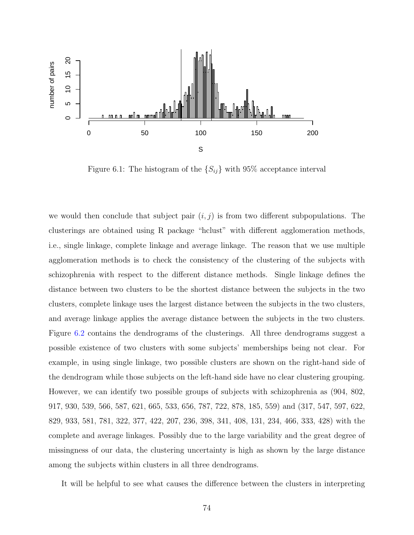<span id="page-83-0"></span>

Figure 6.1: The histogram of the  $\{S_{ij}\}\$  with 95% acceptance interval

we would then conclude that subject pair  $(i, j)$  is from two different subpopulations. The clusterings are obtained using R package "hclust" with different agglomeration methods, i.e., single linkage, complete linkage and average linkage. The reason that we use multiple agglomeration methods is to check the consistency of the clustering of the subjects with schizophrenia with respect to the different distance methods. Single linkage defines the distance between two clusters to be the shortest distance between the subjects in the two clusters, complete linkage uses the largest distance between the subjects in the two clusters, and average linkage applies the average distance between the subjects in the two clusters. Figure [6.2](#page-84-0) contains the dendrograms of the clusterings. All three dendrograms suggest a possible existence of two clusters with some subjects' memberships being not clear. For example, in using single linkage, two possible clusters are shown on the right-hand side of the dendrogram while those subjects on the left-hand side have no clear clustering grouping. However, we can identify two possible groups of subjects with schizophrenia as (904, 802, 917, 930, 539, 566, 587, 621, 665, 533, 656, 787, 722, 878, 185, 559) and (317, 547, 597, 622, 829, 933, 581, 781, 322, 377, 422, 207, 236, 398, 341, 408, 131, 234, 466, 333, 428) with the complete and average linkages. Possibly due to the large variability and the great degree of missingness of our data, the clustering uncertainty is high as shown by the large distance among the subjects within clusters in all three dendrograms.

It will be helpful to see what causes the difference between the clusters in interpreting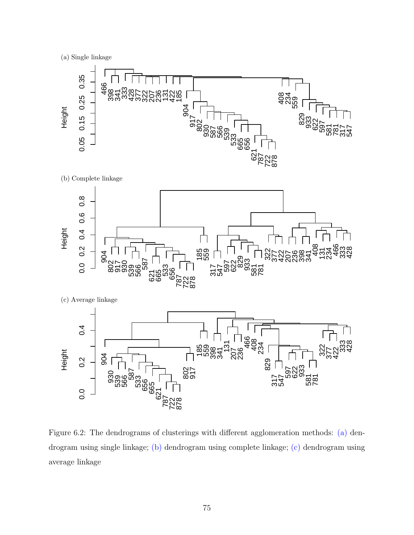<span id="page-84-0"></span>(a) Single linkage



Figure 6.2: The dendrograms of clusterings with different agglomeration methods: (a) dendrogram using single linkage; (b) dendrogram using complete linkage; (c) dendrogram using average linkage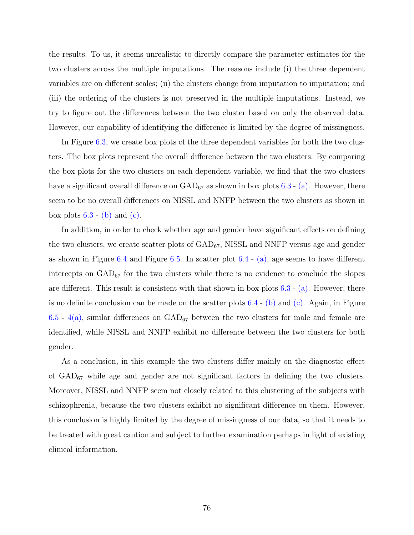the results. To us, it seems unrealistic to directly compare the parameter estimates for the two clusters across the multiple imputations. The reasons include (i) the three dependent variables are on different scales; (ii) the clusters change from imputation to imputation; and (iii) the ordering of the clusters is not preserved in the multiple imputations. Instead, we try to figure out the differences between the two cluster based on only the observed data. However, our capability of identifying the difference is limited by the degree of missingness.

In Figure [6.3,](#page-86-0) we create box plots of the three dependent variables for both the two clusters. The box plots represent the overall difference between the two clusters. By comparing the box plots for the two clusters on each dependent variable, we find that the two clusters have a significant overall difference on  $\text{GAD}_{67}$  as shown in box plots [6.3](#page-86-0) - [\(a\).](#page-86-0) However, there seem to be no overall differences on NISSL and NNFP between the two clusters as shown in box plots  $6.3 - (b)$  $6.3 - (b)$  $6.3 - (b)$  and  $(c)$ .

In addition, in order to check whether age and gender have significant effects on defining the two clusters, we create scatter plots of  $GAD_{67}$ , NISSL and NNFP versus age and gender as shown in Figure [6.4](#page-86-0) and Figure [6.5.](#page-87-0) In scatter plot  $6.4$  - [\(a\),](#page-86-0) age seems to have different intercepts on  $GAD_{67}$  for the two clusters while there is no evidence to conclude the slopes are different. This result is consistent with that shown in box plots  $6.3$  - [\(a\).](#page-86-0) However, there is no definite conclusion can be made on the scatter plots [6.4](#page-86-0) - [\(b\)](#page-86-0) and [\(c\).](#page-86-0) Again, in Figure [6.5](#page-87-0) - [4\(a\),](#page-87-0) similar differences on  $GAD_{67}$  between the two clusters for male and female are identified, while NISSL and NNFP exhibit no difference between the two clusters for both gender.

As a conclusion, in this example the two clusters differ mainly on the diagnostic effect of  $GAD_{67}$  while age and gender are not significant factors in defining the two clusters. Moreover, NISSL and NNFP seem not closely related to this clustering of the subjects with schizophrenia, because the two clusters exhibit no significant difference on them. However, this conclusion is highly limited by the degree of missingness of our data, so that it needs to be treated with great caution and subject to further examination perhaps in light of existing clinical information.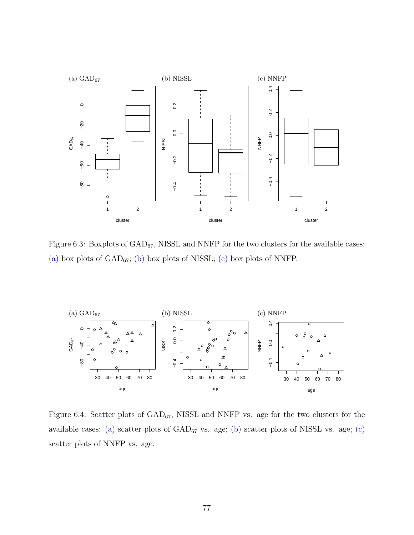<span id="page-86-0"></span>

Figure 6.3: Boxplots of  $\text{GAD}_{67}$ , NISSL and NNFP for the two clusters for the available cases: (a) box plots of  $GAD_{67}$ ; (b) box plots of NISSL; (c) box plots of NNFP.



Figure 6.4: Scatter plots of  $GAD_{67}$ , NISSL and NNFP vs. age for the two clusters for the available cases: (a) scatter plots of  $GAD_{67}$  vs. age; (b) scatter plots of NISSL vs. age; (c) scatter plots of NNFP vs. age.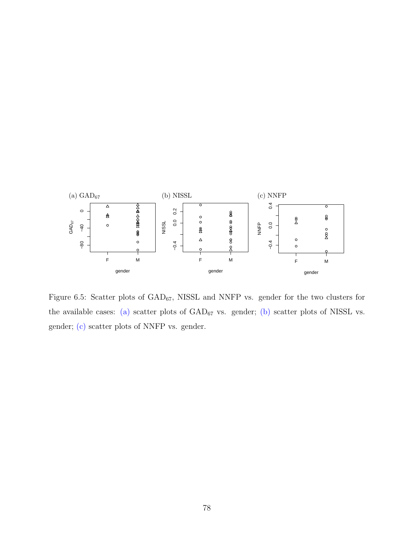<span id="page-87-0"></span>

Figure 6.5: Scatter plots of  $GAD_{67}$ , NISSL and NNFP vs. gender for the two clusters for the available cases: (a) scatter plots of  $GAD_{67}$  vs. gender; (b) scatter plots of NISSL vs. gender; (c) scatter plots of NNFP vs. gender.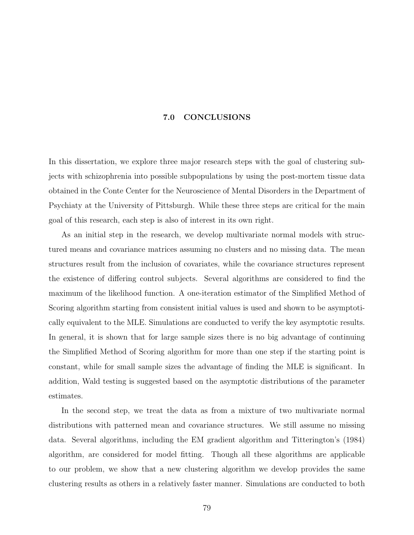## 7.0 CONCLUSIONS

In this dissertation, we explore three major research steps with the goal of clustering subjects with schizophrenia into possible subpopulations by using the post-mortem tissue data obtained in the Conte Center for the Neuroscience of Mental Disorders in the Department of Psychiaty at the University of Pittsburgh. While these three steps are critical for the main goal of this research, each step is also of interest in its own right.

As an initial step in the research, we develop multivariate normal models with structured means and covariance matrices assuming no clusters and no missing data. The mean structures result from the inclusion of covariates, while the covariance structures represent the existence of differing control subjects. Several algorithms are considered to find the maximum of the likelihood function. A one-iteration estimator of the Simplified Method of Scoring algorithm starting from consistent initial values is used and shown to be asymptotically equivalent to the MLE. Simulations are conducted to verify the key asymptotic results. In general, it is shown that for large sample sizes there is no big advantage of continuing the Simplified Method of Scoring algorithm for more than one step if the starting point is constant, while for small sample sizes the advantage of finding the MLE is significant. In addition, Wald testing is suggested based on the asymptotic distributions of the parameter estimates.

In the second step, we treat the data as from a mixture of two multivariate normal distributions with patterned mean and covariance structures. We still assume no missing data. Several algorithms, including the EM gradient algorithm and Titterington's (1984) algorithm, are considered for model fitting. Though all these algorithms are applicable to our problem, we show that a new clustering algorithm we develop provides the same clustering results as others in a relatively faster manner. Simulations are conducted to both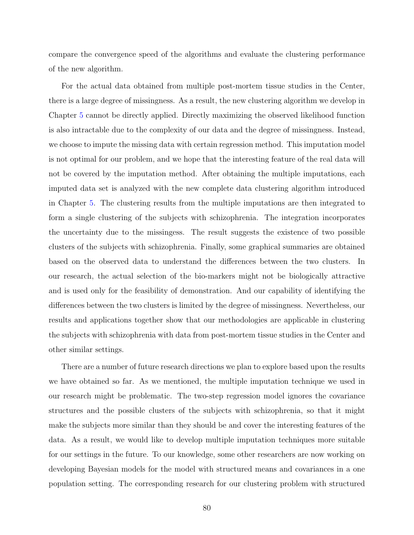compare the convergence speed of the algorithms and evaluate the clustering performance of the new algorithm.

For the actual data obtained from multiple post-mortem tissue studies in the Center, there is a large degree of missingness. As a result, the new clustering algorithm we develop in Chapter [5](#page-58-0) cannot be directly applied. Directly maximizing the observed likelihood function is also intractable due to the complexity of our data and the degree of missingness. Instead, we choose to impute the missing data with certain regression method. This imputation model is not optimal for our problem, and we hope that the interesting feature of the real data will not be covered by the imputation method. After obtaining the multiple imputations, each imputed data set is analyzed with the new complete data clustering algorithm introduced in Chapter [5.](#page-58-0) The clustering results from the multiple imputations are then integrated to form a single clustering of the subjects with schizophrenia. The integration incorporates the uncertainty due to the missingess. The result suggests the existence of two possible clusters of the subjects with schizophrenia. Finally, some graphical summaries are obtained based on the observed data to understand the differences between the two clusters. In our research, the actual selection of the bio-markers might not be biologically attractive and is used only for the feasibility of demonstration. And our capability of identifying the differences between the two clusters is limited by the degree of missingness. Nevertheless, our results and applications together show that our methodologies are applicable in clustering the subjects with schizophrenia with data from post-mortem tissue studies in the Center and other similar settings.

There are a number of future research directions we plan to explore based upon the results we have obtained so far. As we mentioned, the multiple imputation technique we used in our research might be problematic. The two-step regression model ignores the covariance structures and the possible clusters of the subjects with schizophrenia, so that it might make the subjects more similar than they should be and cover the interesting features of the data. As a result, we would like to develop multiple imputation techniques more suitable for our settings in the future. To our knowledge, some other researchers are now working on developing Bayesian models for the model with structured means and covariances in a one population setting. The corresponding research for our clustering problem with structured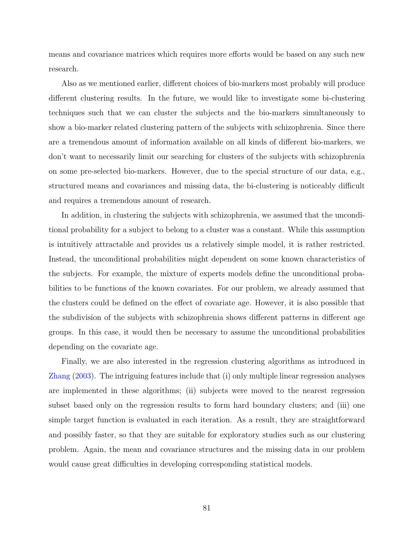means and covariance matrices which requires more efforts would be based on any such new research.

Also as we mentioned earlier, different choices of bio-markers most probably will produce different clustering results. In the future, we would like to investigate some bi-clustering techniques such that we can cluster the subjects and the bio-markers simultaneously to show a bio-marker related clustering pattern of the subjects with schizophrenia. Since there are a tremendous amount of information available on all kinds of different bio-markers, we don't want to necessarily limit our searching for clusters of the subjects with schizophrenia on some pre-selected bio-markers. However, due to the special structure of our data, e.g., structured means and covariances and missing data, the bi-clustering is noticeably difficult and requires a tremendous amount of research.

In addition, in clustering the subjects with schizophrenia, we assumed that the unconditional probability for a subject to belong to a cluster was a constant. While this assumption is intuitively attractable and provides us a relatively simple model, it is rather restricted. Instead, the unconditional probabilities might dependent on some known characteristics of the subjects. For example, the mixture of experts models define the unconditional probabilities to be functions of the known covariates. For our problem, we already assumed that the clusters could be defined on the effect of covariate age. However, it is also possible that the subdivision of the subjects with schizophrenia shows different patterns in different age groups. In this case, it would then be necessary to assume the unconditional probabilities depending on the covariate age.

Finally, we are also interested in the regression clustering algorithms as introduced in [Zhang](#page-95-0) [\(2003\)](#page-95-0). The intriguing features include that (i) only multiple linear regression analyses are implemented in these algorithms; (ii) subjects were moved to the nearest regression subset based only on the regression results to form hard boundary clusters; and (iii) one simple target function is evaluated in each iteration. As a result, they are straightforward and possibly faster, so that they are suitable for exploratory studies such as our clustering problem. Again, the mean and covariance structures and the missing data in our problem would cause great difficulties in developing corresponding statistical models.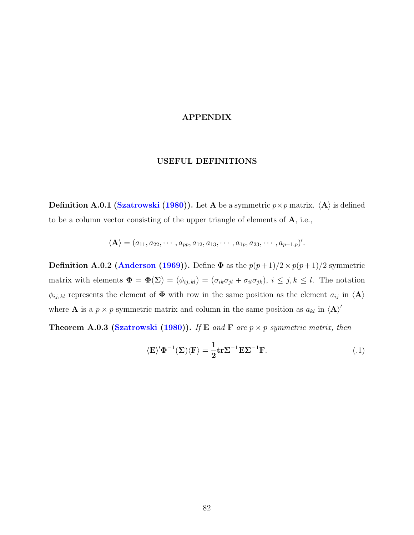# APPENDIX

# USEFUL DEFINITIONS

**Definition A.0.1 [\(Szatrowski](#page-94-0) [\(1980\)](#page-94-0)).** Let A be a symmetric  $p \times p$  matrix.  $\langle A \rangle$  is defined to be a column vector consisting of the upper triangle of elements of A, i.e.,

$$
\langle A \rangle = (a_{11}, a_{22}, \cdots, a_{pp}, a_{12}, a_{13}, \cdots, a_{1p}, a_{23}, \cdots, a_{p-1,p})'.
$$

**Definition A.0.2 [\(Anderson](#page-92-0) [\(1969\)](#page-92-0)).** Define  $\Phi$  as the  $p(p+1)/2 \times p(p+1)/2$  symmetric matrix with elements  $\Phi = \Phi(\Sigma) = (\phi_{ij,kl}) = (\sigma_{ik}\sigma_{jl} + \sigma_{il}\sigma_{jk}), i \leq j, k \leq l$ . The notation  $\phi_{ij,kl}$  represents the element of  $\Phi$  with row in the same position as the element  $a_{ij}$  in  $\langle A \rangle$ where **A** is a  $p \times p$  symmetric matrix and column in the same position as  $a_{kl}$  in  $\langle A \rangle'$ 

Theorem A.0.3 [\(Szatrowski](#page-94-0) [\(1980\)](#page-94-0)). If E and F are  $p \times p$  symmetric matrix, then

$$
\langle E \rangle^{\prime} \Phi^{-1} (\Sigma) \langle F \rangle = \frac{1}{2} \text{tr} \Sigma^{-1} E \Sigma^{-1} F. \tag{.1}
$$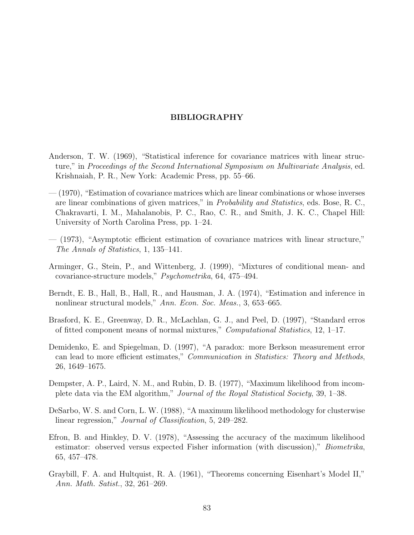#### BIBLIOGRAPHY

- <span id="page-92-0"></span>Anderson, T. W. (1969), "Statistical inference for covariance matrices with linear structure," in Proceedings of the Second International Symposium on Multivariate Analysis, ed. Krishnaiah, P. R., New York: Academic Press, pp. 55–66.
- (1970), "Estimation of covariance matrices which are linear combinations or whose inverses are linear combinations of given matrices," in Probability and Statistics, eds. Bose, R. C., Chakravarti, I. M., Mahalanobis, P. C., Rao, C. R., and Smith, J. K. C., Chapel Hill: University of North Carolina Press, pp. 1–24.
- (1973), "Asymptotic efficient estimation of covariance matrices with linear structure," The Annals of Statistics, 1, 135–141.
- Arminger, G., Stein, P., and Wittenberg, J. (1999), "Mixtures of conditional mean- and covariance-structure models," Psychometrika, 64, 475–494.
- Berndt, E. B., Hall, B., Hall, R., and Hausman, J. A. (1974), "Estimation and inference in nonlinear structural models," Ann. Econ. Soc. Meas., 3, 653–665.
- Brasford, K. E., Greenway, D. R., McLachlan, G. J., and Peel, D. (1997), "Standard erros of fitted component means of normal mixtures," Computational Statistics, 12, 1–17.
- Demidenko, E. and Spiegelman, D. (1997), "A paradox: more Berkson measurement error can lead to more efficient estimates," Communication in Statistics: Theory and Methods, 26, 1649–1675.
- Dempster, A. P., Laird, N. M., and Rubin, D. B. (1977), "Maximum likelihood from incomplete data via the EM algorithm," Journal of the Royal Statistical Society, 39, 1–38.
- DeSarbo, W. S. and Corn, L. W. (1988), "A maximum likelihood methodology for clusterwise linear regression," *Journal of Classification*, 5, 249–282.
- Efron, B. and Hinkley, D. V. (1978), "Assessing the accuracy of the maximum likelihood estimator: observed versus expected Fisher information (with discussion)," *Biometrika*, 65, 457–478.
- Graybill, F. A. and Hultquist, R. A. (1961), "Theorems concerning Eisenhart's Model II," Ann. Math. Satist., 32, 261–269.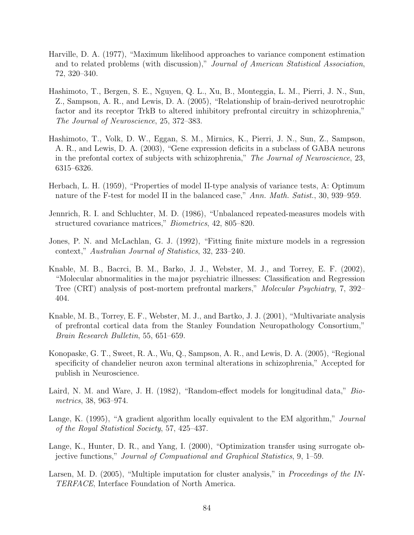- <span id="page-93-0"></span>Harville, D. A. (1977), "Maximum likelihood approaches to variance component estimation and to related problems (with discussion)," Journal of American Statistical Association, 72, 320–340.
- Hashimoto, T., Bergen, S. E., Nguyen, Q. L., Xu, B., Monteggia, L. M., Pierri, J. N., Sun, Z., Sampson, A. R., and Lewis, D. A. (2005), "Relationship of brain-derived neurotrophic factor and its receptor TrkB to altered inhibitory prefrontal circuitry in schizophrenia," The Journal of Neuroscience, 25, 372–383.
- Hashimoto, T., Volk, D. W., Eggan, S. M., Mirnics, K., Pierri, J. N., Sun, Z., Sampson, A. R., and Lewis, D. A. (2003), "Gene expression deficits in a subclass of GABA neurons in the prefontal cortex of subjects with schizophrenia," The Journal of Neuroscience, 23, 6315–6326.
- Herbach, L. H. (1959), "Properties of model II-type analysis of variance tests, A: Optimum nature of the F-test for model II in the balanced case," Ann. Math. Satist., 30, 939–959.
- Jennrich, R. I. and Schluchter, M. D. (1986), "Unbalanced repeated-measures models with structured covariance matrices," Biometrics, 42, 805–820.
- Jones, P. N. and McLachlan, G. J. (1992), "Fitting finite mixture models in a regression context," Australian Journal of Statistics, 32, 233–240.
- Knable, M. B., Bacrci, B. M., Barko, J. J., Webster, M. J., and Torrey, E. F. (2002), "Molecular abnormalities in the major psychiatric illnesses: Classification and Regression Tree (CRT) analysis of post-mortem prefrontal markers," Molecular Psychiatry, 7, 392– 404.
- Knable, M. B., Torrey, E. F., Webster, M. J., and Bartko, J. J. (2001), "Multivariate analysis of prefrontal cortical data from the Stanley Foundation Neuropathology Consortium," Brain Research Bulletin, 55, 651–659.
- Konopaske, G. T., Sweet, R. A., Wu, Q., Sampson, A. R., and Lewis, D. A. (2005), "Regional specificity of chandelier neuron axon terminal alterations in schizophrenia," Accepted for publish in Neuroscience.
- Laird, N. M. and Ware, J. H. (1982), "Random-effect models for longitudinal data," *Bio*metrics, 38, 963–974.
- Lange, K. (1995), "A gradient algorithm locally equivalent to the EM algorithm," Journal of the Royal Statistical Society, 57, 425–437.
- Lange, K., Hunter, D. R., and Yang, I. (2000), "Optimization transfer using surrogate objective functions," Journal of Compuational and Graphical Statistics, 9, 1–59.
- Larsen, M. D. (2005), "Multiple imputation for cluster analysis," in *Proceedings of the IN*-TERFACE, Interface Foundation of North America.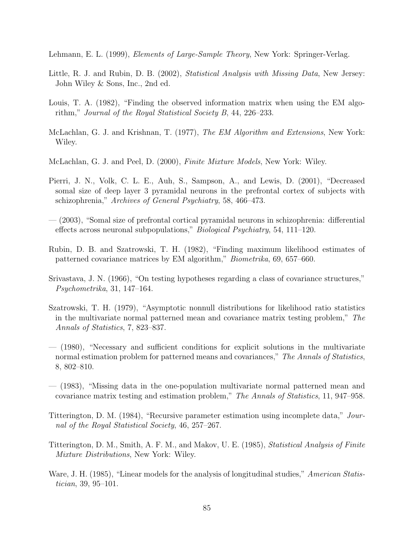<span id="page-94-0"></span>Lehmann, E. L. (1999), *Elements of Large-Sample Theory*, New York: Springer-Verlag.

- Little, R. J. and Rubin, D. B. (2002), *Statistical Analysis with Missing Data*, New Jersey: John Wiley & Sons, Inc., 2nd ed.
- Louis, T. A. (1982), "Finding the observed information matrix when using the EM algorithm," Journal of the Royal Statistical Society B, 44, 226–233.
- McLachlan, G. J. and Krishnan, T. (1977), The EM Algorithm and Extensions, New York: Wiley.
- McLachlan, G. J. and Peel, D. (2000), Finite Mixture Models, New York: Wiley.
- Pierri, J. N., Volk, C. L. E., Auh, S., Sampson, A., and Lewis, D. (2001), "Decreased somal size of deep layer 3 pyramidal neurons in the prefrontal cortex of subjects with schizophrenia," Archives of General Psychiatry, 58, 466–473.
- (2003), "Somal size of prefrontal cortical pyramidal neurons in schizophrenia: differential effects across neuronal subpopulations," Biological Psychiatry, 54, 111–120.
- Rubin, D. B. and Szatrowski, T. H. (1982), "Finding maximum likelihood estimates of patterned covariance matrices by EM algorithm," Biometrika, 69, 657–660.
- Srivastava, J. N. (1966), "On testing hypotheses regarding a class of covariance structures," Psychometrika, 31, 147–164.
- Szatrowski, T. H. (1979), "Asymptotic nonnull distributions for likelihood ratio statistics in the multivariate normal patterned mean and covariance matrix testing problem," The Annals of Statistics, 7, 823–837.
- (1980), "Necessary and sufficient conditions for explicit solutions in the multivariate normal estimation problem for patterned means and covariances," The Annals of Statistics, 8, 802–810.
- (1983), "Missing data in the one-population multivariate normal patterned mean and covariance matrix testing and estimation problem," The Annals of Statistics, 11, 947–958.
- Titterington, D. M. (1984), "Recursive parameter estimation using incomplete data," Journal of the Royal Statistical Society, 46, 257–267.
- Titterington, D. M., Smith, A. F. M., and Makov, U. E. (1985), Statistical Analysis of Finite Mixture Distributions, New York: Wiley.
- Ware, J. H. (1985), "Linear models for the analysis of longitudinal studies," American Statistician, 39, 95–101.